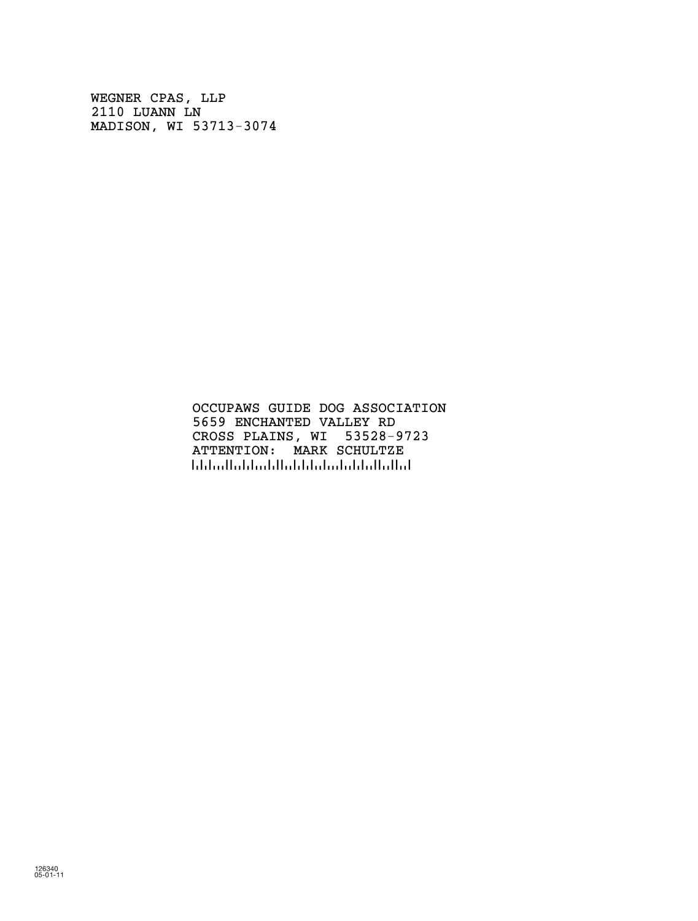WEGNER CPAS, LLP 2110 LUANN LN MADISON, WI 53713-3074

> OCCUPAWS GUIDE DOG ASSOCIATION 5659 ENCHANTED VALLEY RD CROSS PLAINS, WI 53528-9723 ATTENTION: MARK SCHULTZE !://bib.ibb.ibb.ibb.ib.ibb.ibb.ib.ib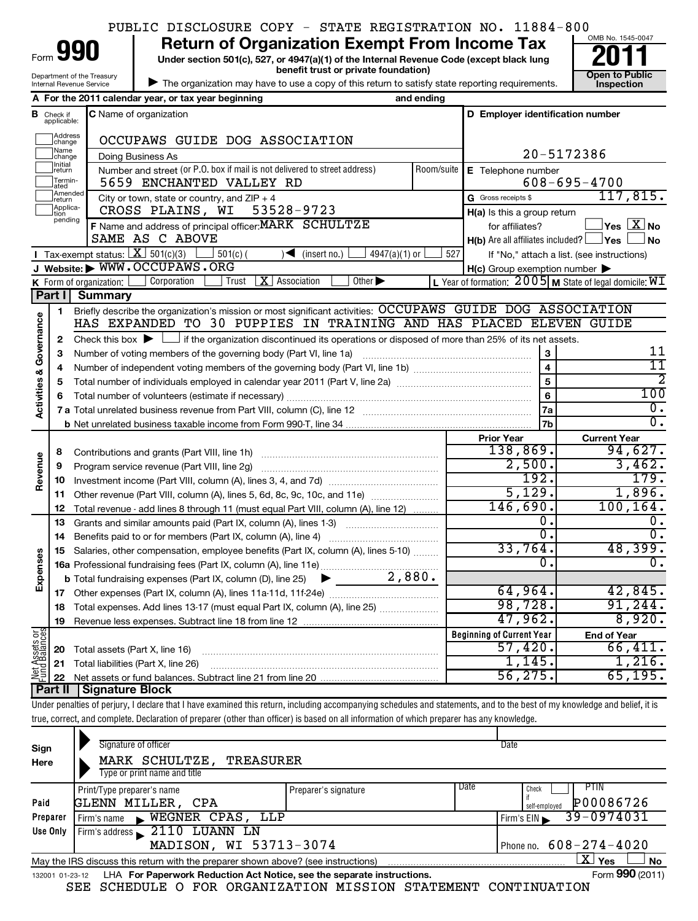|  |  | PUBLIC DISCLOSURE COPY - STATE REGISTRATION NO. 11884-800 |  |
|--|--|-----------------------------------------------------------|--|
|  |  |                                                           |  |

**Under section 501(c), 527, or 4947(a)(1) of the Internal Revenue Code (except black lung benefit trust or private foundation) Construction Construction Construction Construction 990** Return of Organization Exempt From Income Tax <br>Under section 501(c), 527, or 4947(a)(1) of the Internal Revenue Code (except black lung **2011** 

| The organization may have to use a copy of this return to satisfy state reporting requirements.

Department of the Treasury Internal Revenue Service

Form



|                         |                                  | A For the 2011 calendar year, or tax year beginning                                                                                                                        | and ending |                                                                                       |                                                             |  |  |
|-------------------------|----------------------------------|----------------------------------------------------------------------------------------------------------------------------------------------------------------------------|------------|---------------------------------------------------------------------------------------|-------------------------------------------------------------|--|--|
|                         | <b>B</b> Check if<br>applicable: | C Name of organization                                                                                                                                                     |            | D Employer identification number                                                      |                                                             |  |  |
|                         | Address<br>change                | OCCUPAWS GUIDE DOG ASSOCIATION                                                                                                                                             |            |                                                                                       |                                                             |  |  |
|                         | Name<br>change                   | Doing Business As                                                                                                                                                          |            |                                                                                       | 20-5172386                                                  |  |  |
|                         | Initial<br>return                | Number and street (or P.O. box if mail is not delivered to street address)                                                                                                 | Room/suite | E Telephone number                                                                    |                                                             |  |  |
|                         | Termin-<br>ated                  | 5659 ENCHANTED VALLEY RD                                                                                                                                                   |            |                                                                                       | $608 - 695 - 4700$                                          |  |  |
|                         | Amended<br>return                | City or town, state or country, and $ZIP + 4$                                                                                                                              |            | G Gross receipts \$                                                                   | 117,815.                                                    |  |  |
|                         | Applica-<br>tion                 | CROSS PLAINS, WI<br>53528-9723                                                                                                                                             |            | $H(a)$ is this a group return                                                         |                                                             |  |  |
|                         | pending                          | F Name and address of principal officer: MARK SCHULTZE                                                                                                                     |            | $\sqrt{\mathsf{Yes}\mathord{\;\mathbb{X}}\mathord{\;\mathsf{No}}}$<br>for affiliates? |                                                             |  |  |
|                         |                                  | SAME AS C ABOVE                                                                                                                                                            |            | <b>H(b)</b> Are all affiliates included? $\Box$ <b>Yes</b>                            | ∫ No                                                        |  |  |
|                         |                                  | Tax-exempt status: $X \overline{301(c)(3)}$<br>$501(c)$ (<br>$4947(a)(1)$ or<br>$\sqrt{\bullet}$ (insert no.)                                                              | 527        |                                                                                       | If "No," attach a list. (see instructions)                  |  |  |
|                         |                                  | J Website: WWW.OCCUPAWS.ORG                                                                                                                                                |            | $H(c)$ Group exemption number $\blacktriangleright$                                   |                                                             |  |  |
|                         |                                  | $\vert X \vert$ Association<br>K Form of organization: $\lfloor$<br>Corporation<br>Trust<br>Other $\blacktriangleright$                                                    |            |                                                                                       | L Year of formation: $2005$ M State of legal domicile: $WI$ |  |  |
|                         | Part I                           | <b>Summary</b>                                                                                                                                                             |            |                                                                                       |                                                             |  |  |
|                         | 1                                | Briefly describe the organization's mission or most significant activities: OCCUPAWS GUIDE DOG ASSOCIATION                                                                 |            |                                                                                       |                                                             |  |  |
|                         |                                  | HAS EXPANDED TO 30 PUPPIES IN TRAINING AND HAS PLACED ELEVEN GUIDE                                                                                                         |            |                                                                                       |                                                             |  |  |
| Governance              | 2                                | Check this box $\blacktriangleright$ $\Box$ if the organization discontinued its operations or disposed of more than 25% of its net assets.                                |            |                                                                                       |                                                             |  |  |
|                         | з                                |                                                                                                                                                                            |            | 3                                                                                     | 11<br>11                                                    |  |  |
|                         | 4                                |                                                                                                                                                                            |            |                                                                                       | 2                                                           |  |  |
| <b>Activities &amp;</b> | 5                                |                                                                                                                                                                            |            | 5                                                                                     | 100                                                         |  |  |
|                         | 6                                |                                                                                                                                                                            |            | 6                                                                                     |                                                             |  |  |
|                         |                                  |                                                                                                                                                                            |            | 7a                                                                                    | О.<br>$\overline{0}$ .                                      |  |  |
|                         |                                  |                                                                                                                                                                            |            | 7 <sub>b</sub>                                                                        |                                                             |  |  |
|                         |                                  |                                                                                                                                                                            |            | <b>Prior Year</b><br>138,869.                                                         | <b>Current Year</b><br>94,627.                              |  |  |
| Revenue                 | 8                                |                                                                                                                                                                            |            | 2,500.                                                                                | 3,462.                                                      |  |  |
|                         | 9                                | Program service revenue (Part VIII, line 2g)                                                                                                                               |            | 192.                                                                                  |                                                             |  |  |
|                         | 10<br>11                         |                                                                                                                                                                            |            | 5,129.                                                                                | 179.<br>1,896.                                              |  |  |
|                         | 12                               | Other revenue (Part VIII, column (A), lines 5, 6d, 8c, 9c, 10c, and 11e)                                                                                                   |            | 146,690.                                                                              | 100, 164.                                                   |  |  |
|                         | 13                               | Total revenue - add lines 8 through 11 (must equal Part VIII, column (A), line 12)<br>Grants and similar amounts paid (Part IX, column (A), lines 1-3)                     |            | 0.                                                                                    | 0.                                                          |  |  |
|                         | 14                               |                                                                                                                                                                            |            | $\overline{\mathfrak{o}}$ .                                                           | $\overline{0}$ .                                            |  |  |
|                         | 15                               | Salaries, other compensation, employee benefits (Part IX, column (A), lines 5-10)                                                                                          |            | 33,764.                                                                               | 48,399.                                                     |  |  |
| Expenses                |                                  |                                                                                                                                                                            |            | 0.                                                                                    | 0.                                                          |  |  |
|                         |                                  | <b>b</b> Total fundraising expenses (Part IX, column (D), line 25) $\bullet$                                                                                               | 2,880.     |                                                                                       |                                                             |  |  |
|                         | 17                               |                                                                                                                                                                            |            | 64,964.                                                                               | 42,845.                                                     |  |  |
|                         |                                  | 18 Total expenses. Add lines 13-17 (must equal Part IX, column (A), line 25)                                                                                               |            | 98,728.                                                                               | 91, 244.                                                    |  |  |
|                         | 19                               |                                                                                                                                                                            |            | 47,962.                                                                               | 8,920.                                                      |  |  |
|                         |                                  |                                                                                                                                                                            |            | <b>Beginning of Current Year</b>                                                      | <b>End of Year</b>                                          |  |  |
| Net Assets or           | 20                               | Total assets (Part X, line 16)                                                                                                                                             |            | 57,420.                                                                               | 66,411.                                                     |  |  |
|                         | 21                               | Total liabilities (Part X, line 26)                                                                                                                                        |            | 1,145.                                                                                | 1,216.                                                      |  |  |
|                         | 22                               |                                                                                                                                                                            |            | 56, 275.                                                                              | 65, 195.                                                    |  |  |
|                         | <b>Part II</b>                   | <b>Signature Block</b>                                                                                                                                                     |            |                                                                                       |                                                             |  |  |
|                         |                                  | Under penalties of perjury, I declare that I have examined this return, including accompanying schedules and statements, and to the best of my knowledge and belief, it is |            |                                                                                       |                                                             |  |  |

true, correct, and complete. Declaration of preparer (other than officer) is based on all information of which preparer has any knowledge.

| Sign<br>Here    | Signature of officer<br>MARK SCHULTZE,<br>TREASURER<br>Type or print name and title                                                                             |                      | Date                                                |  |  |  |  |
|-----------------|-----------------------------------------------------------------------------------------------------------------------------------------------------------------|----------------------|-----------------------------------------------------|--|--|--|--|
| Paid            | Print/Type preparer's name<br>GLENN MILLER, CPA                                                                                                                 | Preparer's signature | Date<br>PIIN<br>Check<br>P00086726<br>self-emploved |  |  |  |  |
| Preparer        | WEGNER CPAS, LLP<br>$F$ irm's name                                                                                                                              |                      | $39 - 0974031$<br>Firm's $EIN$                      |  |  |  |  |
| Use Only        | Firm's address 2110 LUANN LN                                                                                                                                    |                      |                                                     |  |  |  |  |
|                 | MADISON, WI 53713-3074<br>Phone no. $608 - 274 - 4020$                                                                                                          |                      |                                                     |  |  |  |  |
|                 | $\mathbf{X}$ Yes<br><b>No</b><br>May the IRS discuss this return with the preparer shown above? (see instructions)                                              |                      |                                                     |  |  |  |  |
| 132001 01-23-12 | LHA For Paperwork Reduction Act Notice, see the separate instructions.<br>COURDITE O ROB ODOANTEARTON MICCION CRAFINENT CONTENTIARION<br>$\alpha$ mman $\alpha$ |                      | Form 990 (2011)                                     |  |  |  |  |

SEE SCHEDULE O FOR ORGANIZATION MISSION STATEMENT CONTINUATION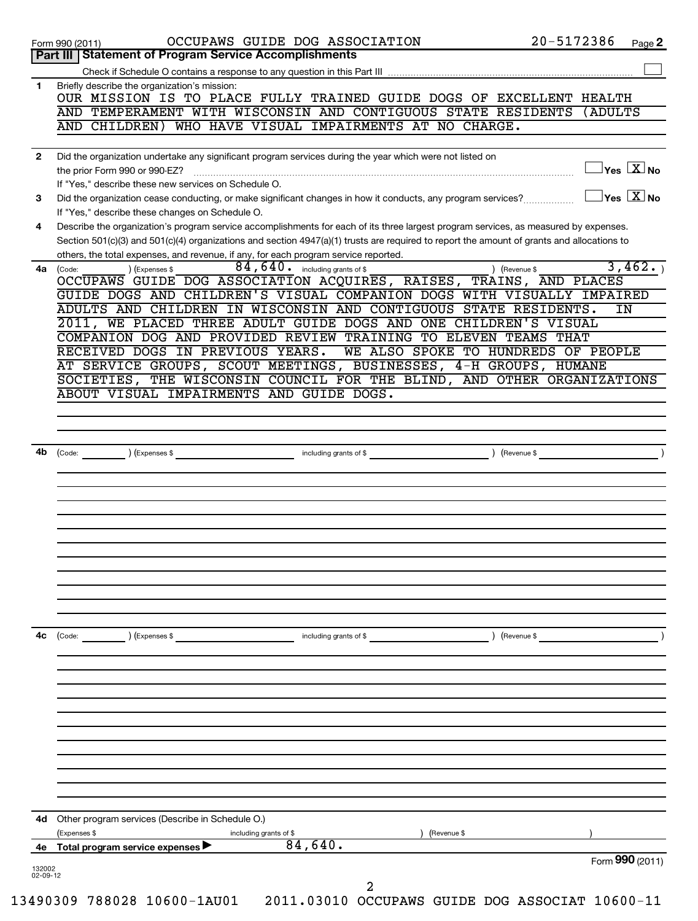|              | OUR MISSION IS TO PLACE FULLY TRAINED GUIDE DOGS OF EXCELLENT HEALTH                                                                                                                                                                                                               |
|--------------|------------------------------------------------------------------------------------------------------------------------------------------------------------------------------------------------------------------------------------------------------------------------------------|
|              | AND TEMPERAMENT WITH WISCONSIN AND CONTIGUOUS STATE RESIDENTS<br>(ADULTS<br>WHO HAVE VISUAL IMPAIRMENTS AT NO CHARGE.<br>AND CHILDREN)                                                                                                                                             |
| $\mathbf{2}$ | Did the organization undertake any significant program services during the year which were not listed on                                                                                                                                                                           |
|              | $Yes$ $\boxed{\text{X}}$ No<br>If "Yes," describe these new services on Schedule O.                                                                                                                                                                                                |
| 3            | $Yes \  \  \boxed{X} No$<br>Did the organization cease conducting, or make significant changes in how it conducts, any program services?<br>If "Yes," describe these changes on Schedule O.                                                                                        |
| 4            | Describe the organization's program service accomplishments for each of its three largest program services, as measured by expenses.<br>Section 501(c)(3) and 501(c)(4) organizations and section 4947(a)(1) trusts are required to report the amount of grants and allocations to |
| 4a           | others, the total expenses, and revenue, if any, for each program service reported.<br>3,462.<br>$84, 640$ . including grants of \$<br>) (Expenses \$<br>) (Revenue \$<br>(Code:<br>OCCUPAWS GUIDE DOG ASSOCIATION ACQUIRES, RAISES, TRAINS, AND PLACES                            |
|              | GUIDE DOGS AND CHILDREN'S VISUAL COMPANION DOGS WITH VISUALLY IMPAIRED<br>ADULTS AND CHILDREN IN WISCONSIN AND CONTIGUOUS STATE RESIDENTS.<br>IN                                                                                                                                   |
|              | 2011, WE PLACED THREE ADULT GUIDE DOGS AND ONE CHILDREN'S VISUAL                                                                                                                                                                                                                   |
|              | COMPANION DOG AND PROVIDED REVIEW TRAINING TO ELEVEN TEAMS THAT                                                                                                                                                                                                                    |
|              | RECEIVED DOGS IN PREVIOUS YEARS.<br>WE ALSO SPOKE TO HUNDREDS OF PEOPLE                                                                                                                                                                                                            |
|              | AT SERVICE GROUPS, SCOUT MEETINGS, BUSINESSES, 4-H GROUPS, HUMANE                                                                                                                                                                                                                  |
|              | SOCIETIES, THE WISCONSIN COUNCIL FOR THE BLIND, AND OTHER ORGANIZATIONS                                                                                                                                                                                                            |
|              | ABOUT VISUAL IMPAIRMENTS AND GUIDE DOGS.                                                                                                                                                                                                                                           |
|              |                                                                                                                                                                                                                                                                                    |
|              |                                                                                                                                                                                                                                                                                    |
|              |                                                                                                                                                                                                                                                                                    |
| 4b           | ) (Expenses \$<br>) (Revenue \$<br>(Code:<br>including grants of \$                                                                                                                                                                                                                |
|              |                                                                                                                                                                                                                                                                                    |
|              |                                                                                                                                                                                                                                                                                    |
|              |                                                                                                                                                                                                                                                                                    |
|              |                                                                                                                                                                                                                                                                                    |
|              |                                                                                                                                                                                                                                                                                    |
|              |                                                                                                                                                                                                                                                                                    |
|              |                                                                                                                                                                                                                                                                                    |
|              |                                                                                                                                                                                                                                                                                    |
|              |                                                                                                                                                                                                                                                                                    |
|              |                                                                                                                                                                                                                                                                                    |
|              |                                                                                                                                                                                                                                                                                    |
|              |                                                                                                                                                                                                                                                                                    |
|              |                                                                                                                                                                                                                                                                                    |
| 4с           | (Code:<br>including grants of \$<br>Revenue \$<br>(Expenses \$                                                                                                                                                                                                                     |
|              |                                                                                                                                                                                                                                                                                    |
|              |                                                                                                                                                                                                                                                                                    |
|              |                                                                                                                                                                                                                                                                                    |
|              |                                                                                                                                                                                                                                                                                    |
|              |                                                                                                                                                                                                                                                                                    |
|              |                                                                                                                                                                                                                                                                                    |
|              |                                                                                                                                                                                                                                                                                    |
|              |                                                                                                                                                                                                                                                                                    |
| 4d           | Other program services (Describe in Schedule O.)<br>Expenses \$<br>including grants of \$<br>(Revenue \$                                                                                                                                                                           |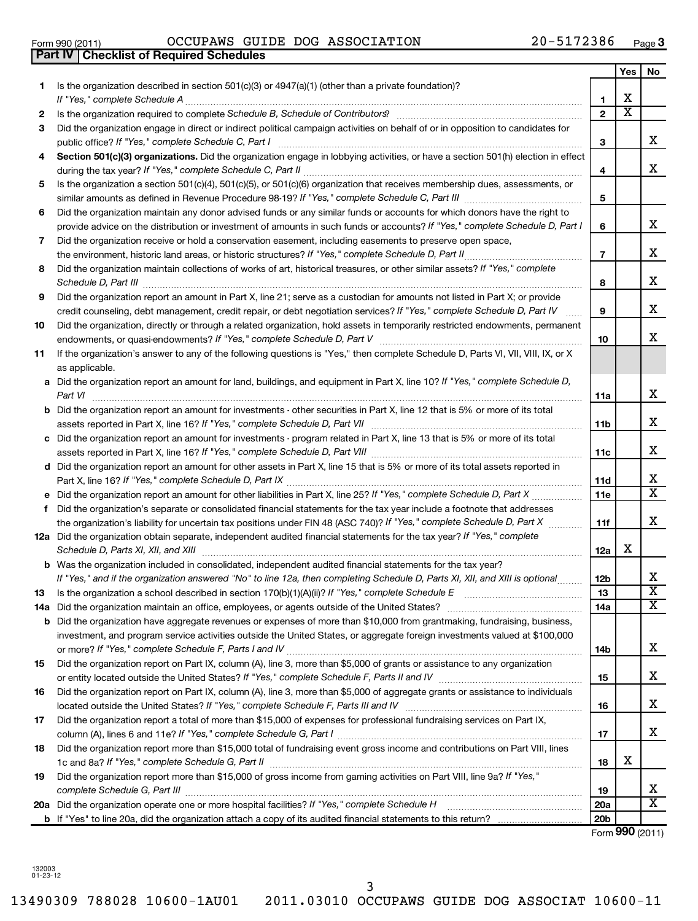|    |                                                                                                                                                                                                                   |                 | Yes                     | No                      |
|----|-------------------------------------------------------------------------------------------------------------------------------------------------------------------------------------------------------------------|-----------------|-------------------------|-------------------------|
| 1. | Is the organization described in section 501(c)(3) or $4947(a)(1)$ (other than a private foundation)?                                                                                                             |                 |                         |                         |
|    | If "Yes," complete Schedule A                                                                                                                                                                                     | 1               | х                       |                         |
| 2  |                                                                                                                                                                                                                   | $\mathbf{z}$    | $\overline{\textbf{x}}$ |                         |
| 3  | Did the organization engage in direct or indirect political campaign activities on behalf of or in opposition to candidates for<br>public office? If "Yes," complete Schedule C, Part I                           | 3               |                         | x                       |
| 4  | Section 501(c)(3) organizations. Did the organization engage in lobbying activities, or have a section 501(h) election in effect                                                                                  |                 |                         |                         |
|    |                                                                                                                                                                                                                   | 4               |                         | х                       |
| 5  | Is the organization a section 501(c)(4), 501(c)(5), or 501(c)(6) organization that receives membership dues, assessments, or                                                                                      |                 |                         |                         |
|    |                                                                                                                                                                                                                   | 5               |                         |                         |
| 6  | Did the organization maintain any donor advised funds or any similar funds or accounts for which donors have the right to                                                                                         |                 |                         | x                       |
|    | provide advice on the distribution or investment of amounts in such funds or accounts? If "Yes," complete Schedule D, Part I                                                                                      | 6               |                         |                         |
| 7  | Did the organization receive or hold a conservation easement, including easements to preserve open space,<br>the environment, historic land areas, or historic structures? If "Yes," complete Schedule D, Part II | $\overline{7}$  |                         | х                       |
| 8  | Did the organization maintain collections of works of art, historical treasures, or other similar assets? If "Yes," complete                                                                                      |                 |                         |                         |
|    | Schedule D, Part III                                                                                                                                                                                              | 8               |                         | х                       |
| 9  | Did the organization report an amount in Part X, line 21; serve as a custodian for amounts not listed in Part X; or provide                                                                                       |                 |                         |                         |
|    | credit counseling, debt management, credit repair, or debt negotiation services? If "Yes," complete Schedule D, Part IV                                                                                           | 9               |                         | х                       |
| 10 | Did the organization, directly or through a related organization, hold assets in temporarily restricted endowments, permanent                                                                                     |                 |                         |                         |
|    |                                                                                                                                                                                                                   | 10              |                         | x                       |
| 11 | If the organization's answer to any of the following questions is "Yes," then complete Schedule D, Parts VI, VII, VIII, IX, or X                                                                                  |                 |                         |                         |
|    | as applicable.<br>a Did the organization report an amount for land, buildings, and equipment in Part X, line 10? If "Yes," complete Schedule D,                                                                   |                 |                         |                         |
|    | Part VI                                                                                                                                                                                                           | 11a             |                         | х                       |
|    | <b>b</b> Did the organization report an amount for investments - other securities in Part X, line 12 that is 5% or more of its total                                                                              |                 |                         |                         |
|    |                                                                                                                                                                                                                   | 11b             |                         | x                       |
|    | c Did the organization report an amount for investments - program related in Part X, line 13 that is 5% or more of its total                                                                                      |                 |                         |                         |
|    |                                                                                                                                                                                                                   | 11c             |                         | x                       |
|    | d Did the organization report an amount for other assets in Part X, line 15 that is 5% or more of its total assets reported in                                                                                    |                 |                         |                         |
|    |                                                                                                                                                                                                                   | 11d             |                         | X                       |
|    | e Did the organization report an amount for other liabilities in Part X, line 25? If "Yes," complete Schedule D, Part X                                                                                           | 11e             |                         | x                       |
| f. | Did the organization's separate or consolidated financial statements for the tax year include a footnote that addresses                                                                                           |                 |                         |                         |
|    | the organization's liability for uncertain tax positions under FIN 48 (ASC 740)? If "Yes," complete Schedule D, Part X                                                                                            | 11f             |                         | х                       |
|    | 12a Did the organization obtain separate, independent audited financial statements for the tax year? If "Yes," complete                                                                                           |                 | х                       |                         |
|    | Schedule D, Parts XI, XII, and XIII<br><b>b</b> Was the organization included in consolidated, independent audited financial statements for the tax year?                                                         | 12a             |                         |                         |
|    | If "Yes," and if the organization answered "No" to line 12a, then completing Schedule D, Parts XI, XII, and XIII is optional                                                                                      | 12 <sub>b</sub> |                         | х                       |
| 13 | Is the organization a school described in section 170(b)(1)(A)(ii)? If "Yes," complete Schedule E                                                                                                                 | 13              |                         | $\overline{\texttt{x}}$ |
|    | 14a Did the organization maintain an office, employees, or agents outside of the United States?                                                                                                                   | 14a             |                         | X                       |
|    | <b>b</b> Did the organization have aggregate revenues or expenses of more than \$10,000 from grantmaking, fundraising, business,                                                                                  |                 |                         |                         |
|    | investment, and program service activities outside the United States, or aggregate foreign investments valued at \$100,000                                                                                        |                 |                         |                         |
|    |                                                                                                                                                                                                                   | 14b             |                         | х                       |
| 15 | Did the organization report on Part IX, column (A), line 3, more than \$5,000 of grants or assistance to any organization                                                                                         |                 |                         |                         |
|    |                                                                                                                                                                                                                   | 15              |                         | х                       |
| 16 | Did the organization report on Part IX, column (A), line 3, more than \$5,000 of aggregate grants or assistance to individuals                                                                                    |                 |                         |                         |
|    |                                                                                                                                                                                                                   | 16              |                         | х                       |
| 17 | Did the organization report a total of more than \$15,000 of expenses for professional fundraising services on Part IX,                                                                                           | 17              |                         | х                       |
| 18 | Did the organization report more than \$15,000 total of fundraising event gross income and contributions on Part VIII, lines                                                                                      |                 |                         |                         |
|    |                                                                                                                                                                                                                   | 18              | х                       |                         |
| 19 | Did the organization report more than \$15,000 of gross income from gaming activities on Part VIII, line 9a? If "Yes,"                                                                                            |                 |                         |                         |
|    |                                                                                                                                                                                                                   | 19              |                         | X                       |
|    | 20a Did the organization operate one or more hospital facilities? If "Yes," complete Schedule H                                                                                                                   | <b>20a</b>      |                         | х                       |
|    |                                                                                                                                                                                                                   | 20 <sub>b</sub> |                         |                         |

Form (2011) **990**

132003 01-23-12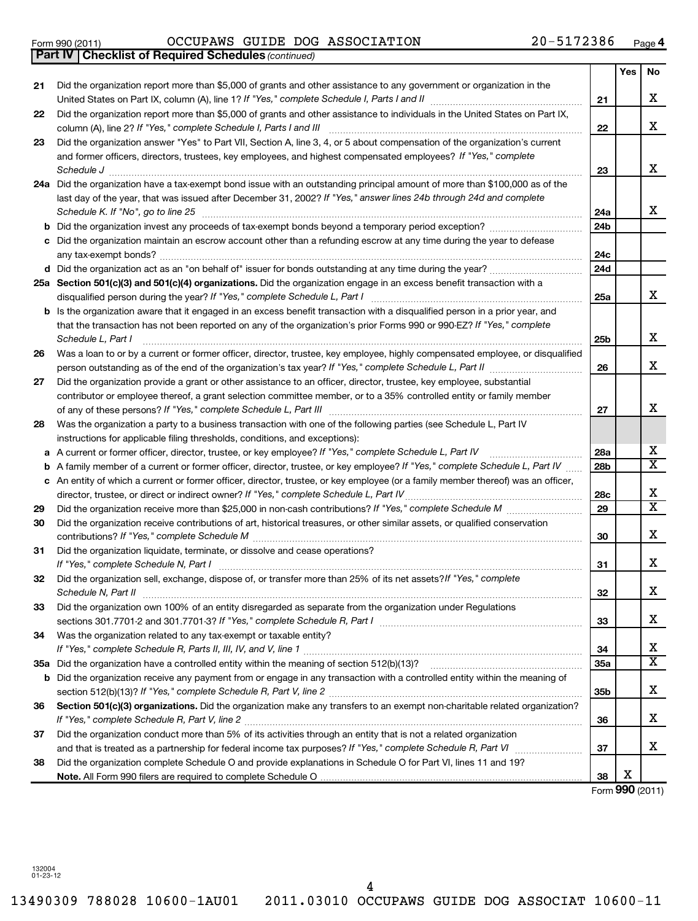Form 990 (2011)  $OCCUPANS$  GUIDE DOG ASSOCIATION  $20-5172386$  Page

*(continued)* **Part IV Checklist of Required Schedules**

|     |                                                                                                                                                                                                    |     | Yes | No                           |
|-----|----------------------------------------------------------------------------------------------------------------------------------------------------------------------------------------------------|-----|-----|------------------------------|
| 21  | Did the organization report more than \$5,000 of grants and other assistance to any government or organization in the                                                                              |     |     |                              |
|     |                                                                                                                                                                                                    | 21  |     | х                            |
| 22  | Did the organization report more than \$5,000 of grants and other assistance to individuals in the United States on Part IX,<br>column (A), line 2? If "Yes," complete Schedule I, Parts I and III | 22  |     | x                            |
| 23  | Did the organization answer "Yes" to Part VII, Section A, line 3, 4, or 5 about compensation of the organization's current                                                                         |     |     |                              |
|     | and former officers, directors, trustees, key employees, and highest compensated employees? If "Yes," complete                                                                                     |     |     |                              |
|     | Schedule J                                                                                                                                                                                         | 23  |     | x                            |
|     | 24a Did the organization have a tax-exempt bond issue with an outstanding principal amount of more than \$100,000 as of the                                                                        |     |     |                              |
|     | last day of the year, that was issued after December 31, 2002? If "Yes," answer lines 24b through 24d and complete                                                                                 |     |     |                              |
|     | Schedule K. If "No", go to line 25                                                                                                                                                                 | 24a |     | x                            |
| b   | Did the organization invest any proceeds of tax-exempt bonds beyond a temporary period exception?                                                                                                  | 24b |     |                              |
| с   | Did the organization maintain an escrow account other than a refunding escrow at any time during the year to defease                                                                               |     |     |                              |
|     |                                                                                                                                                                                                    | 24c |     |                              |
|     |                                                                                                                                                                                                    | 24d |     |                              |
|     | 25a Section 501(c)(3) and 501(c)(4) organizations. Did the organization engage in an excess benefit transaction with a                                                                             |     |     |                              |
|     |                                                                                                                                                                                                    | 25a |     | x                            |
|     | <b>b</b> Is the organization aware that it engaged in an excess benefit transaction with a disqualified person in a prior year, and                                                                |     |     |                              |
|     | that the transaction has not been reported on any of the organization's prior Forms 990 or 990-EZ? If "Yes," complete                                                                              |     |     |                              |
|     | Schedule L, Part I                                                                                                                                                                                 | 25b |     | х                            |
| 26  | Was a loan to or by a current or former officer, director, trustee, key employee, highly compensated employee, or disqualified                                                                     |     |     |                              |
|     |                                                                                                                                                                                                    | 26  |     | x                            |
| 27  | Did the organization provide a grant or other assistance to an officer, director, trustee, key employee, substantial                                                                               |     |     |                              |
|     | contributor or employee thereof, a grant selection committee member, or to a 35% controlled entity or family member                                                                                |     |     |                              |
|     |                                                                                                                                                                                                    | 27  |     | х                            |
| 28  | Was the organization a party to a business transaction with one of the following parties (see Schedule L, Part IV                                                                                  |     |     |                              |
|     | instructions for applicable filing thresholds, conditions, and exceptions):                                                                                                                        |     |     |                              |
| a   | A current or former officer, director, trustee, or key employee? If "Yes," complete Schedule L, Part IV                                                                                            | 28a |     | х                            |
| b   | A family member of a current or former officer, director, trustee, or key employee? If "Yes," complete Schedule L, Part IV                                                                         | 28b |     | $\overline{\textbf{x}}$      |
|     | c An entity of which a current or former officer, director, trustee, or key employee (or a family member thereof) was an officer,                                                                  |     |     |                              |
|     | director, trustee, or direct or indirect owner? If "Yes," complete Schedule L, Part IV                                                                                                             | 28c |     | х<br>$\overline{\textbf{x}}$ |
| 29  |                                                                                                                                                                                                    | 29  |     |                              |
| 30  | Did the organization receive contributions of art, historical treasures, or other similar assets, or qualified conservation                                                                        |     |     | x                            |
|     |                                                                                                                                                                                                    | 30  |     |                              |
| 31  | Did the organization liquidate, terminate, or dissolve and cease operations?                                                                                                                       | 31  |     | x                            |
| 32  | Did the organization sell, exchange, dispose of, or transfer more than 25% of its net assets? If "Yes," complete                                                                                   |     |     |                              |
|     | Schedule N, Part II                                                                                                                                                                                | 32  |     | X                            |
| 33  | Did the organization own 100% of an entity disregarded as separate from the organization under Regulations                                                                                         |     |     |                              |
|     |                                                                                                                                                                                                    | 33  |     | x                            |
| 34  | Was the organization related to any tax-exempt or taxable entity?                                                                                                                                  |     |     |                              |
|     |                                                                                                                                                                                                    | 34  |     | х                            |
| 35а |                                                                                                                                                                                                    | 35a |     | $\overline{\textbf{x}}$      |
| b   | Did the organization receive any payment from or engage in any transaction with a controlled entity within the meaning of                                                                          |     |     |                              |
|     |                                                                                                                                                                                                    | 35b |     | х                            |
| 36  | Section 501(c)(3) organizations. Did the organization make any transfers to an exempt non-charitable related organization?                                                                         |     |     |                              |
|     |                                                                                                                                                                                                    | 36  |     | х                            |
| 37  | Did the organization conduct more than 5% of its activities through an entity that is not a related organization                                                                                   |     |     |                              |
|     |                                                                                                                                                                                                    | 37  |     | х                            |
| 38  | Did the organization complete Schedule O and provide explanations in Schedule O for Part VI, lines 11 and 19?                                                                                      |     |     |                              |
|     |                                                                                                                                                                                                    | 38  | х   |                              |

Form (2011) **990**

132004 01-23-12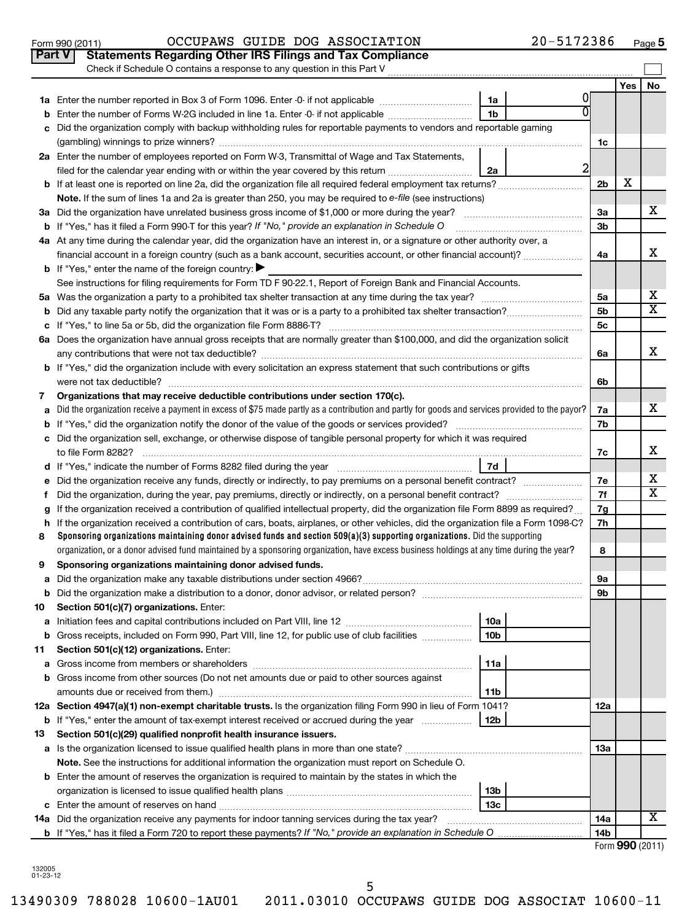|    | Check if Schedule O contains a response to any question in this Part V                                                                                                                                                           |                |       |    |
|----|----------------------------------------------------------------------------------------------------------------------------------------------------------------------------------------------------------------------------------|----------------|-------|----|
|    |                                                                                                                                                                                                                                  |                | Yes l | No |
|    | 0<br>1a                                                                                                                                                                                                                          |                |       |    |
| b  | $\overline{0}$<br>1 <sub>b</sub><br>Enter the number of Forms W-2G included in line 1a. Enter -0- if not applicable                                                                                                              |                |       |    |
| c  | Did the organization comply with backup withholding rules for reportable payments to vendors and reportable gaming                                                                                                               |                |       |    |
|    |                                                                                                                                                                                                                                  | 1c             |       |    |
|    | 2a Enter the number of employees reported on Form W-3, Transmittal of Wage and Tax Statements,                                                                                                                                   |                |       |    |
|    | $\overline{2}$<br>filed for the calendar year ending with or within the year covered by this return<br>2a                                                                                                                        |                |       |    |
|    |                                                                                                                                                                                                                                  | 2 <sub>b</sub> | x     |    |
|    | Note. If the sum of lines 1a and 2a is greater than 250, you may be required to e-file (see instructions)                                                                                                                        |                |       |    |
|    |                                                                                                                                                                                                                                  | За             |       | x. |
|    | <b>b</b> If "Yes," has it filed a Form 990-T for this year? If "No," provide an explanation in Schedule O                                                                                                                        | 3 <sub>b</sub> |       |    |
|    | 4a At any time during the calendar year, did the organization have an interest in, or a signature or other authority over, a                                                                                                     |                |       |    |
|    | financial account in a foreign country (such as a bank account, securities account, or other financial account)?                                                                                                                 | 4a             |       | x  |
|    | <b>b</b> If "Yes," enter the name of the foreign country:                                                                                                                                                                        |                |       |    |
|    | See instructions for filing requirements for Form TD F 90-22.1, Report of Foreign Bank and Financial Accounts.                                                                                                                   |                |       |    |
|    |                                                                                                                                                                                                                                  | 5a             |       | х  |
|    |                                                                                                                                                                                                                                  | 5 <sub>b</sub> |       | х  |
|    |                                                                                                                                                                                                                                  | 5c             |       |    |
|    | 6a Does the organization have annual gross receipts that are normally greater than \$100,000, and did the organization solicit                                                                                                   |                |       |    |
|    |                                                                                                                                                                                                                                  | 6a             |       | x  |
|    | b If "Yes," did the organization include with every solicitation an express statement that such contributions or gifts                                                                                                           |                |       |    |
|    | were not tax deductible?                                                                                                                                                                                                         | 6b             |       |    |
| 7  | Organizations that may receive deductible contributions under section 170(c).<br>Did the organization receive a payment in excess of \$75 made partly as a contribution and partly for goods and services provided to the payor? | 7a             |       | X. |
| а  |                                                                                                                                                                                                                                  | 7b             |       |    |
|    | c Did the organization sell, exchange, or otherwise dispose of tangible personal property for which it was required                                                                                                              |                |       |    |
|    |                                                                                                                                                                                                                                  | 7c             |       | x  |
|    | 7d                                                                                                                                                                                                                               |                |       |    |
|    | e Did the organization receive any funds, directly or indirectly, to pay premiums on a personal benefit contract?                                                                                                                | 7е             |       | х  |
| Ť  |                                                                                                                                                                                                                                  | 7f             |       | х  |
| g  | If the organization received a contribution of qualified intellectual property, did the organization file Form 8899 as required?                                                                                                 | 7g             |       |    |
|    | h If the organization received a contribution of cars, boats, airplanes, or other vehicles, did the organization file a Form 1098-C?                                                                                             | 7h             |       |    |
| 8  | Sponsoring organizations maintaining donor advised funds and section $509(a)(3)$ supporting organizations. Did the supporting                                                                                                    |                |       |    |
|    | organization, or a donor advised fund maintained by a sponsoring organization, have excess business holdings at any time during the year?                                                                                        | 8              |       |    |
| 9  | Sponsoring organizations maintaining donor advised funds.                                                                                                                                                                        |                |       |    |
|    |                                                                                                                                                                                                                                  | 9a             |       |    |
| b  |                                                                                                                                                                                                                                  | 9b             |       |    |
| 10 | Section 501(c)(7) organizations. Enter:                                                                                                                                                                                          |                |       |    |
| а  | 10a<br>Initiation fees and capital contributions included on Part VIII, line 12 <i>manual contribution</i> fees and capital contributions included on Part VIII, line 12                                                         |                |       |    |
| b  | Gross receipts, included on Form 990, Part VIII, line 12, for public use of club facilities<br>10 <sub>b</sub>                                                                                                                   |                |       |    |
| 11 | Section 501(c)(12) organizations. Enter:                                                                                                                                                                                         |                |       |    |
| а  | 11a                                                                                                                                                                                                                              |                |       |    |
|    | b Gross income from other sources (Do not net amounts due or paid to other sources against                                                                                                                                       |                |       |    |
|    | 11b<br>12a Section 4947(a)(1) non-exempt charitable trusts. Is the organization filing Form 990 in lieu of Form 1041?                                                                                                            |                |       |    |
|    | 12b                                                                                                                                                                                                                              | 12a            |       |    |
| 13 | <b>b</b> If "Yes," enter the amount of tax-exempt interest received or accrued during the year<br>Section 501(c)(29) qualified nonprofit health insurance issuers.                                                               |                |       |    |
|    |                                                                                                                                                                                                                                  | 13а            |       |    |
|    | Note. See the instructions for additional information the organization must report on Schedule O.                                                                                                                                |                |       |    |
|    | <b>b</b> Enter the amount of reserves the organization is required to maintain by the states in which the                                                                                                                        |                |       |    |
|    | 13 <sub>b</sub>                                                                                                                                                                                                                  |                |       |    |
|    | 13с                                                                                                                                                                                                                              |                |       |    |
|    | 14a Did the organization receive any payments for indoor tanning services during the tax year?                                                                                                                                   | 14a            |       | x  |
|    |                                                                                                                                                                                                                                  | 14b            |       |    |

Form 990 (2011)  $OCCUPANS$  GUIDE DOG ASSOCIATION  $20-5172386$  Page

**Part V** Statements Regarding Other IRS Filings and Tax Compliance

|  |  | Form 990 (2011) |
|--|--|-----------------|
|--|--|-----------------|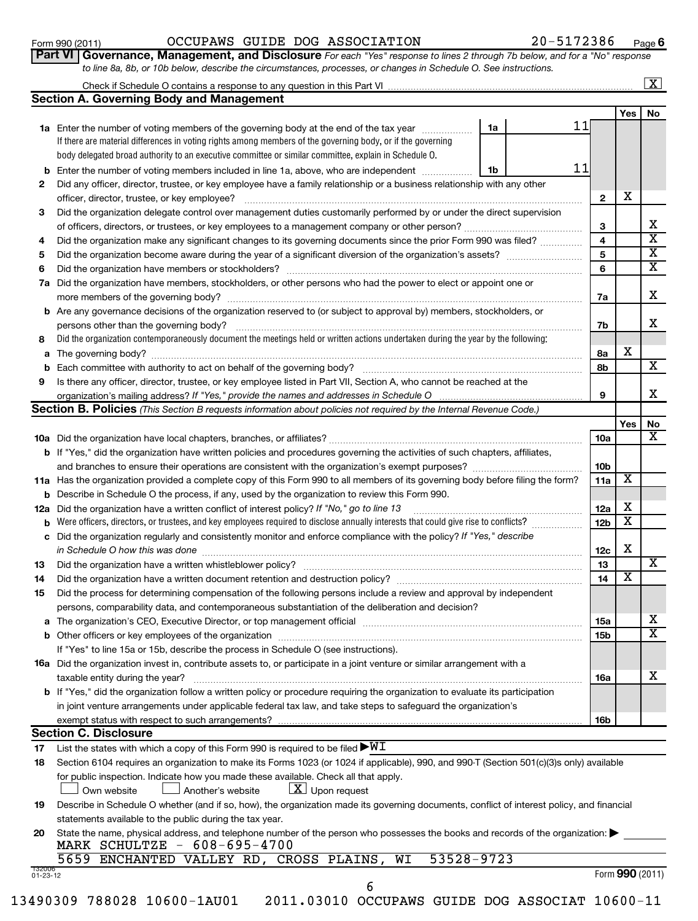#### Form 990 (2011)  $OCCUPANS$  GUIDE DOG ASSOCIATION  $20-5172386$  Page

**6**

| Part VI   Governance, Management, and Disclosure For each "Yes" response to lines 2 through 7b below, and for a "No" respons <sup>,</sup> |  |
|-------------------------------------------------------------------------------------------------------------------------------------------|--|
| to line 8a, 8b, or 10b below, describe the circumstances, processes, or changes in Schedule O. See instructions.                          |  |

|          |                                                                                                                                                                                                                                |          |                 |            | $\overline{\mathbf{x}}$ |
|----------|--------------------------------------------------------------------------------------------------------------------------------------------------------------------------------------------------------------------------------|----------|-----------------|------------|-------------------------|
|          | <b>Section A. Governing Body and Management</b>                                                                                                                                                                                |          |                 |            |                         |
|          |                                                                                                                                                                                                                                |          |                 | Yes        | No                      |
|          | 1a Enter the number of voting members of the governing body at the end of the tax year                                                                                                                                         | 11<br>1a |                 |            |                         |
|          | If there are material differences in voting rights among members of the governing body, or if the governing                                                                                                                    |          |                 |            |                         |
|          | body delegated broad authority to an executive committee or similar committee, explain in Schedule O.                                                                                                                          |          |                 |            |                         |
|          | <b>b</b> Enter the number of voting members included in line 1a, above, who are independent                                                                                                                                    | 11<br>1b |                 |            |                         |
| 2        | Did any officer, director, trustee, or key employee have a family relationship or a business relationship with any other                                                                                                       |          |                 |            |                         |
|          | officer, director, trustee, or key employee?                                                                                                                                                                                   |          | $\mathbf{2}$    | х          |                         |
| 3        | Did the organization delegate control over management duties customarily performed by or under the direct supervision                                                                                                          |          |                 |            |                         |
|          |                                                                                                                                                                                                                                |          | 3               |            | х                       |
| 4        | Did the organization make any significant changes to its governing documents since the prior Form 990 was filed?                                                                                                               |          | 4               |            | $\overline{\mathbf{X}}$ |
| 5        |                                                                                                                                                                                                                                |          | 5               |            | $\overline{\mathbf{x}}$ |
| 6        | Did the organization have members or stockholders?                                                                                                                                                                             |          | 6               |            | X                       |
| 7а       | Did the organization have members, stockholders, or other persons who had the power to elect or appoint one or                                                                                                                 |          |                 |            |                         |
|          | more members of the governing body?                                                                                                                                                                                            |          | 7a              |            | x                       |
|          | b Are any governance decisions of the organization reserved to (or subject to approval by) members, stockholders, or                                                                                                           |          |                 |            |                         |
|          | persons other than the governing body?                                                                                                                                                                                         |          | 7b              |            | x                       |
| 8        | Did the organization contemporaneously document the meetings held or written actions undertaken during the year by the following:                                                                                              |          |                 |            |                         |
|          | a The governing body?                                                                                                                                                                                                          |          | 8а              | х          |                         |
|          | <b>b</b> Each committee with authority to act on behalf of the governing body?                                                                                                                                                 |          | 8b              |            | х                       |
| 9        | Is there any officer, director, trustee, or key employee listed in Part VII, Section A, who cannot be reached at the                                                                                                           |          |                 |            |                         |
|          | organization's mailing address? If "Yes," provide the names and addresses in Schedule O                                                                                                                                        |          | 9               |            | x                       |
|          | Section B. Policies (This Section B requests information about policies not required by the Internal Revenue Code.)                                                                                                            |          |                 |            |                         |
|          |                                                                                                                                                                                                                                |          |                 | <b>Yes</b> | No                      |
|          |                                                                                                                                                                                                                                |          | 10a             |            | x                       |
|          | <b>b</b> If "Yes," did the organization have written policies and procedures governing the activities of such chapters, affiliates,                                                                                            |          |                 |            |                         |
|          |                                                                                                                                                                                                                                |          | 10 <sub>b</sub> |            |                         |
|          | 11a Has the organization provided a complete copy of this Form 990 to all members of its governing body before filing the form?                                                                                                |          | 11a             | х          |                         |
|          | <b>b</b> Describe in Schedule O the process, if any, used by the organization to review this Form 990.                                                                                                                         |          |                 |            |                         |
|          | 12a Did the organization have a written conflict of interest policy? If "No," go to line 13                                                                                                                                    |          | 12a             | х          |                         |
| b        |                                                                                                                                                                                                                                |          | 12 <sub>b</sub> | х          |                         |
|          | c Did the organization regularly and consistently monitor and enforce compliance with the policy? If "Yes," describe                                                                                                           |          |                 |            |                         |
|          | in Schedule O how this was done                                                                                                                                                                                                |          | 12c             | х          |                         |
| 13       | Did the organization have a written whistleblower policy?                                                                                                                                                                      |          | 13              |            | $\overline{\text{X}}$   |
| 14       | Did the organization have a written document retention and destruction policy?                                                                                                                                                 |          | 14              | х          |                         |
| 15       | Did the process for determining compensation of the following persons include a review and approval by independent                                                                                                             |          |                 |            |                         |
|          | persons, comparability data, and contemporaneous substantiation of the deliberation and decision?                                                                                                                              |          |                 |            |                         |
|          | a The organization's CEO, Executive Director, or top management official manufactured content content of the organization's CEO, Executive Director, or top management official manufactured content of the state of the state |          | 15a             |            | x                       |
|          |                                                                                                                                                                                                                                |          | 15b             |            | $\overline{\textbf{x}}$ |
|          | If "Yes" to line 15a or 15b, describe the process in Schedule O (see instructions).                                                                                                                                            |          |                 |            |                         |
|          | <b>16a</b> Did the organization invest in, contribute assets to, or participate in a joint venture or similar arrangement with a                                                                                               |          |                 |            |                         |
|          | taxable entity during the year?                                                                                                                                                                                                |          | 16a             |            | x                       |
|          | <b>b</b> If "Yes," did the organization follow a written policy or procedure requiring the organization to evaluate its participation                                                                                          |          |                 |            |                         |
|          | in joint venture arrangements under applicable federal tax law, and take steps to safeguard the organization's                                                                                                                 |          |                 |            |                         |
|          | exempt status with respect to such arrangements?                                                                                                                                                                               |          | 16b             |            |                         |
|          | <b>Section C. Disclosure</b>                                                                                                                                                                                                   |          |                 |            |                         |
|          | List the states with which a copy of this Form 990 is required to be filed $\blacktriangleright\texttt{WI}$                                                                                                                    |          |                 |            |                         |
| 17<br>18 | Section 6104 requires an organization to make its Forms 1023 (or 1024 if applicable), 990, and 990-T (Section 501(c)(3)s only) available                                                                                       |          |                 |            |                         |
|          | for public inspection. Indicate how you made these available. Check all that apply.                                                                                                                                            |          |                 |            |                         |
|          |                                                                                                                                                                                                                                |          |                 |            |                         |

| 19 Describe in Schedule O whether (and if so, how), the organization made its governing documents, conflict of interest policy, and financial |
|-----------------------------------------------------------------------------------------------------------------------------------------------|
| statements available to the public during the tax year.                                                                                       |

| 20 State the name, physical address, and telephone number of the person who possesses the books and records of the organization: |
|----------------------------------------------------------------------------------------------------------------------------------|
| MARK SCHULTZE - 608-695-4700                                                                                                     |

|                    | 5659 ENCHANTED VALLEY RD, CROSS PLAINS, |  |  | WI | 53528-9723: |  |
|--------------------|-----------------------------------------|--|--|----|-------------|--|
| 132006<br>01-23-12 |                                         |  |  |    |             |  |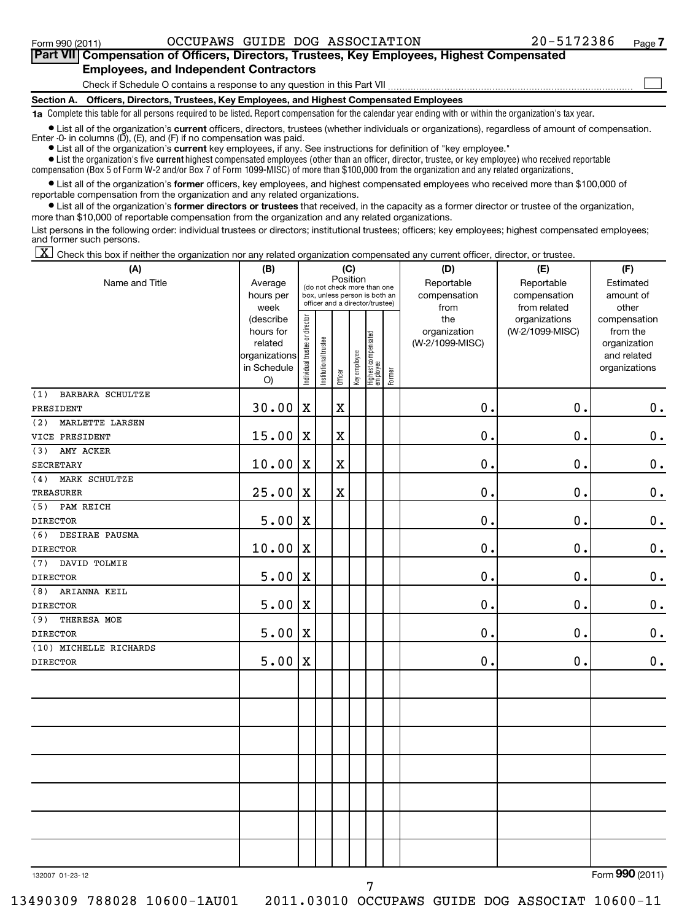#### **Section A. Officers, Directors, Trustees, Key Employees, and Highest Compensated Employees** Check if Schedule O contains a response to any question in this Part VII **Part VII Compensation of Officers, Directors, Trustees, Key Employees, Highest Compensated Employees, and Independent Contractors**  $\sim$

**1a**  Complete this table for all persons required to be listed. Report compensation for the calendar year ending with or within the organization's tax year.

**•** List all of the organization's current officers, directors, trustees (whether individuals or organizations), regardless of amount of compensation. Enter -0- in columns  $(D)$ ,  $(E)$ , and  $(F)$  if no compensation was paid.

**•** List all of the organization's **current** key employees, if any. See instructions for definition of "key employee."

 $\bullet$  List the organization's five  $\tt current$  highest compensated employees (other than an officer, director, trustee, or key employee) who received reportable compensation (Box 5 of Form W-2 and/or Box 7 of Form 1099-MISC) of more than \$100,000 from the organization and any related organizations .

 $\bullet$  List all of the organization's former officers, key employees, and highest compensated employees who received more than \$100,000 of reportable compensation from the organization and any related organizations.

**•** List all of the organization's former directors or trustees that received, in the capacity as a former director or trustee of the organization, more than \$10,000 of reportable compensation from the organization and any related organizations.

List persons in the following order: individual trustees or directors; institutional trustees; officers; key employees; highest compensated employees; and former such persons.

 $\boxed{\textbf{X}}$  Check this box if neither the organization nor any related organization compensated any current officer, director, or trustee.

| (A)                     | (B)                                                                     | (C)<br>Position                |                                                                                                 |             |              |                                 |        | (D)                                    | (E)                                        | (F)                                                                      |  |  |
|-------------------------|-------------------------------------------------------------------------|--------------------------------|-------------------------------------------------------------------------------------------------|-------------|--------------|---------------------------------|--------|----------------------------------------|--------------------------------------------|--------------------------------------------------------------------------|--|--|
| Name and Title          | Average<br>hours per<br>week                                            |                                | (do not check more than one<br>box, unless person is both an<br>officer and a director/trustee) |             |              |                                 |        | Reportable<br>compensation<br>from     | Reportable<br>compensation<br>from related | Estimated<br>amount of<br>other                                          |  |  |
|                         | (describe<br>hours for<br>related<br>organizations<br>in Schedule<br>O) | Individual trustee or director | Institutional trustee                                                                           | Officer     | Key employee | Highest compensated<br>employee | Former | the<br>organization<br>(W-2/1099-MISC) | organizations<br>(W-2/1099-MISC)           | compensation<br>from the<br>organization<br>and related<br>organizations |  |  |
| (1)<br>BARBARA SCHULTZE |                                                                         |                                |                                                                                                 |             |              |                                 |        |                                        |                                            |                                                                          |  |  |
| PRESIDENT               | 30.00                                                                   | $\mathbf X$                    |                                                                                                 | X           |              |                                 |        | $\mathbf 0$ .                          | $\mathbf 0$                                | $\mathbf 0$ .                                                            |  |  |
| MARLETTE LARSEN<br>(2)  |                                                                         |                                |                                                                                                 |             |              |                                 |        |                                        |                                            |                                                                          |  |  |
| VICE PRESIDENT          | 15.00                                                                   | $\mathbf X$                    |                                                                                                 | $\mathbf X$ |              |                                 |        | 0.                                     | $\mathbf 0$                                | $\mathbf 0$ .                                                            |  |  |
| (3)<br>AMY ACKER        |                                                                         |                                |                                                                                                 |             |              |                                 |        |                                        |                                            |                                                                          |  |  |
| <b>SECRETARY</b>        | 10.00                                                                   | X                              |                                                                                                 | $\mathbf X$ |              |                                 |        | 0.                                     | $\mathbf 0$                                | $\mathbf 0$ .                                                            |  |  |
| MARK SCHULTZE<br>(4)    |                                                                         |                                |                                                                                                 |             |              |                                 |        |                                        |                                            |                                                                          |  |  |
| <b>TREASURER</b>        | 25.00                                                                   | $\mathbf X$                    |                                                                                                 | X           |              |                                 |        | 0.                                     | 0.                                         | $\mathbf 0$ .                                                            |  |  |
| (5)<br>PAM REICH        |                                                                         |                                |                                                                                                 |             |              |                                 |        |                                        |                                            |                                                                          |  |  |
| <b>DIRECTOR</b>         | 5.00                                                                    | X                              |                                                                                                 |             |              |                                 |        | $\mathbf 0$ .                          | $\mathbf 0$                                | $\mathbf 0$ .                                                            |  |  |
| (6)<br>DESIRAE PAUSMA   |                                                                         |                                |                                                                                                 |             |              |                                 |        |                                        |                                            |                                                                          |  |  |
| <b>DIRECTOR</b>         | 10.00                                                                   | X                              |                                                                                                 |             |              |                                 |        | 0.                                     | 0.                                         | $\mathbf 0$ .                                                            |  |  |
| (7)<br>DAVID TOLMIE     |                                                                         |                                |                                                                                                 |             |              |                                 |        |                                        |                                            |                                                                          |  |  |
| <b>DIRECTOR</b>         | 5.00                                                                    | X                              |                                                                                                 |             |              |                                 |        | 0.                                     | $\mathbf 0$                                | $\mathbf 0$ .                                                            |  |  |
| ARIANNA KEIL<br>(8)     |                                                                         |                                |                                                                                                 |             |              |                                 |        |                                        |                                            |                                                                          |  |  |
| <b>DIRECTOR</b>         | 5.00                                                                    | $\mathbf X$                    |                                                                                                 |             |              |                                 |        | 0.                                     | $\mathbf 0$                                | $\mathbf 0$ .                                                            |  |  |
| (9)<br>THERESA MOE      |                                                                         |                                |                                                                                                 |             |              |                                 |        |                                        |                                            |                                                                          |  |  |
| <b>DIRECTOR</b>         | 5.00                                                                    | $\mathbf X$                    |                                                                                                 |             |              |                                 |        | $\mathbf 0$ .                          | $\mathbf 0$                                | $\mathbf 0$ .                                                            |  |  |
| (10) MICHELLE RICHARDS  |                                                                         |                                |                                                                                                 |             |              |                                 |        |                                        |                                            |                                                                          |  |  |
| <b>DIRECTOR</b>         | 5.00                                                                    | X                              |                                                                                                 |             |              |                                 |        | $\mathbf 0$ .                          | $\mathbf 0$                                | $\mathbf 0$ .                                                            |  |  |
|                         |                                                                         |                                |                                                                                                 |             |              |                                 |        |                                        |                                            |                                                                          |  |  |
|                         |                                                                         |                                |                                                                                                 |             |              |                                 |        |                                        |                                            |                                                                          |  |  |
|                         |                                                                         |                                |                                                                                                 |             |              |                                 |        |                                        |                                            |                                                                          |  |  |
|                         |                                                                         |                                |                                                                                                 |             |              |                                 |        |                                        |                                            |                                                                          |  |  |
|                         |                                                                         |                                |                                                                                                 |             |              |                                 |        |                                        |                                            |                                                                          |  |  |
|                         |                                                                         |                                |                                                                                                 |             |              |                                 |        |                                        |                                            |                                                                          |  |  |
|                         |                                                                         |                                |                                                                                                 |             |              |                                 |        |                                        |                                            |                                                                          |  |  |
| 132007 01-23-12         |                                                                         |                                |                                                                                                 |             |              |                                 |        |                                        |                                            | Form 990 (2011)                                                          |  |  |

13490309 788028 10600-1AU01 2011.03010 OCCUPAWS GUIDE DOG ASSOCIAT 10600-11

Form (2011) **990**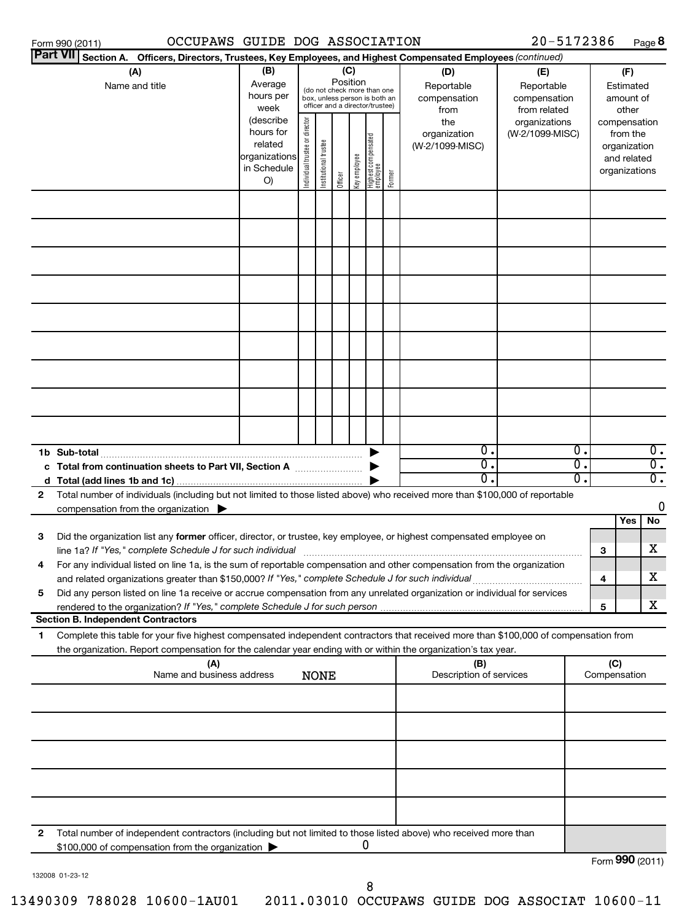| OCCUPAWS GUIDE DOG ASSOCIATION<br>Form 990 (2011)                                                                                                                                                                                                                                                                                                                  |                                                                           |                                                                                                                    |                       |         |              |                                           |                                                   |                                                          | 20-5172386                       |                                                                          |              | Page 8                                                   |
|--------------------------------------------------------------------------------------------------------------------------------------------------------------------------------------------------------------------------------------------------------------------------------------------------------------------------------------------------------------------|---------------------------------------------------------------------------|--------------------------------------------------------------------------------------------------------------------|-----------------------|---------|--------------|-------------------------------------------|---------------------------------------------------|----------------------------------------------------------|----------------------------------|--------------------------------------------------------------------------|--------------|----------------------------------------------------------|
| <b>Part VII</b><br>Section A. Officers, Directors, Trustees, Key Employees, and Highest Compensated Employees (continued)                                                                                                                                                                                                                                          |                                                                           |                                                                                                                    |                       |         |              |                                           |                                                   |                                                          |                                  |                                                                          |              |                                                          |
| (A)<br>Name and title                                                                                                                                                                                                                                                                                                                                              | (B)<br>Average<br>hours per<br>week                                       | (C)<br>Position<br>(do not check more than one<br>box, unless person is both an<br>officer and a director/trustee) |                       |         |              | (D)<br>Reportable<br>compensation<br>from | (E)<br>Reportable<br>compensation<br>from related |                                                          |                                  | (F)<br>Estimated<br>amount of<br>other                                   |              |                                                          |
|                                                                                                                                                                                                                                                                                                                                                                    | (describe<br>hours for<br>related<br> organizations <br>in Schedule<br>O) | Individual trustee or director                                                                                     | Institutional trustee | Officer | Key employee | Highest compensated<br>employee           | Former                                            | the<br>organization<br>(W-2/1099-MISC)                   | organizations<br>(W-2/1099-MISC) | compensation<br>from the<br>organization<br>and related<br>organizations |              |                                                          |
|                                                                                                                                                                                                                                                                                                                                                                    |                                                                           |                                                                                                                    |                       |         |              |                                           |                                                   |                                                          |                                  |                                                                          |              |                                                          |
|                                                                                                                                                                                                                                                                                                                                                                    |                                                                           |                                                                                                                    |                       |         |              |                                           |                                                   |                                                          |                                  |                                                                          |              |                                                          |
|                                                                                                                                                                                                                                                                                                                                                                    |                                                                           |                                                                                                                    |                       |         |              |                                           |                                                   |                                                          |                                  |                                                                          |              |                                                          |
|                                                                                                                                                                                                                                                                                                                                                                    |                                                                           |                                                                                                                    |                       |         |              |                                           |                                                   |                                                          |                                  |                                                                          |              |                                                          |
|                                                                                                                                                                                                                                                                                                                                                                    |                                                                           |                                                                                                                    |                       |         |              |                                           |                                                   |                                                          |                                  |                                                                          |              |                                                          |
|                                                                                                                                                                                                                                                                                                                                                                    |                                                                           |                                                                                                                    |                       |         |              |                                           |                                                   |                                                          |                                  |                                                                          |              |                                                          |
| c Total from continuation sheets to Part VII, Section A                                                                                                                                                                                                                                                                                                            |                                                                           |                                                                                                                    |                       |         |              |                                           |                                                   | $\overline{0}$ .<br>$\overline{0}$ .<br>$\overline{0}$ . |                                  | $\overline{0}$ .<br>$\overline{0}$ .<br>$\overline{0}$ .                 |              | $\overline{0}$ .<br>$\overline{0}$ .<br>$\overline{0}$ . |
| Total number of individuals (including but not limited to those listed above) who received more than \$100,000 of reportable<br>2<br>compensation from the organization                                                                                                                                                                                            |                                                                           |                                                                                                                    |                       |         |              |                                           |                                                   |                                                          |                                  |                                                                          | Yes          | 0<br><b>No</b>                                           |
| Did the organization list any former officer, director, or trustee, key employee, or highest compensated employee on<br>3                                                                                                                                                                                                                                          |                                                                           |                                                                                                                    |                       |         |              |                                           |                                                   |                                                          |                                  | 3                                                                        |              | x                                                        |
| For any individual listed on line 1a, is the sum of reportable compensation and other compensation from the organization<br>and related organizations greater than \$150,000? If "Yes," complete Schedule J for such individual<br>Did any person listed on line 1a receive or accrue compensation from any unrelated organization or individual for services<br>5 |                                                                           |                                                                                                                    |                       |         |              |                                           |                                                   |                                                          |                                  | 4                                                                        |              | x                                                        |
| rendered to the organization? If "Yes," complete Schedule J for such person                                                                                                                                                                                                                                                                                        |                                                                           |                                                                                                                    |                       |         |              |                                           |                                                   |                                                          |                                  | 5                                                                        |              | x.                                                       |
| <b>Section B. Independent Contractors</b><br>Complete this table for your five highest compensated independent contractors that received more than \$100,000 of compensation from<br>1                                                                                                                                                                             |                                                                           |                                                                                                                    |                       |         |              |                                           |                                                   |                                                          |                                  |                                                                          |              |                                                          |
| the organization. Report compensation for the calendar year ending with or within the organization's tax year.<br>(A)                                                                                                                                                                                                                                              |                                                                           |                                                                                                                    |                       |         |              |                                           |                                                   | (B)                                                      |                                  |                                                                          | (C)          |                                                          |
| Name and business address                                                                                                                                                                                                                                                                                                                                          |                                                                           |                                                                                                                    | <b>NONE</b>           |         |              |                                           |                                                   | Description of services                                  |                                  |                                                                          | Compensation |                                                          |
|                                                                                                                                                                                                                                                                                                                                                                    |                                                                           |                                                                                                                    |                       |         |              |                                           |                                                   |                                                          |                                  |                                                                          |              |                                                          |
|                                                                                                                                                                                                                                                                                                                                                                    |                                                                           |                                                                                                                    |                       |         |              |                                           |                                                   |                                                          |                                  |                                                                          |              |                                                          |
|                                                                                                                                                                                                                                                                                                                                                                    |                                                                           |                                                                                                                    |                       |         |              |                                           |                                                   |                                                          |                                  |                                                                          |              |                                                          |
| Total number of independent contractors (including but not limited to those listed above) who received more than<br>2<br>\$100,000 of compensation from the organization                                                                                                                                                                                           |                                                                           |                                                                                                                    |                       |         |              | 0                                         |                                                   |                                                          |                                  |                                                                          |              |                                                          |

132008 01-23-12

Form (2011) **990**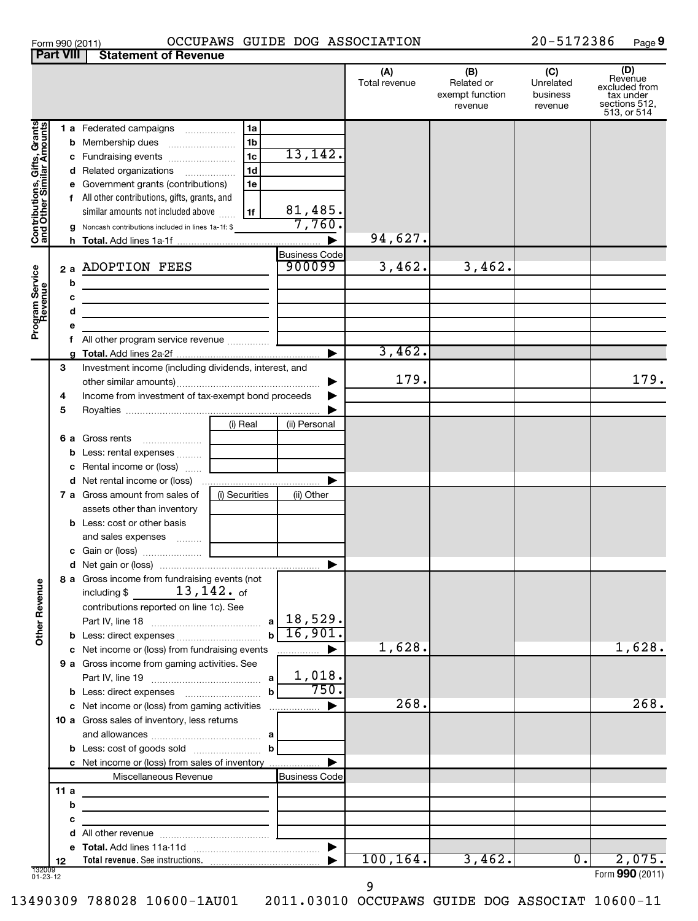#### Form 990 (2011) OCCUPAWS GUIDE DOG ASSOCIATION 20-5172386 Page

**9**

|                                                           | <b>Part VIII</b> | <b>Statement of Revenue</b>                                                                                                                                                                                                                                                               |                                                                      |                                |                      |                                                 |                                         |                                                                              |
|-----------------------------------------------------------|------------------|-------------------------------------------------------------------------------------------------------------------------------------------------------------------------------------------------------------------------------------------------------------------------------------------|----------------------------------------------------------------------|--------------------------------|----------------------|-------------------------------------------------|-----------------------------------------|------------------------------------------------------------------------------|
|                                                           |                  |                                                                                                                                                                                                                                                                                           |                                                                      |                                | (A)<br>Total revenue | (B)<br>Related or<br>exempt function<br>revenue | (C)<br>Unrelated<br>business<br>revenue | (D)<br>Revenue<br>excluded from<br>tax under<br>sections 512,<br>513, or 514 |
| Contributions, Gifts, Grants<br>and Other Similar Amounts | е                | 1 a Federated campaigns<br><b>b</b> Membership dues<br>c Fundraising events<br>d Related organizations<br>Government grants (contributions)<br>f All other contributions, gifts, grants, and<br>similar amounts not included above<br>g Noncash contributions included in lines 1a-1f: \$ | 1a<br>1 <sub>b</sub><br>1 <sub>c</sub><br>1 <sub>d</sub><br>1e<br>1f | 13,142.<br>81,485.<br>7,760.   |                      |                                                 |                                         |                                                                              |
|                                                           |                  |                                                                                                                                                                                                                                                                                           |                                                                      |                                | 94,627.              |                                                 |                                         |                                                                              |
| Program Service<br>Revenue                                | b                | 2 a ADOPTION FEES<br><u> 1989 - Johann John Stone, markin sanadi (</u>                                                                                                                                                                                                                    |                                                                      | <b>Business Code</b><br>900099 | 3,462.               | 3,462.                                          |                                         |                                                                              |
|                                                           | с                |                                                                                                                                                                                                                                                                                           |                                                                      |                                |                      |                                                 |                                         |                                                                              |
|                                                           | d                | <u> 1989 - Johann Stein, marwolaethau a bhann an t-Amhain an t-Amhain an t-Amhain an t-Amhain an t-Amhain an t-A</u>                                                                                                                                                                      |                                                                      |                                |                      |                                                 |                                         |                                                                              |
|                                                           | е                |                                                                                                                                                                                                                                                                                           |                                                                      |                                |                      |                                                 |                                         |                                                                              |
|                                                           |                  | f All other program service revenue                                                                                                                                                                                                                                                       |                                                                      |                                |                      |                                                 |                                         |                                                                              |
|                                                           |                  |                                                                                                                                                                                                                                                                                           |                                                                      |                                | 3,462.               |                                                 |                                         |                                                                              |
|                                                           | 3                | Investment income (including dividends, interest, and                                                                                                                                                                                                                                     |                                                                      | ▶                              | 179.                 |                                                 |                                         | 179.                                                                         |
|                                                           | 4                | Income from investment of tax-exempt bond proceeds                                                                                                                                                                                                                                        |                                                                      |                                |                      |                                                 |                                         |                                                                              |
|                                                           | 5                |                                                                                                                                                                                                                                                                                           |                                                                      |                                |                      |                                                 |                                         |                                                                              |
|                                                           | 6а               | Gross rents                                                                                                                                                                                                                                                                               | (i) Real                                                             | (ii) Personal                  |                      |                                                 |                                         |                                                                              |
|                                                           | b                | Less: rental expenses                                                                                                                                                                                                                                                                     |                                                                      |                                |                      |                                                 |                                         |                                                                              |
|                                                           | с                | Rental income or (loss)                                                                                                                                                                                                                                                                   |                                                                      |                                |                      |                                                 |                                         |                                                                              |
|                                                           |                  | d Net rental income or (loss)                                                                                                                                                                                                                                                             |                                                                      |                                |                      |                                                 |                                         |                                                                              |
|                                                           |                  | 7 a Gross amount from sales of                                                                                                                                                                                                                                                            | (i) Securities                                                       | (ii) Other                     |                      |                                                 |                                         |                                                                              |
|                                                           |                  | assets other than inventory<br><b>b</b> Less: cost or other basis<br>and sales expenses                                                                                                                                                                                                   |                                                                      |                                |                      |                                                 |                                         |                                                                              |
|                                                           |                  |                                                                                                                                                                                                                                                                                           |                                                                      |                                |                      |                                                 |                                         |                                                                              |
| Other Revenue                                             |                  | 8 a Gross income from fundraising events (not<br>$13$ , $142$ . of<br>including \$<br>contributions reported on line 1c). See                                                                                                                                                             | a l                                                                  | 18,529.                        |                      |                                                 |                                         |                                                                              |
|                                                           |                  |                                                                                                                                                                                                                                                                                           |                                                                      | 16,901.                        |                      |                                                 |                                         |                                                                              |
|                                                           |                  | c Net income or (loss) from fundraising events                                                                                                                                                                                                                                            |                                                                      |                                | 1,628.               |                                                 |                                         | 1,628.                                                                       |
|                                                           |                  | 9 a Gross income from gaming activities. See                                                                                                                                                                                                                                              | a                                                                    | 1,018.                         |                      |                                                 |                                         |                                                                              |
|                                                           |                  |                                                                                                                                                                                                                                                                                           | b                                                                    | 750.                           |                      |                                                 |                                         |                                                                              |
|                                                           |                  | c Net income or (loss) from gaming activities                                                                                                                                                                                                                                             |                                                                      |                                | 268.                 |                                                 |                                         | 268.                                                                         |
|                                                           |                  | 10 a Gross sales of inventory, less returns                                                                                                                                                                                                                                               |                                                                      |                                |                      |                                                 |                                         |                                                                              |
|                                                           |                  |                                                                                                                                                                                                                                                                                           | b                                                                    |                                |                      |                                                 |                                         |                                                                              |
|                                                           |                  | c Net income or (loss) from sales of inventory                                                                                                                                                                                                                                            |                                                                      |                                |                      |                                                 |                                         |                                                                              |
|                                                           |                  | Miscellaneous Revenue                                                                                                                                                                                                                                                                     |                                                                      | <b>Business Code</b>           |                      |                                                 |                                         |                                                                              |
|                                                           | 11a              |                                                                                                                                                                                                                                                                                           |                                                                      |                                |                      |                                                 |                                         |                                                                              |
|                                                           | b                | the control of the control of the control of the control of the control of                                                                                                                                                                                                                |                                                                      |                                |                      |                                                 |                                         |                                                                              |
|                                                           | c                |                                                                                                                                                                                                                                                                                           |                                                                      |                                |                      |                                                 |                                         |                                                                              |
|                                                           |                  |                                                                                                                                                                                                                                                                                           |                                                                      |                                |                      |                                                 |                                         |                                                                              |
|                                                           |                  |                                                                                                                                                                                                                                                                                           |                                                                      |                                |                      |                                                 |                                         |                                                                              |
|                                                           | 12               |                                                                                                                                                                                                                                                                                           |                                                                      |                                | 100, 164.            | 3,462.                                          | $\overline{0}$ .                        | 2,075.                                                                       |
| 132009<br>01-23-12                                        |                  |                                                                                                                                                                                                                                                                                           |                                                                      |                                |                      |                                                 |                                         | Form 990 (2011)                                                              |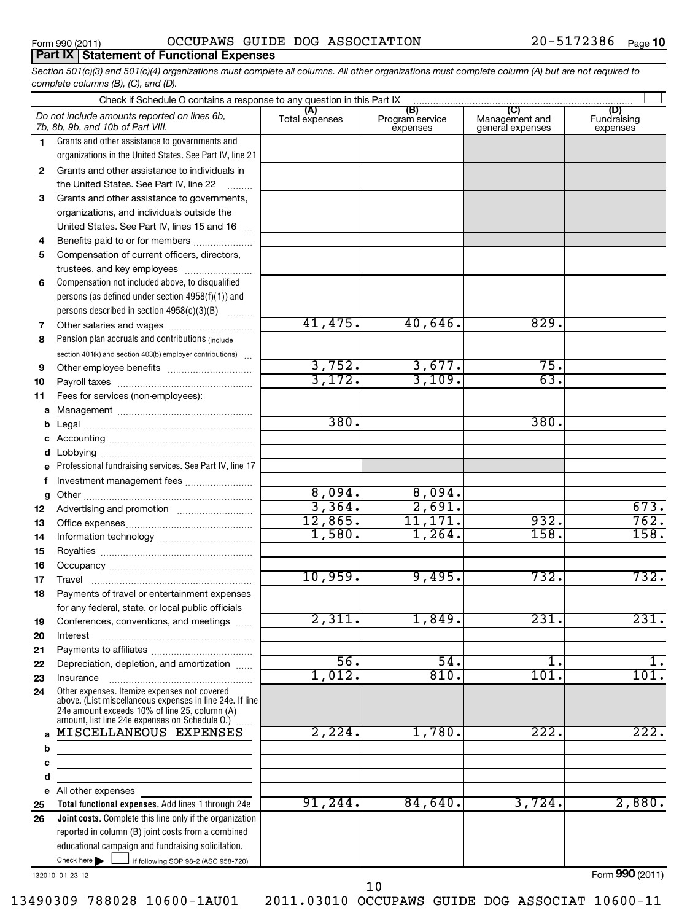## **Part IX Statement of Functional Expenses**

*Section 501(c)(3) and 501(c)(4) organizations must complete all columns. All other organizations must complete column (A) but are not required to complete columns (B), (C), and (D).*

|              | Check if Schedule O contains a response to any question in this Part IX [11] manufactured in the Schedule O contains a response to any question in this Part IX [11] manufactured in the Schedule O contains a response to any |                       |                                    |                                                      |                                |  |  |  |  |  |
|--------------|--------------------------------------------------------------------------------------------------------------------------------------------------------------------------------------------------------------------------------|-----------------------|------------------------------------|------------------------------------------------------|--------------------------------|--|--|--|--|--|
|              | Do not include amounts reported on lines 6b,<br>7b, 8b, 9b, and 10b of Part VIII.                                                                                                                                              | (A)<br>Total expenses | (B)<br>Program service<br>expenses | $\overline{C}$<br>Management and<br>general expenses | (D)<br>Fundraising<br>expenses |  |  |  |  |  |
| 1.           | Grants and other assistance to governments and                                                                                                                                                                                 |                       |                                    |                                                      |                                |  |  |  |  |  |
|              | organizations in the United States. See Part IV, line 21                                                                                                                                                                       |                       |                                    |                                                      |                                |  |  |  |  |  |
| $\mathbf{2}$ | Grants and other assistance to individuals in                                                                                                                                                                                  |                       |                                    |                                                      |                                |  |  |  |  |  |
|              | the United States. See Part IV, line 22                                                                                                                                                                                        |                       |                                    |                                                      |                                |  |  |  |  |  |
| 3            | Grants and other assistance to governments,                                                                                                                                                                                    |                       |                                    |                                                      |                                |  |  |  |  |  |
|              | organizations, and individuals outside the                                                                                                                                                                                     |                       |                                    |                                                      |                                |  |  |  |  |  |
|              | United States. See Part IV, lines 15 and 16                                                                                                                                                                                    |                       |                                    |                                                      |                                |  |  |  |  |  |
| 4            | Benefits paid to or for members                                                                                                                                                                                                |                       |                                    |                                                      |                                |  |  |  |  |  |
| 5            | Compensation of current officers, directors,                                                                                                                                                                                   |                       |                                    |                                                      |                                |  |  |  |  |  |
|              | trustees, and key employees                                                                                                                                                                                                    |                       |                                    |                                                      |                                |  |  |  |  |  |
| 6            | Compensation not included above, to disqualified                                                                                                                                                                               |                       |                                    |                                                      |                                |  |  |  |  |  |
|              | persons (as defined under section 4958(f)(1)) and                                                                                                                                                                              |                       |                                    |                                                      |                                |  |  |  |  |  |
|              | persons described in section 4958(c)(3)(B)                                                                                                                                                                                     |                       |                                    |                                                      |                                |  |  |  |  |  |
| 7            | Other salaries and wages                                                                                                                                                                                                       | 41,475.               | 40,646.                            | 829.                                                 |                                |  |  |  |  |  |
| 8            | Pension plan accruals and contributions (include)                                                                                                                                                                              |                       |                                    |                                                      |                                |  |  |  |  |  |
|              | section 401(k) and section 403(b) employer contributions)                                                                                                                                                                      | 3,752.                | 3,677.                             | 75.                                                  |                                |  |  |  |  |  |
| 9            |                                                                                                                                                                                                                                | 3,172.                | 3,109.                             | 63.                                                  |                                |  |  |  |  |  |
| 10           |                                                                                                                                                                                                                                |                       |                                    |                                                      |                                |  |  |  |  |  |
| 11           | Fees for services (non-employees):                                                                                                                                                                                             |                       |                                    |                                                      |                                |  |  |  |  |  |
| a            |                                                                                                                                                                                                                                | 380.                  |                                    | 380.                                                 |                                |  |  |  |  |  |
| b            |                                                                                                                                                                                                                                |                       |                                    |                                                      |                                |  |  |  |  |  |
| c            |                                                                                                                                                                                                                                |                       |                                    |                                                      |                                |  |  |  |  |  |
| d<br>e       | Professional fundraising services. See Part IV, line 17                                                                                                                                                                        |                       |                                    |                                                      |                                |  |  |  |  |  |
| f            | Investment management fees                                                                                                                                                                                                     |                       |                                    |                                                      |                                |  |  |  |  |  |
| g            |                                                                                                                                                                                                                                | 8,094.                | 8,094.                             |                                                      |                                |  |  |  |  |  |
| 12           |                                                                                                                                                                                                                                | 3,364.                | 2,691.                             |                                                      | 673.                           |  |  |  |  |  |
| 13           |                                                                                                                                                                                                                                | 12,865.               | 11,171.                            | 932.                                                 | 762.                           |  |  |  |  |  |
| 14           |                                                                                                                                                                                                                                | 1,580.                | 1,264.                             | $\overline{158}$                                     | 158.                           |  |  |  |  |  |
| 15           |                                                                                                                                                                                                                                |                       |                                    |                                                      |                                |  |  |  |  |  |
| 16           |                                                                                                                                                                                                                                |                       |                                    |                                                      |                                |  |  |  |  |  |
| 17           |                                                                                                                                                                                                                                | 10,959.               | 9,495.                             | 732.                                                 | 732.                           |  |  |  |  |  |
| 18           | Payments of travel or entertainment expenses                                                                                                                                                                                   |                       |                                    |                                                      |                                |  |  |  |  |  |
|              | for any federal, state, or local public officials                                                                                                                                                                              |                       |                                    |                                                      |                                |  |  |  |  |  |
| 19           | Conferences, conventions, and meetings                                                                                                                                                                                         | 2,311.                | 1,849.                             | 231                                                  | 231.                           |  |  |  |  |  |
| 20           | Interest                                                                                                                                                                                                                       |                       |                                    |                                                      |                                |  |  |  |  |  |
| 21           |                                                                                                                                                                                                                                |                       |                                    |                                                      |                                |  |  |  |  |  |
| 22           | Depreciation, depletion, and amortization                                                                                                                                                                                      | $\overline{56}$ .     | $\overline{54}$ .                  | $1$ .                                                | 1.                             |  |  |  |  |  |
| 23           | Insurance                                                                                                                                                                                                                      | 1,012.                | 810.                               | $\overline{101}$ .                                   | 101.                           |  |  |  |  |  |
| 24           | Other expenses. Itemize expenses not covered<br>above. (List miscellaneous expenses in line 24e. If line<br>24e amount exceeds 10% of line 25, column (A)<br>amount, list line 24e expenses on Schedule O.) [                  |                       |                                    |                                                      |                                |  |  |  |  |  |
| a            | MISCELLANEOUS EXPENSES                                                                                                                                                                                                         | 2,224.                | 1,780.                             | $\overline{222}$ .                                   | 222.                           |  |  |  |  |  |
| b            | the control of the control of the control of the control of the control of                                                                                                                                                     |                       |                                    |                                                      |                                |  |  |  |  |  |
| c            | the control of the control of the control of the control of the control of                                                                                                                                                     |                       |                                    |                                                      |                                |  |  |  |  |  |
| d            | <u> 1980 - Johann Barbara, martin a</u>                                                                                                                                                                                        |                       |                                    |                                                      |                                |  |  |  |  |  |
| е            | All other expenses                                                                                                                                                                                                             |                       |                                    |                                                      |                                |  |  |  |  |  |
| 25           | Total functional expenses. Add lines 1 through 24e                                                                                                                                                                             | 91, 244.              | 84,640.                            | 3,724.                                               | 2,880.                         |  |  |  |  |  |
| 26           | <b>Joint costs.</b> Complete this line only if the organization                                                                                                                                                                |                       |                                    |                                                      |                                |  |  |  |  |  |
|              | reported in column (B) joint costs from a combined                                                                                                                                                                             |                       |                                    |                                                      |                                |  |  |  |  |  |
|              | educational campaign and fundraising solicitation.                                                                                                                                                                             |                       |                                    |                                                      |                                |  |  |  |  |  |
|              | Check here $\blacktriangleright$<br>if following SOP 98-2 (ASC 958-720)                                                                                                                                                        |                       |                                    |                                                      |                                |  |  |  |  |  |

132010 01-23-12

Form (2011) **990**

10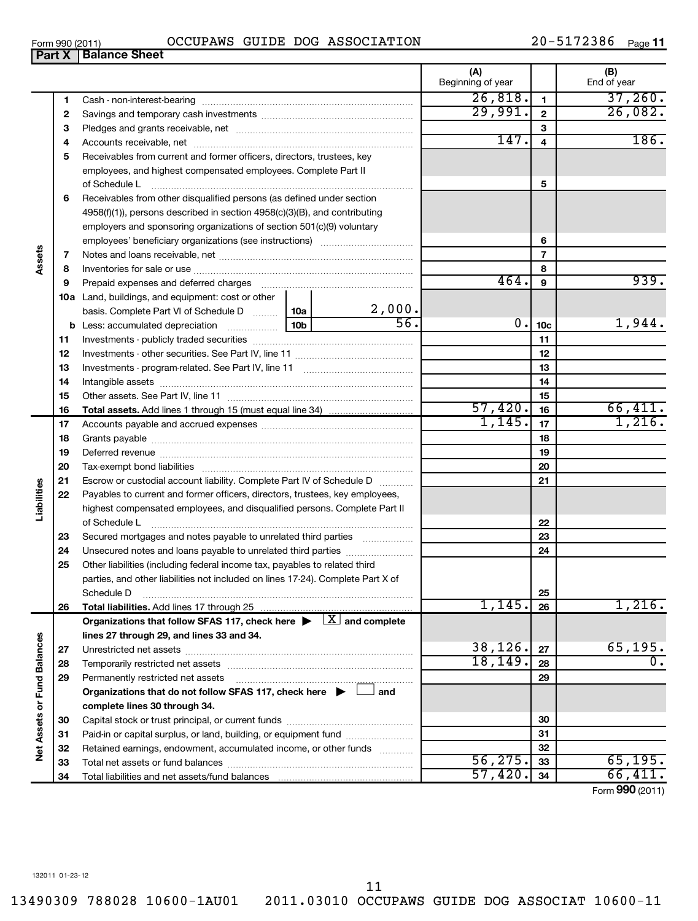13490309 788028 10600-1AU01 2011.03010 OCCUPAWS GUIDE DOG ASSOCIAT 10600-11 11

| Form 990 (2011) |  | OCCUPAWS GUIDE DOG ASSOCIATION | 20-5172386 | Page 11 |
|-----------------|--|--------------------------------|------------|---------|

|                             |    | OCCUPAWS GUIDE DOG ASSOCIATION<br>Form 990 (2011)                                          |                   |                          |                 | 20-5172386<br>Page <b>11</b> |
|-----------------------------|----|--------------------------------------------------------------------------------------------|-------------------|--------------------------|-----------------|------------------------------|
|                             |    | <b>Part X   Balance Sheet</b>                                                              |                   |                          |                 |                              |
|                             |    |                                                                                            |                   | (A)<br>Beginning of year |                 | (B)<br>End of year           |
|                             | 1  |                                                                                            |                   | 26,818.                  | 1               | 37,260.                      |
|                             | 2  |                                                                                            |                   | 29,991.                  | $\mathbf{2}$    | 26,082.                      |
|                             | 3  |                                                                                            |                   |                          | 3               |                              |
|                             | 4  |                                                                                            |                   | 147.                     | 4               | 186.                         |
|                             | 5  | Receivables from current and former officers, directors, trustees, key                     |                   |                          |                 |                              |
|                             |    | employees, and highest compensated employees. Complete Part II                             |                   |                          |                 |                              |
|                             |    | of Schedule L                                                                              |                   |                          | 5               |                              |
|                             | 6  | Receivables from other disqualified persons (as defined under section                      |                   |                          |                 |                              |
|                             |    | 4958(f)(1)), persons described in section 4958(c)(3)(B), and contributing                  |                   |                          |                 |                              |
|                             |    | employers and sponsoring organizations of section 501(c)(9) voluntary                      |                   |                          |                 |                              |
|                             |    |                                                                                            |                   |                          | 6               |                              |
| Assets                      | 7  |                                                                                            |                   |                          | 7               |                              |
|                             | 8  |                                                                                            |                   |                          | 8               |                              |
|                             | 9  | Prepaid expenses and deferred charges                                                      |                   | 464.                     | 9               | 939.                         |
|                             |    | 10a Land, buildings, and equipment: cost or other                                          |                   |                          |                 |                              |
|                             |    | basis. Complete Part VI of Schedule D  10a                                                 | 2,000.            |                          |                 |                              |
|                             |    |                                                                                            | $\overline{56}$ . | 0.                       | 10 <sub>c</sub> | 1,944.                       |
|                             | 11 |                                                                                            |                   |                          | 11              |                              |
|                             | 12 |                                                                                            |                   |                          | 12              |                              |
|                             | 13 |                                                                                            |                   |                          | 13              |                              |
|                             | 14 |                                                                                            |                   |                          | 14              |                              |
|                             | 15 |                                                                                            |                   |                          | 15              |                              |
|                             | 16 |                                                                                            |                   | 57,420.                  | 16              | 66,411.                      |
|                             | 17 |                                                                                            |                   | 1,145.                   | 17              | 1,216.                       |
|                             | 18 |                                                                                            |                   |                          | 18              |                              |
|                             | 19 |                                                                                            |                   |                          | 19              |                              |
|                             | 20 |                                                                                            |                   |                          | 20              |                              |
|                             | 21 | Escrow or custodial account liability. Complete Part IV of Schedule D                      |                   |                          | 21              |                              |
|                             | 22 | Payables to current and former officers, directors, trustees, key employees,               |                   |                          |                 |                              |
| Liabilities                 |    | highest compensated employees, and disqualified persons. Complete Part II<br>of Schedule L |                   |                          | 22              |                              |
|                             | 23 | Secured mortgages and notes payable to unrelated third parties                             |                   |                          | 23              |                              |
|                             |    |                                                                                            |                   |                          | 24              |                              |
|                             | 24 | Other liabilities (including federal income tax, payables to related third                 |                   |                          |                 |                              |
|                             | 25 | parties, and other liabilities not included on lines 17-24). Complete Part X of            |                   |                          |                 |                              |
|                             |    | Schedule D                                                                                 |                   |                          | 25              |                              |
|                             | 26 | Total liabilities. Add lines 17 through 25                                                 |                   | 1,145.                   | 26              | 1,216.                       |
|                             |    | Organizations that follow SFAS 117, check here $\blacktriangleright \Box X$ and complete   |                   |                          |                 |                              |
|                             |    | lines 27 through 29, and lines 33 and 34.                                                  |                   |                          |                 |                              |
|                             | 27 |                                                                                            |                   | 38,126.                  | 27              | 65, 195.                     |
|                             | 28 |                                                                                            |                   | 18, 149.                 | 28              | 0.                           |
|                             | 29 | Permanently restricted net assets                                                          |                   |                          | 29              |                              |
|                             |    | Organizations that do not follow SFAS 117, check here $\blacktriangleright$                | and               |                          |                 |                              |
|                             |    | complete lines 30 through 34.                                                              |                   |                          |                 |                              |
|                             | 30 |                                                                                            |                   |                          | 30              |                              |
|                             | 31 | Paid-in or capital surplus, or land, building, or equipment fund                           |                   |                          | 31              |                              |
| Net Assets or Fund Balances | 32 | Retained earnings, endowment, accumulated income, or other funds                           |                   |                          | 32              |                              |
|                             | 33 |                                                                                            |                   | 56, 275.                 | 33              | 65, 195.                     |
|                             | 34 |                                                                                            |                   | 57,420.                  | 34              | 66,411.                      |
|                             |    |                                                                                            |                   |                          |                 |                              |

Form (2011) **990**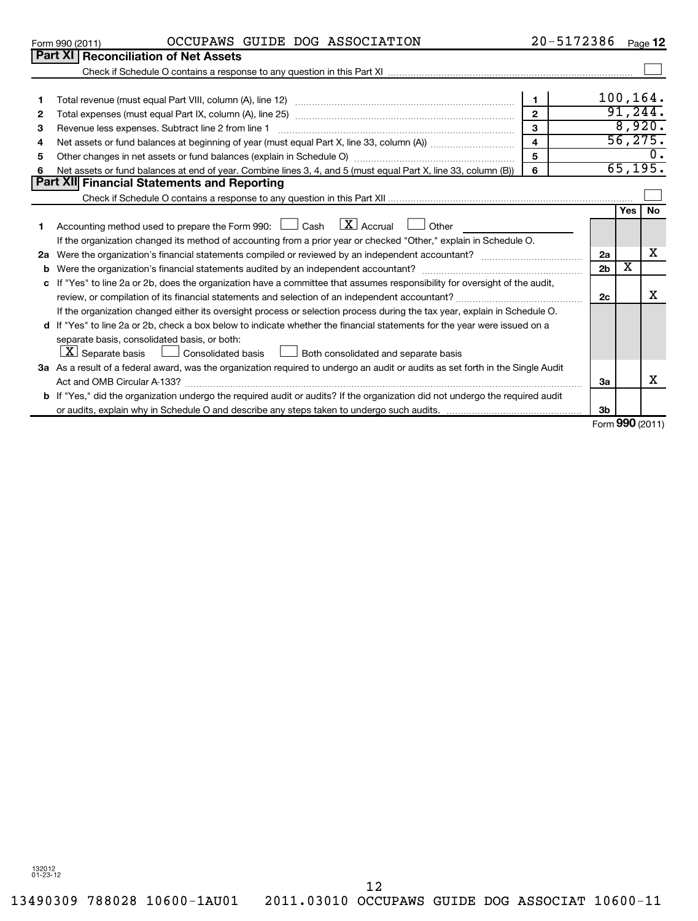13490309 788028 10600-1AU01 2011.03010 OCCUPAWS GUIDE DOG ASSOCIAT 10600-11 12

|    |                                                                                                                |   | 100 |
|----|----------------------------------------------------------------------------------------------------------------|---|-----|
|    | Total expenses (must equal Part IX, column (A), line 25)                                                       | ◠ |     |
| з  | Revenue less expenses. Subtract line 2 from line 1                                                             | ◠ |     |
|    | Net assets or fund balances at beginning of year (must equal Part X, line 33, column (A))                      |   |     |
| 5. | Other changes in net assets or fund balances (explain in Schedule O)                                           | 5 |     |
| 6  | Net assets or fund balances at end of year. Combine lines 3, 4, and 5 (must equal Part X, line 33, column (B)) |   |     |
|    | <b>Part XII Financial Statements and Reporting</b>                                                             |   |     |

|    |                                                                                                                                      |                | Yes                           | <b>No</b> |
|----|--------------------------------------------------------------------------------------------------------------------------------------|----------------|-------------------------------|-----------|
|    | Accounting method used to prepare the Form 990: $\Box$ Cash $\Box X$ Accrual<br>Other                                                |                |                               |           |
|    | If the organization changed its method of accounting from a prior year or checked "Other," explain in Schedule O.                    |                |                               |           |
| 2a | Were the organization's financial statements compiled or reviewed by an independent accountant?                                      | 2a             |                               | х         |
| b  |                                                                                                                                      | 2 <sub>b</sub> | х                             |           |
|    | c If "Yes" to line 2a or 2b, does the organization have a committee that assumes responsibility for oversight of the audit,          |                |                               |           |
|    |                                                                                                                                      | 2c             |                               |           |
|    | If the organization changed either its oversight process or selection process during the tax year, explain in Schedule O.            |                |                               |           |
|    | d If "Yes" to line 2a or 2b, check a box below to indicate whether the financial statements for the year were issued on a            |                |                               |           |
|    | separate basis, consolidated basis, or both:                                                                                         |                |                               |           |
|    | $\lfloor \mathbf{X} \rfloor$ Separate basis $\lfloor \ \rfloor$ Consolidated basis<br>Both consolidated and separate basis           |                |                               |           |
|    | 3a As a result of a federal award, was the organization required to undergo an audit or audits as set forth in the Single Audit      |                |                               |           |
|    | Act and OMB Circular A-133?                                                                                                          | За             |                               |           |
|    | <b>b</b> If "Yes," did the organization undergo the required audit or audits? If the organization did not undergo the required audit |                |                               |           |
|    |                                                                                                                                      | 3b             |                               |           |
|    |                                                                                                                                      |                | $\mathsf{F}$ 000 $\mathsf{F}$ |           |

Check if Schedule O contains a response to any question in this Part XII

Form (2011) **990**

 $\sim$ 

100,164. 91,244. 8,920. 56,275.

65,195.

 $\sim$ 

 $\overline{0}$ .

Form 990 (2011)  $OCCUPANS$   $GUIDE$   $DOG$   $ASSOCIATION$   $20-5172386$   $Page$ 

**Part XI** Reconciliation of Net Assets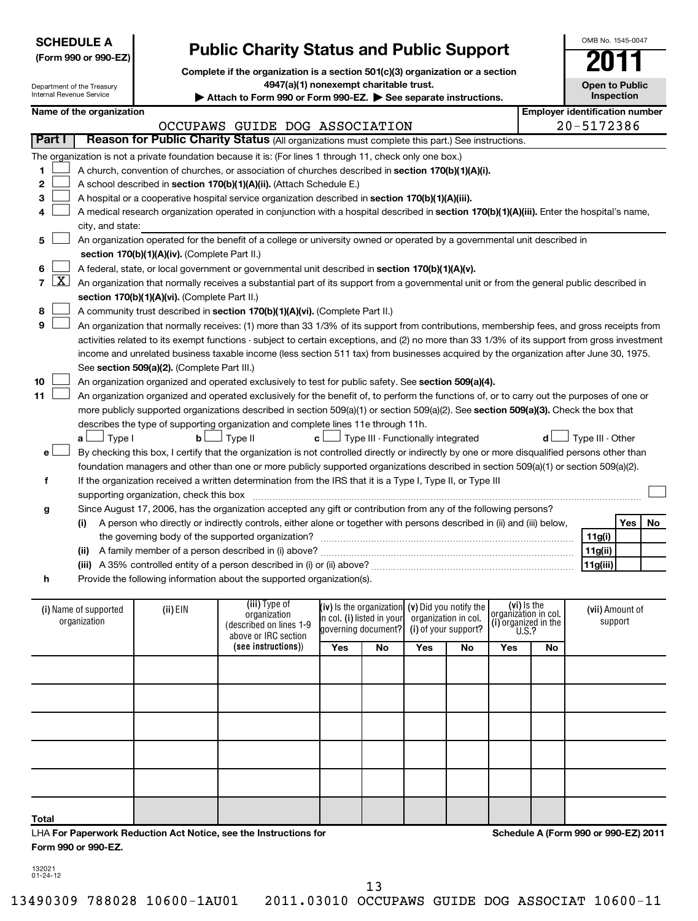| <b>SCHEDULE A</b>              | (Form 990 or 990-EZ)                  |                                               | <b>Public Charity Status and Public Support</b>                                                                                                                                          |                     |                                                   |                      |           |                                     |                                       | OMB No. 1545-0047     |            |    |
|--------------------------------|---------------------------------------|-----------------------------------------------|------------------------------------------------------------------------------------------------------------------------------------------------------------------------------------------|---------------------|---------------------------------------------------|----------------------|-----------|-------------------------------------|---------------------------------------|-----------------------|------------|----|
| Internal Revenue Service       | Department of the Treasury            |                                               | Complete if the organization is a section 501(c)(3) organization or a section<br>4947(a)(1) nonexempt charitable trust.<br>Attach to Form 990 or Form 990-EZ. See separate instructions. |                     |                                                   |                      |           |                                     |                                       | <b>Open to Public</b> | Inspection |    |
|                                | Name of the organization              |                                               |                                                                                                                                                                                          |                     |                                                   |                      |           |                                     | <b>Employer identification number</b> |                       |            |    |
|                                |                                       |                                               | OCCUPAWS GUIDE DOG ASSOCIATION                                                                                                                                                           |                     |                                                   |                      |           |                                     |                                       | 20-5172386            |            |    |
| Part I                         |                                       |                                               | Reason for Public Charity Status (All organizations must complete this part.) See instructions.                                                                                          |                     |                                                   |                      |           |                                     |                                       |                       |            |    |
|                                |                                       |                                               | The organization is not a private foundation because it is: (For lines 1 through 11, check only one box.)                                                                                |                     |                                                   |                      |           |                                     |                                       |                       |            |    |
| 1                              |                                       |                                               | A church, convention of churches, or association of churches described in section 170(b)(1)(A)(i).                                                                                       |                     |                                                   |                      |           |                                     |                                       |                       |            |    |
| 2                              |                                       |                                               | A school described in section 170(b)(1)(A)(ii). (Attach Schedule E.)                                                                                                                     |                     |                                                   |                      |           |                                     |                                       |                       |            |    |
| З                              |                                       |                                               | A hospital or a cooperative hospital service organization described in section 170(b)(1)(A)(iii).                                                                                        |                     |                                                   |                      |           |                                     |                                       |                       |            |    |
| 4                              |                                       |                                               | A medical research organization operated in conjunction with a hospital described in section 170(b)(1)(A)(iii). Enter the hospital's name,                                               |                     |                                                   |                      |           |                                     |                                       |                       |            |    |
|                                | city, and state:                      |                                               |                                                                                                                                                                                          |                     |                                                   |                      |           |                                     |                                       |                       |            |    |
| 5                              |                                       |                                               | An organization operated for the benefit of a college or university owned or operated by a governmental unit described in                                                                |                     |                                                   |                      |           |                                     |                                       |                       |            |    |
|                                |                                       | section 170(b)(1)(A)(iv). (Complete Part II.) |                                                                                                                                                                                          |                     |                                                   |                      |           |                                     |                                       |                       |            |    |
| 6                              |                                       |                                               | A federal, state, or local government or governmental unit described in section 170(b)(1)(A)(v).                                                                                         |                     |                                                   |                      |           |                                     |                                       |                       |            |    |
| $\mathbf{X}$<br>$\overline{7}$ |                                       |                                               | An organization that normally receives a substantial part of its support from a governmental unit or from the general public described in                                                |                     |                                                   |                      |           |                                     |                                       |                       |            |    |
|                                |                                       | section 170(b)(1)(A)(vi). (Complete Part II.) |                                                                                                                                                                                          |                     |                                                   |                      |           |                                     |                                       |                       |            |    |
| 8                              |                                       |                                               | A community trust described in section 170(b)(1)(A)(vi). (Complete Part II.)                                                                                                             |                     |                                                   |                      |           |                                     |                                       |                       |            |    |
| 9                              |                                       |                                               | An organization that normally receives: (1) more than 33 1/3% of its support from contributions, membership fees, and gross receipts from                                                |                     |                                                   |                      |           |                                     |                                       |                       |            |    |
|                                |                                       |                                               | activities related to its exempt functions - subject to certain exceptions, and (2) no more than 33 1/3% of its support from gross investment                                            |                     |                                                   |                      |           |                                     |                                       |                       |            |    |
|                                |                                       |                                               | income and unrelated business taxable income (less section 511 tax) from businesses acquired by the organization after June 30, 1975.                                                    |                     |                                                   |                      |           |                                     |                                       |                       |            |    |
|                                |                                       | See section 509(a)(2). (Complete Part III.)   |                                                                                                                                                                                          |                     |                                                   |                      |           |                                     |                                       |                       |            |    |
| 10                             |                                       |                                               | An organization organized and operated exclusively to test for public safety. See section 509(a)(4).                                                                                     |                     |                                                   |                      |           |                                     |                                       |                       |            |    |
| 11                             |                                       |                                               | An organization organized and operated exclusively for the benefit of, to perform the functions of, or to carry out the purposes of one or                                               |                     |                                                   |                      |           |                                     |                                       |                       |            |    |
|                                |                                       |                                               | more publicly supported organizations described in section 509(a)(1) or section 509(a)(2). See section 509(a)(3). Check the box that                                                     |                     |                                                   |                      |           |                                     |                                       |                       |            |    |
|                                |                                       |                                               | describes the type of supporting organization and complete lines 11e through 11h.                                                                                                        |                     |                                                   |                      |           |                                     |                                       |                       |            |    |
|                                | $a \Box$ Type I                       | b <sub>l</sub>                                | Type II                                                                                                                                                                                  | c l                 | Type III - Functionally integrated                |                      |           |                                     | d l                                   | Type III - Other      |            |    |
| e                              |                                       |                                               | By checking this box, I certify that the organization is not controlled directly or indirectly by one or more disqualified persons other than                                            |                     |                                                   |                      |           |                                     |                                       |                       |            |    |
|                                |                                       |                                               | foundation managers and other than one or more publicly supported organizations described in section 509(a)(1) or section 509(a)(2).                                                     |                     |                                                   |                      |           |                                     |                                       |                       |            |    |
| f                              |                                       |                                               | If the organization received a written determination from the IRS that it is a Type I, Type II, or Type III                                                                              |                     |                                                   |                      |           |                                     |                                       |                       |            |    |
|                                |                                       | supporting organization, check this box       |                                                                                                                                                                                          |                     |                                                   |                      |           |                                     |                                       |                       |            |    |
| g                              |                                       |                                               | Since August 17, 2006, has the organization accepted any gift or contribution from any of the following persons?                                                                         |                     |                                                   |                      |           |                                     |                                       |                       |            |    |
|                                | (i)                                   |                                               | A person who directly or indirectly controls, either alone or together with persons described in (ii) and (iii) below,                                                                   |                     |                                                   |                      |           |                                     |                                       |                       | Yes        | No |
|                                |                                       |                                               | the governing body of the supported organization?                                                                                                                                        |                     |                                                   |                      |           |                                     |                                       | 11g(i)                |            |    |
|                                | (ii)                                  |                                               | A family member of a person described in (i) above?                                                                                                                                      |                     |                                                   |                      |           |                                     |                                       | 11g(ii)               |            |    |
|                                |                                       |                                               |                                                                                                                                                                                          |                     |                                                   |                      |           |                                     |                                       | 11g(iii)              |            |    |
| h                              |                                       |                                               | Provide the following information about the supported organization(s).                                                                                                                   |                     |                                                   |                      |           |                                     |                                       |                       |            |    |
|                                |                                       |                                               | (iii) Type of                                                                                                                                                                            |                     | (iv) is the organization $(v)$ Did you notify the |                      |           |                                     |                                       |                       |            |    |
|                                | (i) Name of supported<br>organization | (ii) EIN                                      | organization                                                                                                                                                                             |                     | in col. (i) listed in your                        | organization in col. |           | (vi) Is the<br>organization in col. |                                       | (vii) Amount of       | support    |    |
|                                |                                       |                                               | (described on lines 1-9                                                                                                                                                                  | governing document? |                                                   | (i) of your support? |           | (i) organized in the<br>U.S.?       |                                       |                       |            |    |
|                                |                                       |                                               | above or IRC section<br>(see instructions))                                                                                                                                              | Yes                 | No                                                | Yes                  | <b>No</b> | Yes                                 | No                                    |                       |            |    |
|                                |                                       |                                               |                                                                                                                                                                                          |                     |                                                   |                      |           |                                     |                                       |                       |            |    |
|                                |                                       |                                               |                                                                                                                                                                                          |                     |                                                   |                      |           |                                     |                                       |                       |            |    |
|                                |                                       |                                               |                                                                                                                                                                                          |                     |                                                   |                      |           |                                     |                                       |                       |            |    |
|                                |                                       |                                               |                                                                                                                                                                                          |                     |                                                   |                      |           |                                     |                                       |                       |            |    |
|                                |                                       |                                               |                                                                                                                                                                                          |                     |                                                   |                      |           |                                     |                                       |                       |            |    |
|                                |                                       |                                               |                                                                                                                                                                                          |                     |                                                   |                      |           |                                     |                                       |                       |            |    |

|  | TARANGAN YARNYA TUPON-T <del>U</del> NOT |  |
|--|------------------------------------------|--|
|  |                                          |  |

LHA **For Paperwork Reduction Act Notice, see the Instructions for** 

132021 01-24-12

**Form 990 or 990-EZ.**

**Total**

13

13490309 788028 10600-1AU01 2011.03010 OCCUPAWS GUIDE DOG ASSOCIAT 10600-11

**Schedule A (Form 990 or 990-EZ) 2011**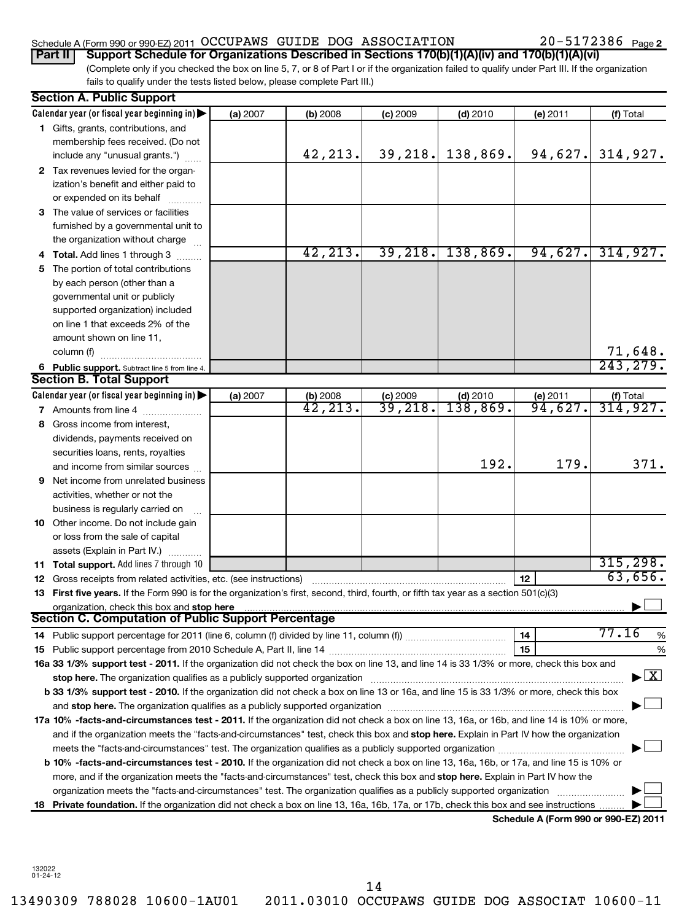## Schedule A (Form 990 or 990-EZ) 2011 Page OCCUPAWS GUIDE DOG ASSOCIATION 20-5172386

20-5172386 Page 2

(Complete only if you checked the box on line 5, 7, or 8 of Part I or if the organization failed to qualify under Part III. If the organization fails to qualify under the tests listed below, please complete Part III.) **Part II Support Schedule for Organizations Described in Sections 170(b)(1)(A)(iv) and 170(b)(1)(A)(vi)**

|    | <b>Section A. Public Support</b>                                                                                                                                                                                              |          |                           |                       |            |                                      |                                          |
|----|-------------------------------------------------------------------------------------------------------------------------------------------------------------------------------------------------------------------------------|----------|---------------------------|-----------------------|------------|--------------------------------------|------------------------------------------|
|    | Calendar year (or fiscal year beginning in)                                                                                                                                                                                   | (a) 2007 | (b) 2008                  | (c) 2009              | $(d)$ 2010 | (e) 2011                             | (f) Total                                |
|    | 1 Gifts, grants, contributions, and                                                                                                                                                                                           |          |                           |                       |            |                                      |                                          |
|    | membership fees received. (Do not                                                                                                                                                                                             |          |                           |                       |            |                                      |                                          |
|    | include any "unusual grants.")                                                                                                                                                                                                |          | 42,213.                   | 39, 218.              | 138,869.   | 94,627.                              | 314,927.                                 |
|    | 2 Tax revenues levied for the organ-                                                                                                                                                                                          |          |                           |                       |            |                                      |                                          |
|    | ization's benefit and either paid to                                                                                                                                                                                          |          |                           |                       |            |                                      |                                          |
|    | or expended on its behalf                                                                                                                                                                                                     |          |                           |                       |            |                                      |                                          |
|    | 3 The value of services or facilities                                                                                                                                                                                         |          |                           |                       |            |                                      |                                          |
|    | furnished by a governmental unit to                                                                                                                                                                                           |          |                           |                       |            |                                      |                                          |
|    | the organization without charge                                                                                                                                                                                               |          |                           |                       |            |                                      |                                          |
|    | 4 Total. Add lines 1 through 3                                                                                                                                                                                                |          | 42, 213.                  | 39, 218.              | 138,869.   | 94,627.                              | 314,927.                                 |
| 5. | The portion of total contributions                                                                                                                                                                                            |          |                           |                       |            |                                      |                                          |
|    | by each person (other than a                                                                                                                                                                                                  |          |                           |                       |            |                                      |                                          |
|    | governmental unit or publicly                                                                                                                                                                                                 |          |                           |                       |            |                                      |                                          |
|    | supported organization) included                                                                                                                                                                                              |          |                           |                       |            |                                      |                                          |
|    | on line 1 that exceeds 2% of the                                                                                                                                                                                              |          |                           |                       |            |                                      |                                          |
|    | amount shown on line 11,                                                                                                                                                                                                      |          |                           |                       |            |                                      |                                          |
|    | column (f)                                                                                                                                                                                                                    |          |                           |                       |            |                                      |                                          |
|    | 6 Public support. Subtract line 5 from line 4.                                                                                                                                                                                |          |                           |                       |            |                                      | $\frac{71,648}{243,279}$ .               |
|    | <b>Section B. Total Support</b>                                                                                                                                                                                               |          |                           |                       |            |                                      |                                          |
|    | Calendar year (or fiscal year beginning in)                                                                                                                                                                                   | (a) 2007 |                           |                       | $(d)$ 2010 | (e) 2011                             |                                          |
|    | 7 Amounts from line 4                                                                                                                                                                                                         |          | (b) $2008$<br>$42, 213$ . | $\frac{c}{39}$ , 218. | 138,869.   | 94,627.                              | (f) Total $314, 927$ .                   |
| 8  | Gross income from interest,                                                                                                                                                                                                   |          |                           |                       |            |                                      |                                          |
|    | dividends, payments received on                                                                                                                                                                                               |          |                           |                       |            |                                      |                                          |
|    | securities loans, rents, royalties                                                                                                                                                                                            |          |                           |                       |            |                                      |                                          |
|    | and income from similar sources                                                                                                                                                                                               |          |                           |                       | 192.       | 179.                                 | 371.                                     |
|    | <b>9</b> Net income from unrelated business                                                                                                                                                                                   |          |                           |                       |            |                                      |                                          |
|    | activities, whether or not the                                                                                                                                                                                                |          |                           |                       |            |                                      |                                          |
|    | business is regularly carried on                                                                                                                                                                                              |          |                           |                       |            |                                      |                                          |
|    | 10 Other income. Do not include gain                                                                                                                                                                                          |          |                           |                       |            |                                      |                                          |
|    | or loss from the sale of capital                                                                                                                                                                                              |          |                           |                       |            |                                      |                                          |
|    | assets (Explain in Part IV.)                                                                                                                                                                                                  |          |                           |                       |            |                                      |                                          |
|    | 11 Total support. Add lines 7 through 10                                                                                                                                                                                      |          |                           |                       |            |                                      | 315, 298.                                |
|    | <b>12</b> Gross receipts from related activities, etc. (see instructions)                                                                                                                                                     |          |                           |                       |            | 12                                   | 63,656.                                  |
|    | 13 First five years. If the Form 990 is for the organization's first, second, third, fourth, or fifth tax year as a section 501(c)(3)                                                                                         |          |                           |                       |            |                                      |                                          |
|    | organization, check this box and stop here                                                                                                                                                                                    |          |                           |                       |            |                                      |                                          |
|    | Section C. Computation of Public Support Percentage                                                                                                                                                                           |          |                           |                       |            |                                      |                                          |
|    |                                                                                                                                                                                                                               |          |                           |                       |            | 14                                   | 77.16<br>%                               |
|    |                                                                                                                                                                                                                               |          |                           |                       |            | 15                                   | %                                        |
|    | 16a 33 1/3% support test - 2011. If the organization did not check the box on line 13, and line 14 is 33 1/3% or more, check this box and                                                                                     |          |                           |                       |            |                                      |                                          |
|    | stop here. The organization qualifies as a publicly supported organization manufaction manufacture or the organization manufacture or the organization manufacture or the organization of the state of the state of the state |          |                           |                       |            |                                      | $\blacktriangleright$ $\boxed{\text{X}}$ |
|    | b 33 1/3% support test - 2010. If the organization did not check a box on line 13 or 16a, and line 15 is 33 1/3% or more, check this box                                                                                      |          |                           |                       |            |                                      |                                          |
|    |                                                                                                                                                                                                                               |          |                           |                       |            |                                      |                                          |
|    | 17a 10% -facts-and-circumstances test - 2011. If the organization did not check a box on line 13, 16a, or 16b, and line 14 is 10% or more,                                                                                    |          |                           |                       |            |                                      |                                          |
|    | and if the organization meets the "facts-and-circumstances" test, check this box and stop here. Explain in Part IV how the organization                                                                                       |          |                           |                       |            |                                      |                                          |
|    |                                                                                                                                                                                                                               |          |                           |                       |            |                                      |                                          |
|    | b 10% -facts-and-circumstances test - 2010. If the organization did not check a box on line 13, 16a, 16b, or 17a, and line 15 is 10% or                                                                                       |          |                           |                       |            |                                      |                                          |
|    | more, and if the organization meets the "facts-and-circumstances" test, check this box and stop here. Explain in Part IV how the                                                                                              |          |                           |                       |            |                                      |                                          |
|    | organization meets the "facts-and-circumstances" test. The organization qualifies as a publicly supported organization                                                                                                        |          |                           |                       |            |                                      |                                          |
| 18 | Private foundation. If the organization did not check a box on line 13, 16a, 16b, 17a, or 17b, check this box and see instructions                                                                                            |          |                           |                       |            |                                      |                                          |
|    |                                                                                                                                                                                                                               |          |                           |                       |            | Schedule A (Form 990 or 990-EZ) 2011 |                                          |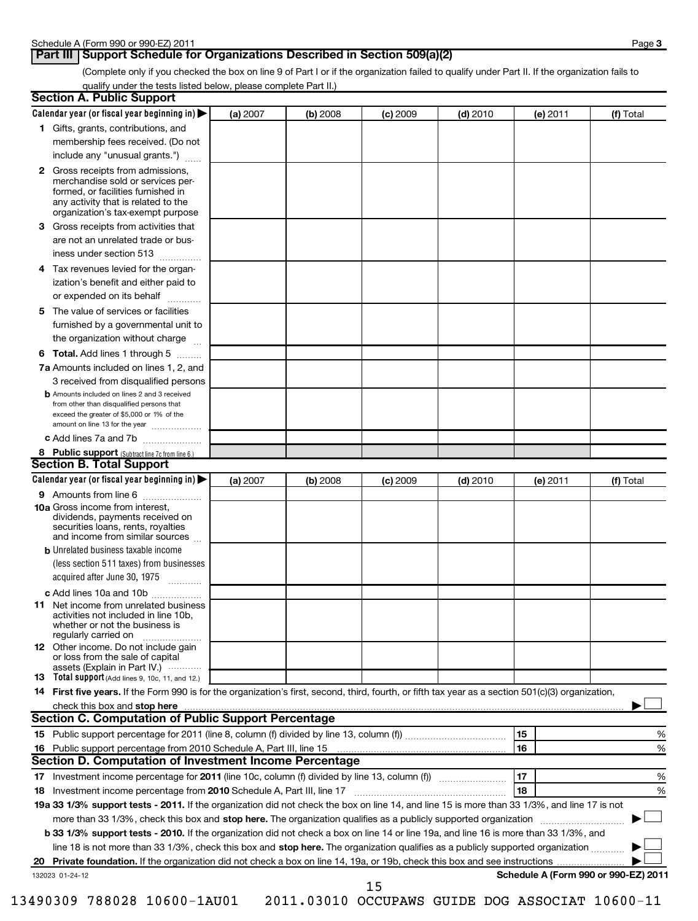## **Part III** Support Schedule for Organizations Described in Section 509(a)(2)

(Complete only if you checked the box on line 9 of Part I or if the organization failed to qualify under Part II. If the organization fails to qualify under the tests listed below, please complete Part II.)

|    | <b>Section A. Public Support</b>                                                                                                                                                                |          |          |            |            |                                      |           |
|----|-------------------------------------------------------------------------------------------------------------------------------------------------------------------------------------------------|----------|----------|------------|------------|--------------------------------------|-----------|
|    | Calendar year (or fiscal year beginning in)                                                                                                                                                     | (a) 2007 | (b) 2008 | $(c)$ 2009 | $(d)$ 2010 | (e) 2011                             | (f) Total |
|    | 1 Gifts, grants, contributions, and                                                                                                                                                             |          |          |            |            |                                      |           |
|    | membership fees received. (Do not                                                                                                                                                               |          |          |            |            |                                      |           |
|    | include any "unusual grants.")                                                                                                                                                                  |          |          |            |            |                                      |           |
|    | <b>2</b> Gross receipts from admissions,<br>merchandise sold or services per-<br>formed, or facilities furnished in<br>any activity that is related to the<br>organization's tax-exempt purpose |          |          |            |            |                                      |           |
|    | 3 Gross receipts from activities that<br>are not an unrelated trade or bus-                                                                                                                     |          |          |            |            |                                      |           |
|    | iness under section 513                                                                                                                                                                         |          |          |            |            |                                      |           |
| 4  | Tax revenues levied for the organ-                                                                                                                                                              |          |          |            |            |                                      |           |
|    | ization's benefit and either paid to<br>or expended on its behalf                                                                                                                               |          |          |            |            |                                      |           |
|    | 5 The value of services or facilities                                                                                                                                                           |          |          |            |            |                                      |           |
|    | furnished by a governmental unit to<br>the organization without charge                                                                                                                          |          |          |            |            |                                      |           |
|    | <b>6 Total.</b> Add lines 1 through 5                                                                                                                                                           |          |          |            |            |                                      |           |
|    | 7a Amounts included on lines 1, 2, and                                                                                                                                                          |          |          |            |            |                                      |           |
|    | 3 received from disqualified persons                                                                                                                                                            |          |          |            |            |                                      |           |
|    | <b>b</b> Amounts included on lines 2 and 3 received<br>from other than disqualified persons that<br>exceed the greater of \$5,000 or 1% of the<br>amount on line 13 for the year                |          |          |            |            |                                      |           |
|    | c Add lines 7a and 7b                                                                                                                                                                           |          |          |            |            |                                      |           |
|    | 8 Public support (Subtract line 7c from line 6.)                                                                                                                                                |          |          |            |            |                                      |           |
|    | <b>Section B. Total Support</b>                                                                                                                                                                 |          |          |            |            |                                      |           |
|    | Calendar year (or fiscal year beginning in)                                                                                                                                                     | (a) 2007 | (b) 2008 | $(c)$ 2009 | $(d)$ 2010 | (e) 2011                             | (f) Total |
|    | 9 Amounts from line 6                                                                                                                                                                           |          |          |            |            |                                      |           |
|    | <b>10a</b> Gross income from interest,<br>dividends, payments received on<br>securities loans, rents, royalties<br>and income from similar sources                                              |          |          |            |            |                                      |           |
|    | <b>b</b> Unrelated business taxable income                                                                                                                                                      |          |          |            |            |                                      |           |
|    | (less section 511 taxes) from businesses<br>acquired after June 30, 1975<br>$\overline{\phantom{a}}$                                                                                            |          |          |            |            |                                      |           |
|    | c Add lines 10a and 10b                                                                                                                                                                         |          |          |            |            |                                      |           |
|    | <b>11</b> Net income from unrelated business<br>activities not included in line 10b,<br>whether or not the business is<br>regularly carried on                                                  |          |          |            |            |                                      |           |
|    | 12 Other income. Do not include gain<br>or loss from the sale of capital                                                                                                                        |          |          |            |            |                                      |           |
|    | assets (Explain in Part IV.)<br>13 Total support (Add lines 9, 10c, 11, and 12.)                                                                                                                |          |          |            |            |                                      |           |
|    | 14 First five years. If the Form 990 is for the organization's first, second, third, fourth, or fifth tax year as a section 501(c)(3) organization,                                             |          |          |            |            |                                      |           |
|    |                                                                                                                                                                                                 |          |          |            |            |                                      |           |
|    | <b>Section C. Computation of Public Support Percentage</b>                                                                                                                                      |          |          |            |            |                                      |           |
|    |                                                                                                                                                                                                 |          |          |            |            | 15                                   | %         |
|    |                                                                                                                                                                                                 |          |          |            |            | 16                                   | %         |
|    | Section D. Computation of Investment Income Percentage                                                                                                                                          |          |          |            |            |                                      |           |
|    |                                                                                                                                                                                                 |          |          |            |            | 17                                   | %         |
|    | 18 Investment income percentage from 2010 Schedule A, Part III, line 17                                                                                                                         |          |          |            |            | 18                                   | %         |
|    | 19a 33 1/3% support tests - 2011. If the organization did not check the box on line 14, and line 15 is more than 33 1/3%, and line 17 is not                                                    |          |          |            |            |                                      |           |
|    | more than 33 1/3%, check this box and stop here. The organization qualifies as a publicly supported organization                                                                                |          |          |            |            |                                      |           |
|    | b 33 1/3% support tests - 2010. If the organization did not check a box on line 14 or line 19a, and line 16 is more than 33 1/3%, and                                                           |          |          |            |            |                                      |           |
|    | line 18 is not more than 33 1/3%, check this box and stop here. The organization qualifies as a publicly supported organization                                                                 |          |          |            |            |                                      |           |
| 20 |                                                                                                                                                                                                 |          |          |            |            |                                      |           |
|    | 132023 01-24-12                                                                                                                                                                                 |          |          | 1 E        |            | Schedule A (Form 990 or 990-EZ) 2011 |           |

15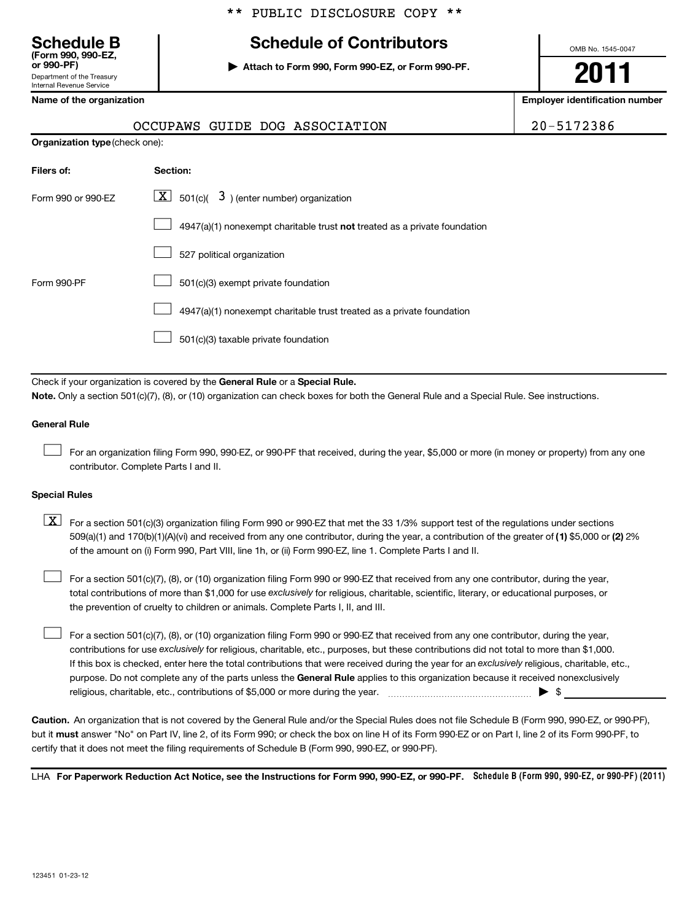# **Schedule B Schedule of Contributors**

**or 990-PF) | Attach to Form 990, Form 990-EZ, or Form 990-PF.**

OMB No. 1545-0047

#### **Name of the organization Employer identification number**

Department of the Treasury Internal Revenue Service

|                                       | OCCUPAWS GUIDE DOG ASSOCIATION                                            | 20-5172386 |
|---------------------------------------|---------------------------------------------------------------------------|------------|
| <b>Organization type (check one):</b> |                                                                           |            |
| Filers of:                            | Section:                                                                  |            |
| Form 990 or 990-EZ                    | $\lfloor x \rfloor$<br>501(c)( $3$ ) (enter number) organization          |            |
|                                       | 4947(a)(1) nonexempt charitable trust not treated as a private foundation |            |
|                                       | 527 political organization                                                |            |
| Form 990-PF                           | 501(c)(3) exempt private foundation                                       |            |
|                                       | 4947(a)(1) nonexempt charitable trust treated as a private foundation     |            |
|                                       | 501(c)(3) taxable private foundation                                      |            |

Check if your organization is covered by the General Rule or a Special Rule. **Note.**  Only a section 501(c)(7), (8), or (10) organization can check boxes for both the General Rule and a Special Rule. See instructions.

#### **General Rule**

 $\pm$ 

For an organization filing Form 990, 990-EZ, or 990-PF that received, during the year, \$5,000 or more (in money or property) from any one contributor. Complete Parts I and II.

#### **Special Rules**

509(a)(1) and 170(b)(1)(A)(vi) and received from any one contributor, during the year, a contribution of the greater of (1**)** \$5,000 or (**2**) 2%  $\boxed{\textbf{X}}$  For a section 501(c)(3) organization filing Form 990 or 990-EZ that met the 33 1/3% support test of the regulations under sections of the amount on (i) Form 990, Part VIII, line 1h, or (ii) Form 990-EZ, line 1. Complete Parts I and II.

total contributions of more than \$1,000 for use exclusively for religious, charitable, scientific, literary, or educational purposes, or For a section 501(c)(7), (8), or (10) organization filing Form 990 or 990-EZ that received from any one contributor, during the year, the prevention of cruelty to children or animals. Complete Parts I, II, and III.  $\pm$ 

purpose. Do not complete any of the parts unless the General Rule applies to this organization because it received nonexclusively contributions for use exclusively for religious, charitable, etc., purposes, but these contributions did not total to more than \$1,000. If this box is checked, enter here the total contributions that were received during the year for an exclusively religious, charitable, etc., For a section 501(c)(7), (8), or (10) organization filing Form 990 or 990-EZ that received from any one contributor, during the year, religious, charitable, etc., contributions of \$5,000 or more during the year. ~~~~~~~~~~~~~~~~~ | \$  $\pm$ 

**Caution.** An organization that is not covered by the General Rule and/or the Special Rules does not file Schedule B (Form 990, 990-EZ, or 990-PF), but it **must** answer "No" on Part IV, line 2, of its Form 990; or check the box on line H of its Form 990-EZ or on Part I, line 2 of its Form 990-PF, to certify that it does not meet the filing requirements of Schedule B (Form 990, 990-EZ, or 990-PF).

LHA For Paperwork Reduction Act Notice, see the Instructions for Form 990, 990-EZ, or 990-PF. Schedule B (Form 990, 990-EZ, or 990-PF) (2011)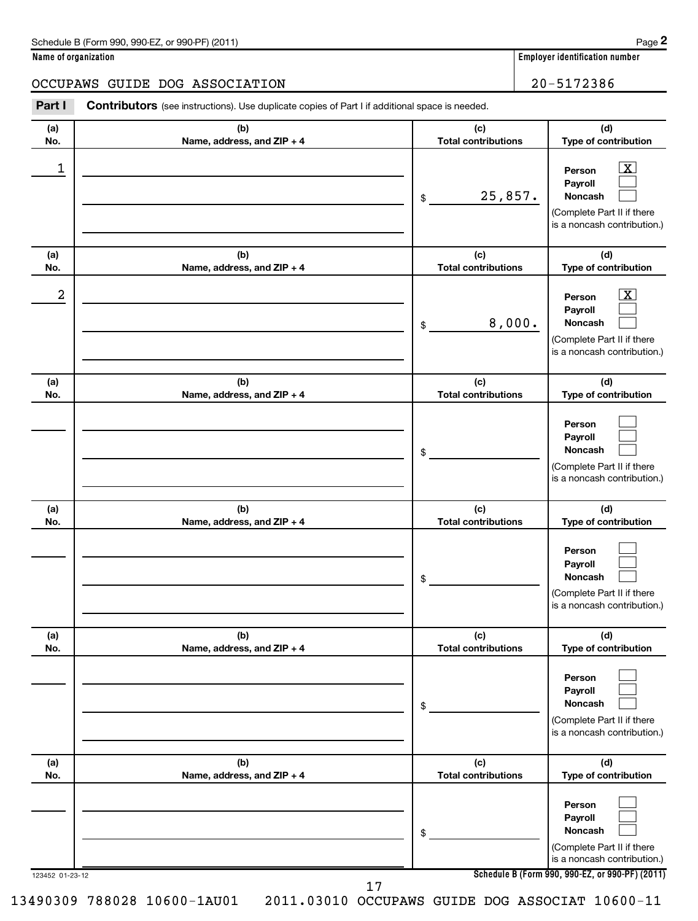| Schedule B (Form 990, 990-EZ, or 990-PF) (2011) | Page |
|-------------------------------------------------|------|
|-------------------------------------------------|------|

**Name of organization Employer identification number**

#### OCCUPAWS GUIDE DOG ASSOCIATION | 20-5172386

| Part I          | <b>Contributors</b> (see instructions). Use duplicate copies of Part I if additional space is needed. |                                   |                                                                                                                                                     |
|-----------------|-------------------------------------------------------------------------------------------------------|-----------------------------------|-----------------------------------------------------------------------------------------------------------------------------------------------------|
| (a)<br>No.      | (b)<br>Name, address, and ZIP + 4                                                                     | (c)<br><b>Total contributions</b> | (d)<br>Type of contribution                                                                                                                         |
| 1               |                                                                                                       | 25,857.<br>\$                     | $\overline{\mathbf{X}}$<br>Person<br>Payroll<br>Noncash<br>(Complete Part II if there<br>is a noncash contribution.)                                |
| (a)<br>No.      | (b)<br>Name, address, and ZIP + 4                                                                     | (c)<br><b>Total contributions</b> | (d)<br>Type of contribution                                                                                                                         |
| 2               |                                                                                                       | 8,000.<br>\$                      | $\overline{\mathbf{X}}$<br>Person<br>Payroll<br>Noncash<br>(Complete Part II if there<br>is a noncash contribution.)                                |
| (a)<br>No.      | (b)<br>Name, address, and ZIP + 4                                                                     | (c)<br><b>Total contributions</b> | (d)<br>Type of contribution                                                                                                                         |
|                 |                                                                                                       | \$                                | Person<br>Payroll<br>Noncash<br>(Complete Part II if there<br>is a noncash contribution.)                                                           |
| (a)<br>No.      | (b)<br>Name, address, and ZIP + 4                                                                     | (c)<br><b>Total contributions</b> | (d)<br>Type of contribution                                                                                                                         |
|                 |                                                                                                       | \$                                | Person<br>Payroll<br><b>Noncash</b><br>(Complete Part II if there<br>is a noncash contribution.)                                                    |
| (a)<br>No.      | (b)<br>Name, address, and ZIP + 4                                                                     | (c)<br><b>Total contributions</b> | (d)<br>Type of contribution                                                                                                                         |
|                 |                                                                                                       | \$                                | Person<br>Payroll<br><b>Noncash</b><br>(Complete Part II if there<br>is a noncash contribution.)                                                    |
| (a)<br>No.      | (b)<br>Name, address, and ZIP + 4                                                                     | (c)<br><b>Total contributions</b> | (d)<br>Type of contribution                                                                                                                         |
| 123452 01-23-12 |                                                                                                       | \$                                | Person<br>Payroll<br><b>Noncash</b><br>(Complete Part II if there<br>is a noncash contribution.)<br>Schedule B (Form 990, 990-EZ, or 990-PF) (2011) |

17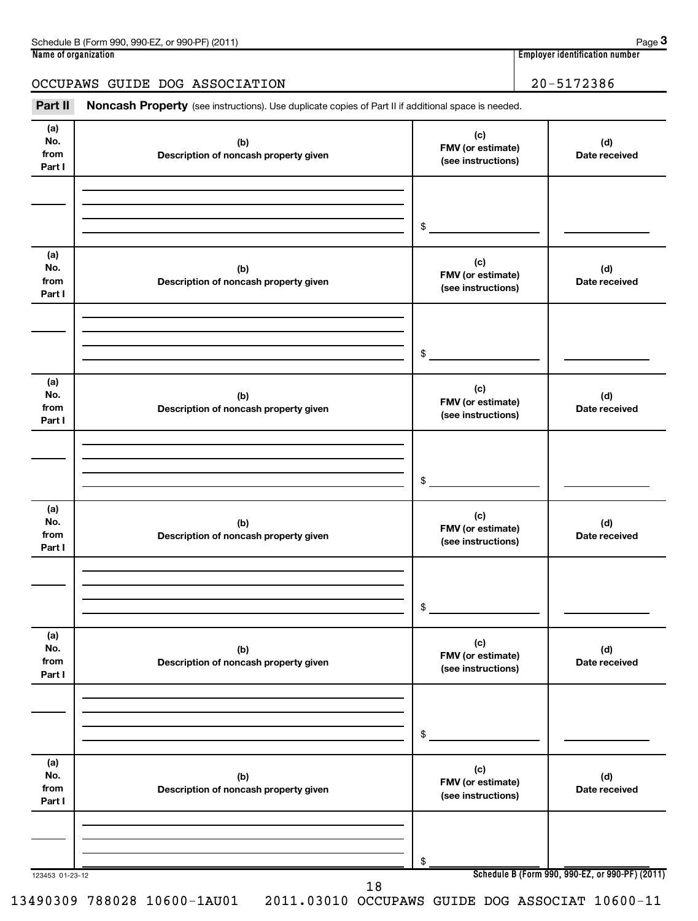| Schedule B (Form 990, 990-EZ, or 990-PF) (2011) | Page 3                         |
|-------------------------------------------------|--------------------------------|
| Name of organization                            | Employer identification number |
|                                                 |                                |
| OCCUPAWS GUIDE DOG ASSOCIATION                  | 20-5172386                     |

Part II Noncash Property (see instructions). Use duplicate copies of Part II if additional space is needed.

| (a)<br>No.<br>from<br>Part I | (b)<br>Description of noncash property given | (c)<br>FMV (or estimate)<br>(see instructions) | (d)<br>Date received                            |
|------------------------------|----------------------------------------------|------------------------------------------------|-------------------------------------------------|
|                              |                                              | $\frac{1}{2}$                                  |                                                 |
|                              |                                              |                                                |                                                 |
| (a)<br>No.<br>from<br>Part I | (b)<br>Description of noncash property given | (c)<br>FMV (or estimate)<br>(see instructions) | (d)<br>Date received                            |
|                              |                                              |                                                |                                                 |
|                              |                                              | $\frac{1}{2}$                                  |                                                 |
| (a)<br>No.<br>from<br>Part I | (b)<br>Description of noncash property given | (c)<br>FMV (or estimate)<br>(see instructions) | (d)<br>Date received                            |
|                              |                                              |                                                |                                                 |
|                              |                                              |                                                |                                                 |
|                              |                                              |                                                |                                                 |
|                              |                                              | $\frac{1}{2}$                                  |                                                 |
| (a)<br>No.<br>from<br>Part I | (b)<br>Description of noncash property given | (c)<br>FMV (or estimate)<br>(see instructions) | (d)<br>Date received                            |
|                              |                                              |                                                |                                                 |
|                              |                                              |                                                |                                                 |
|                              |                                              |                                                |                                                 |
|                              |                                              | $$ -$                                          |                                                 |
| (a)<br>No.<br>from<br>Part I | (b)<br>Description of noncash property given | (c)<br>FMV (or estimate)<br>(see instructions) | (d)<br>Date received                            |
|                              |                                              |                                                |                                                 |
|                              |                                              |                                                |                                                 |
|                              |                                              | $$^{\circ}$                                    |                                                 |
|                              |                                              |                                                |                                                 |
| (a)                          |                                              | (c)                                            |                                                 |
| No.<br>from                  | (b)<br>Description of noncash property given | FMV (or estimate)                              | (d)<br>Date received                            |
| Part I                       |                                              | (see instructions)                             |                                                 |
|                              |                                              |                                                |                                                 |
|                              |                                              |                                                |                                                 |
|                              |                                              |                                                |                                                 |
| 123453 01-23-12              |                                              | \$                                             | Schedule B (Form 990, 990-EZ, or 990-PF) (2011) |
|                              | 18                                           |                                                |                                                 |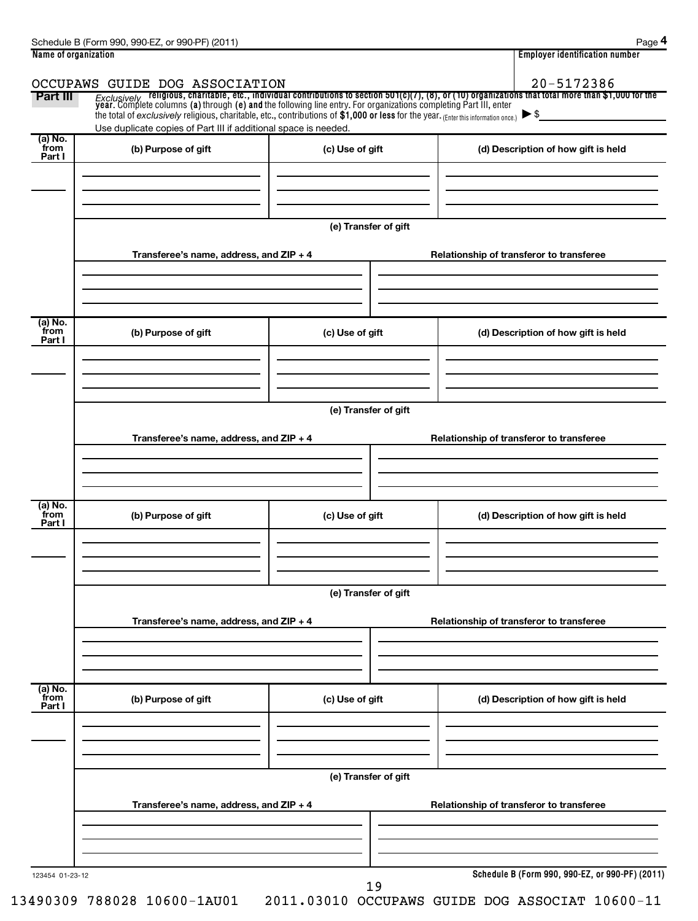| Name of organization      |                                                                                                                                                                                                        |                      | <b>Employer identification number</b>                                                                                                                                                                                              |
|---------------------------|--------------------------------------------------------------------------------------------------------------------------------------------------------------------------------------------------------|----------------------|------------------------------------------------------------------------------------------------------------------------------------------------------------------------------------------------------------------------------------|
|                           | OCCUPAWS GUIDE DOG ASSOCIATION                                                                                                                                                                         |                      | 20-5172386                                                                                                                                                                                                                         |
| Part III                  |                                                                                                                                                                                                        |                      | Exclusively religious, charitable, etc., individual contributions to section 501(c)(7), (8), or (10) organizations that total more than \$1,000 for the<br>year. Complete columns (a) through (e) and the following line entry. Fo |
|                           | the total of exclusively religious, charitable, etc., contributions of \$1,000 or less for the year. (Enter this information once.)<br>Use duplicate copies of Part III if additional space is needed. |                      | $\blacktriangleright$ \$                                                                                                                                                                                                           |
| (a) No.<br>from           |                                                                                                                                                                                                        |                      |                                                                                                                                                                                                                                    |
| Part I                    | (b) Purpose of gift                                                                                                                                                                                    | (c) Use of gift      | (d) Description of how gift is held                                                                                                                                                                                                |
|                           |                                                                                                                                                                                                        |                      |                                                                                                                                                                                                                                    |
|                           |                                                                                                                                                                                                        |                      |                                                                                                                                                                                                                                    |
|                           |                                                                                                                                                                                                        | (e) Transfer of gift |                                                                                                                                                                                                                                    |
|                           | Transferee's name, address, and ZIP + 4                                                                                                                                                                |                      | Relationship of transferor to transferee                                                                                                                                                                                           |
|                           |                                                                                                                                                                                                        |                      |                                                                                                                                                                                                                                    |
|                           |                                                                                                                                                                                                        |                      |                                                                                                                                                                                                                                    |
|                           |                                                                                                                                                                                                        |                      |                                                                                                                                                                                                                                    |
| (a) No.<br>from           | (b) Purpose of gift                                                                                                                                                                                    | (c) Use of gift      | (d) Description of how gift is held                                                                                                                                                                                                |
| Part I                    |                                                                                                                                                                                                        |                      |                                                                                                                                                                                                                                    |
|                           |                                                                                                                                                                                                        |                      |                                                                                                                                                                                                                                    |
|                           |                                                                                                                                                                                                        |                      |                                                                                                                                                                                                                                    |
|                           |                                                                                                                                                                                                        | (e) Transfer of gift |                                                                                                                                                                                                                                    |
|                           | Transferee's name, address, and ZIP + 4                                                                                                                                                                |                      | Relationship of transferor to transferee                                                                                                                                                                                           |
|                           |                                                                                                                                                                                                        |                      |                                                                                                                                                                                                                                    |
|                           |                                                                                                                                                                                                        |                      |                                                                                                                                                                                                                                    |
|                           |                                                                                                                                                                                                        |                      |                                                                                                                                                                                                                                    |
| (a) No.<br>from           | (b) Purpose of gift                                                                                                                                                                                    | (c) Use of gift      | (d) Description of how gift is held                                                                                                                                                                                                |
| Part I                    |                                                                                                                                                                                                        |                      |                                                                                                                                                                                                                                    |
|                           |                                                                                                                                                                                                        |                      |                                                                                                                                                                                                                                    |
|                           |                                                                                                                                                                                                        |                      |                                                                                                                                                                                                                                    |
|                           |                                                                                                                                                                                                        | (e) Transfer of gift |                                                                                                                                                                                                                                    |
|                           | Transferee's name, address, and ZIP + 4                                                                                                                                                                |                      | Relationship of transferor to transferee                                                                                                                                                                                           |
|                           |                                                                                                                                                                                                        |                      |                                                                                                                                                                                                                                    |
|                           |                                                                                                                                                                                                        |                      |                                                                                                                                                                                                                                    |
|                           |                                                                                                                                                                                                        |                      |                                                                                                                                                                                                                                    |
| (a) No.<br>from<br>Part I | (b) Purpose of gift                                                                                                                                                                                    | (c) Use of gift      | (d) Description of how gift is held                                                                                                                                                                                                |
|                           |                                                                                                                                                                                                        |                      |                                                                                                                                                                                                                                    |
|                           |                                                                                                                                                                                                        |                      |                                                                                                                                                                                                                                    |
|                           |                                                                                                                                                                                                        |                      |                                                                                                                                                                                                                                    |
|                           |                                                                                                                                                                                                        | (e) Transfer of gift |                                                                                                                                                                                                                                    |
|                           | Transferee's name, address, and ZIP + 4                                                                                                                                                                |                      | Relationship of transferor to transferee                                                                                                                                                                                           |
|                           |                                                                                                                                                                                                        |                      |                                                                                                                                                                                                                                    |
|                           |                                                                                                                                                                                                        |                      |                                                                                                                                                                                                                                    |
|                           |                                                                                                                                                                                                        |                      |                                                                                                                                                                                                                                    |
| 123454 01-23-12           |                                                                                                                                                                                                        |                      | Schedule B (Form 990, 990-EZ, or 990-PF) (2011)                                                                                                                                                                                    |

19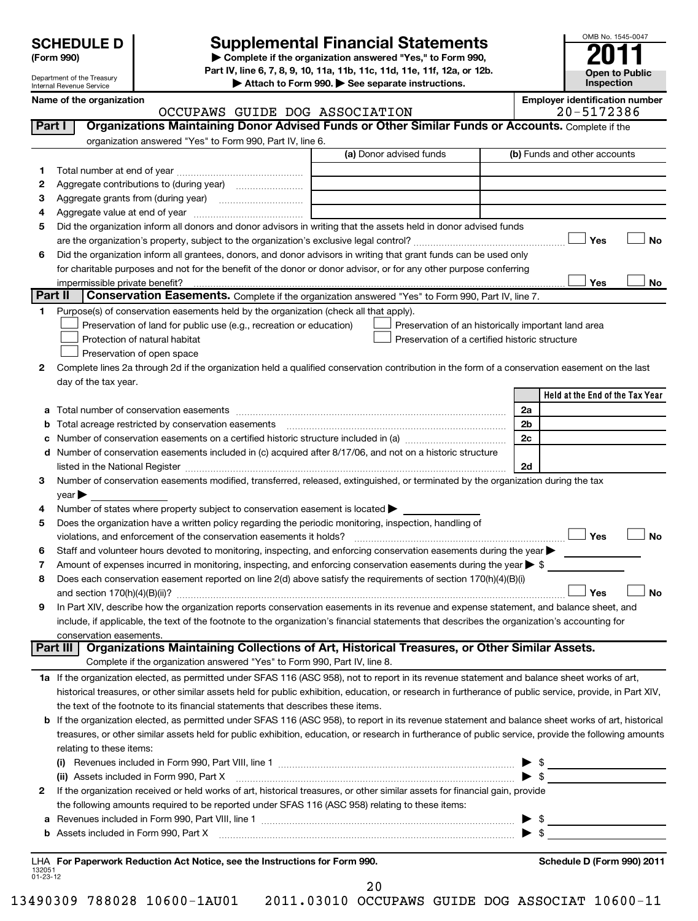Department of the Treasury Internal Revenue Service

OMB No. 1545-0047

**Open to Public Inspection**

**SCHEDULE D Supplemental Financial Statements 2011 Part IV, line 6, 7, 8, 9, 10, 11a, 11b, 11c, 11d, 11e, 11f, 12a, or 12b.**

**| Attach to Form 990. | See separate instructions.**

OCCUPAWS GUIDE DOG ASSOCIATION

# Name of the organization<br>  $OCCUPANS$  GUIDE DOG ASSOCIATION **Employer identification number**<br>  $20-5172386$

| 1.<br>2            |                                                                                                                                                                                                                | (a) Donor advised funds                                                                                         |                | (b) Funds and other accounts    |
|--------------------|----------------------------------------------------------------------------------------------------------------------------------------------------------------------------------------------------------------|-----------------------------------------------------------------------------------------------------------------|----------------|---------------------------------|
|                    |                                                                                                                                                                                                                |                                                                                                                 |                |                                 |
|                    |                                                                                                                                                                                                                |                                                                                                                 |                |                                 |
| з                  |                                                                                                                                                                                                                |                                                                                                                 |                |                                 |
| 4                  | Aggregate value at end of year                                                                                                                                                                                 |                                                                                                                 |                |                                 |
| 5                  | Did the organization inform all donors and donor advisors in writing that the assets held in donor advised funds                                                                                               |                                                                                                                 |                |                                 |
|                    |                                                                                                                                                                                                                |                                                                                                                 |                | Yes                             |
| 6                  | Did the organization inform all grantees, donors, and donor advisors in writing that grant funds can be used only                                                                                              |                                                                                                                 |                |                                 |
|                    | for charitable purposes and not for the benefit of the donor or donor advisor, or for any other purpose conferring                                                                                             |                                                                                                                 |                |                                 |
|                    |                                                                                                                                                                                                                |                                                                                                                 |                | Yes                             |
| Part II            | Conservation Easements. Complete if the organization answered "Yes" to Form 990, Part IV, line 7.                                                                                                              |                                                                                                                 |                |                                 |
|                    | Purpose(s) of conservation easements held by the organization (check all that apply).                                                                                                                          |                                                                                                                 |                |                                 |
|                    | Preservation of land for public use (e.g., recreation or education)                                                                                                                                            | Preservation of an historically important land area                                                             |                |                                 |
|                    | Protection of natural habitat                                                                                                                                                                                  | Preservation of a certified historic structure                                                                  |                |                                 |
|                    | Preservation of open space                                                                                                                                                                                     |                                                                                                                 |                |                                 |
| 2                  | Complete lines 2a through 2d if the organization held a qualified conservation contribution in the form of a conservation easement on the last                                                                 |                                                                                                                 |                |                                 |
|                    | day of the tax year.                                                                                                                                                                                           |                                                                                                                 |                |                                 |
|                    |                                                                                                                                                                                                                |                                                                                                                 |                | Held at the End of the Tax Year |
| а                  |                                                                                                                                                                                                                |                                                                                                                 | 2a             |                                 |
| b                  |                                                                                                                                                                                                                |                                                                                                                 | 2 <sub>b</sub> |                                 |
|                    | Number of conservation easements on a certified historic structure included in (a) manufacture included in (a)                                                                                                 |                                                                                                                 | 2c             |                                 |
|                    | d Number of conservation easements included in (c) acquired after 8/17/06, and not on a historic structure                                                                                                     |                                                                                                                 |                |                                 |
|                    |                                                                                                                                                                                                                |                                                                                                                 | 2d             |                                 |
| 3                  | Number of conservation easements modified, transferred, released, extinguished, or terminated by the organization during the tax                                                                               |                                                                                                                 |                |                                 |
|                    | year                                                                                                                                                                                                           |                                                                                                                 |                |                                 |
| 4                  | Number of states where property subject to conservation easement is located >                                                                                                                                  |                                                                                                                 |                |                                 |
| 5                  | Does the organization have a written policy regarding the periodic monitoring, inspection, handling of                                                                                                         |                                                                                                                 |                |                                 |
|                    |                                                                                                                                                                                                                |                                                                                                                 |                | Yes                             |
| 6                  | Staff and volunteer hours devoted to monitoring, inspecting, and enforcing conservation easements during the year $\blacktriangleright$                                                                        |                                                                                                                 |                |                                 |
| 7                  | Amount of expenses incurred in monitoring, inspecting, and enforcing conservation easements during the year $\triangleright$ \$                                                                                |                                                                                                                 |                |                                 |
|                    |                                                                                                                                                                                                                |                                                                                                                 |                |                                 |
|                    |                                                                                                                                                                                                                |                                                                                                                 |                |                                 |
|                    |                                                                                                                                                                                                                | Does each conservation easement reported on line 2(d) above satisfy the requirements of section 170(h)(4)(B)(i) |                |                                 |
| 8                  |                                                                                                                                                                                                                |                                                                                                                 |                | Yes                             |
| 9                  | In Part XIV, describe how the organization reports conservation easements in its revenue and expense statement, and balance sheet, and                                                                         |                                                                                                                 |                |                                 |
|                    | include, if applicable, the text of the footnote to the organization's financial statements that describes the organization's accounting for                                                                   |                                                                                                                 |                |                                 |
|                    | conservation easements.                                                                                                                                                                                        |                                                                                                                 |                |                                 |
|                    | Part III   Organizations Maintaining Collections of Art, Historical Treasures, or Other Similar Assets.                                                                                                        |                                                                                                                 |                |                                 |
|                    | Complete if the organization answered "Yes" to Form 990, Part IV, line 8.                                                                                                                                      |                                                                                                                 |                |                                 |
|                    | 1a If the organization elected, as permitted under SFAS 116 (ASC 958), not to report in its revenue statement and balance sheet works of art,                                                                  |                                                                                                                 |                |                                 |
|                    | historical treasures, or other similar assets held for public exhibition, education, or research in furtherance of public service, provide, in Part XIV,                                                       |                                                                                                                 |                |                                 |
|                    | the text of the footnote to its financial statements that describes these items.                                                                                                                               |                                                                                                                 |                |                                 |
|                    | b If the organization elected, as permitted under SFAS 116 (ASC 958), to report in its revenue statement and balance sheet works of art, historical                                                            |                                                                                                                 |                |                                 |
|                    | treasures, or other similar assets held for public exhibition, education, or research in furtherance of public service, provide the following amounts                                                          |                                                                                                                 |                |                                 |
|                    | relating to these items:                                                                                                                                                                                       |                                                                                                                 |                |                                 |
|                    |                                                                                                                                                                                                                |                                                                                                                 |                |                                 |
|                    |                                                                                                                                                                                                                |                                                                                                                 |                |                                 |
| 2                  | If the organization received or held works of art, historical treasures, or other similar assets for financial gain, provide                                                                                   |                                                                                                                 |                |                                 |
|                    | the following amounts required to be reported under SFAS 116 (ASC 958) relating to these items:                                                                                                                |                                                                                                                 |                |                                 |
| а                  |                                                                                                                                                                                                                |                                                                                                                 |                |                                 |
|                    | Revenues included in Form 990, Part VIII, line 1 <b>Construction and Construction</b> and Tevenues included in Form 990, Part VIII, line 1                                                                     |                                                                                                                 |                |                                 |
|                    | <b>b</b> Assets included in Form 990, Part X $\ldots$ $\ldots$ $\ldots$ $\ldots$ $\ldots$ $\ldots$ $\ldots$ $\ldots$ $\ldots$ $\ldots$ $\ldots$ $\ldots$ $\ldots$ $\ldots$ $\ldots$ $\ldots$ $\ldots$ $\ldots$ |                                                                                                                 |                |                                 |
|                    |                                                                                                                                                                                                                |                                                                                                                 |                |                                 |
| 132051<br>01-23-12 | LHA For Paperwork Reduction Act Notice, see the Instructions for Form 990.                                                                                                                                     |                                                                                                                 |                | Schedule D (Form 990) 2011      |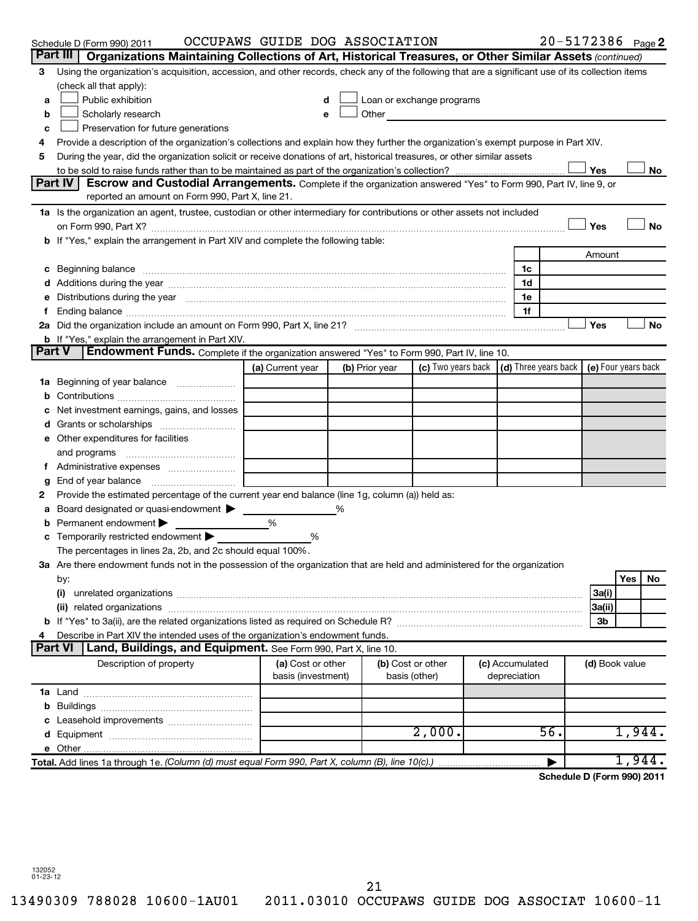|               | Schedule D (Form 990) 2011                                                                                                                                                                                                     | OCCUPAWS GUIDE DOG ASSOCIATION |                   |                                                                                                                                                                                                                               |                 |              |     |                | $20 - 5172386$ Page 2      |
|---------------|--------------------------------------------------------------------------------------------------------------------------------------------------------------------------------------------------------------------------------|--------------------------------|-------------------|-------------------------------------------------------------------------------------------------------------------------------------------------------------------------------------------------------------------------------|-----------------|--------------|-----|----------------|----------------------------|
|               | Part III<br>Organizations Maintaining Collections of Art, Historical Treasures, or Other Similar Assets (continued)                                                                                                            |                                |                   |                                                                                                                                                                                                                               |                 |              |     |                |                            |
| 3             | Using the organization's acquisition, accession, and other records, check any of the following that are a significant use of its collection items                                                                              |                                |                   |                                                                                                                                                                                                                               |                 |              |     |                |                            |
|               | (check all that apply):                                                                                                                                                                                                        |                                |                   |                                                                                                                                                                                                                               |                 |              |     |                |                            |
| a             | Public exhibition                                                                                                                                                                                                              |                                |                   | Loan or exchange programs                                                                                                                                                                                                     |                 |              |     |                |                            |
| b             | Scholarly research                                                                                                                                                                                                             | e                              |                   | Other and the contract of the contract of the contract of the contract of the contract of the contract of the contract of the contract of the contract of the contract of the contract of the contract of the contract of the |                 |              |     |                |                            |
| c             | Preservation for future generations                                                                                                                                                                                            |                                |                   |                                                                                                                                                                                                                               |                 |              |     |                |                            |
| 4             | Provide a description of the organization's collections and explain how they further the organization's exempt purpose in Part XIV.                                                                                            |                                |                   |                                                                                                                                                                                                                               |                 |              |     |                |                            |
| 5             | During the year, did the organization solicit or receive donations of art, historical treasures, or other similar assets                                                                                                       |                                |                   |                                                                                                                                                                                                                               |                 |              |     |                |                            |
|               |                                                                                                                                                                                                                                |                                |                   |                                                                                                                                                                                                                               |                 |              |     | Yes            | No                         |
|               | Part IV<br>Escrow and Custodial Arrangements. Complete if the organization answered "Yes" to Form 990, Part IV, line 9, or                                                                                                     |                                |                   |                                                                                                                                                                                                                               |                 |              |     |                |                            |
|               | reported an amount on Form 990, Part X, line 21.                                                                                                                                                                               |                                |                   |                                                                                                                                                                                                                               |                 |              |     |                |                            |
|               | 1a Is the organization an agent, trustee, custodian or other intermediary for contributions or other assets not included                                                                                                       |                                |                   |                                                                                                                                                                                                                               |                 |              |     |                |                            |
|               | on Form 990, Part X? [11] matter contracts and contracts and contracts are contracted as a function of Form 990, Part X?                                                                                                       |                                |                   |                                                                                                                                                                                                                               |                 |              |     | Yes            | No                         |
|               | b If "Yes," explain the arrangement in Part XIV and complete the following table:                                                                                                                                              |                                |                   |                                                                                                                                                                                                                               |                 |              |     |                |                            |
|               |                                                                                                                                                                                                                                |                                |                   |                                                                                                                                                                                                                               |                 |              |     | Amount         |                            |
|               | c Beginning balance measurements and the contract of the contract of the contract of the contract of the contract of the contract of the contract of the contract of the contract of the contract of the contract of the contr |                                |                   |                                                                                                                                                                                                                               |                 | 1c           |     |                |                            |
|               |                                                                                                                                                                                                                                |                                |                   |                                                                                                                                                                                                                               |                 | 1d           |     |                |                            |
|               | Distributions during the year manufactured and an account of the year manufactured and the year manufactured and the year manufactured and the year manufactured and the year manufactured and the year manufactured and the y |                                |                   |                                                                                                                                                                                                                               |                 | 1e           |     |                |                            |
|               |                                                                                                                                                                                                                                |                                |                   |                                                                                                                                                                                                                               |                 | 1f           |     |                |                            |
|               |                                                                                                                                                                                                                                |                                |                   |                                                                                                                                                                                                                               |                 |              |     | Yes            | No                         |
| <b>Part V</b> | <b>b</b> If "Yes," explain the arrangement in Part XIV.<br>Endowment Funds. Complete if the organization answered "Yes" to Form 990, Part IV, line 10.                                                                         |                                |                   |                                                                                                                                                                                                                               |                 |              |     |                |                            |
|               |                                                                                                                                                                                                                                | (a) Current year               | (b) Prior year    | (c) Two years back (d) Three years back                                                                                                                                                                                       |                 |              |     |                | (e) Four years back        |
|               |                                                                                                                                                                                                                                |                                |                   |                                                                                                                                                                                                                               |                 |              |     |                |                            |
|               | <b>1a</b> Beginning of year balance                                                                                                                                                                                            |                                |                   |                                                                                                                                                                                                                               |                 |              |     |                |                            |
|               | Net investment earnings, gains, and losses                                                                                                                                                                                     |                                |                   |                                                                                                                                                                                                                               |                 |              |     |                |                            |
|               |                                                                                                                                                                                                                                |                                |                   |                                                                                                                                                                                                                               |                 |              |     |                |                            |
|               | e Other expenditures for facilities                                                                                                                                                                                            |                                |                   |                                                                                                                                                                                                                               |                 |              |     |                |                            |
|               | and programs                                                                                                                                                                                                                   |                                |                   |                                                                                                                                                                                                                               |                 |              |     |                |                            |
|               |                                                                                                                                                                                                                                |                                |                   |                                                                                                                                                                                                                               |                 |              |     |                |                            |
| g             | End of year balance                                                                                                                                                                                                            |                                |                   |                                                                                                                                                                                                                               |                 |              |     |                |                            |
| 2             | Provide the estimated percentage of the current year end balance (line 1g, column (a)) held as:                                                                                                                                |                                |                   |                                                                                                                                                                                                                               |                 |              |     |                |                            |
| а             | Board designated or quasi-endowment >                                                                                                                                                                                          |                                |                   |                                                                                                                                                                                                                               |                 |              |     |                |                            |
|               | Permanent endowment                                                                                                                                                                                                            | $\frac{0}{0}$                  |                   |                                                                                                                                                                                                                               |                 |              |     |                |                            |
|               | Temporarily restricted endowment                                                                                                                                                                                               | %                              |                   |                                                                                                                                                                                                                               |                 |              |     |                |                            |
|               | The percentages in lines 2a, 2b, and 2c should equal 100%.                                                                                                                                                                     |                                |                   |                                                                                                                                                                                                                               |                 |              |     |                |                            |
|               | 3a Are there endowment funds not in the possession of the organization that are held and administered for the organization                                                                                                     |                                |                   |                                                                                                                                                                                                                               |                 |              |     |                |                            |
|               | by:                                                                                                                                                                                                                            |                                |                   |                                                                                                                                                                                                                               |                 |              |     |                | Yes<br>No                  |
|               | (i)                                                                                                                                                                                                                            |                                |                   |                                                                                                                                                                                                                               |                 |              |     | 3a(i)          |                            |
|               |                                                                                                                                                                                                                                |                                |                   |                                                                                                                                                                                                                               |                 |              |     | 3a(ii)         |                            |
|               |                                                                                                                                                                                                                                |                                |                   |                                                                                                                                                                                                                               |                 |              |     | Зb             |                            |
|               | Describe in Part XIV the intended uses of the organization's endowment funds.                                                                                                                                                  |                                |                   |                                                                                                                                                                                                                               |                 |              |     |                |                            |
|               | <b>Part VI</b><br>Land, Buildings, and Equipment. See Form 990, Part X, line 10.                                                                                                                                               |                                |                   |                                                                                                                                                                                                                               |                 |              |     |                |                            |
|               | Description of property                                                                                                                                                                                                        | (a) Cost or other              | (b) Cost or other |                                                                                                                                                                                                                               | (c) Accumulated |              |     | (d) Book value |                            |
|               |                                                                                                                                                                                                                                | basis (investment)             | basis (other)     |                                                                                                                                                                                                                               |                 | depreciation |     |                |                            |
|               |                                                                                                                                                                                                                                |                                |                   |                                                                                                                                                                                                                               |                 |              |     |                |                            |
|               |                                                                                                                                                                                                                                |                                |                   |                                                                                                                                                                                                                               |                 |              |     |                |                            |
|               |                                                                                                                                                                                                                                |                                |                   |                                                                                                                                                                                                                               |                 |              |     |                |                            |
|               |                                                                                                                                                                                                                                |                                |                   | 2,000.                                                                                                                                                                                                                        |                 |              | 56. |                | 1,944.                     |
|               |                                                                                                                                                                                                                                |                                |                   |                                                                                                                                                                                                                               |                 |              |     |                |                            |
|               | Total. Add lines 1a through 1e. (Column (d) must equal Form 990, Part X, column (B), line 10(c).)                                                                                                                              |                                |                   |                                                                                                                                                                                                                               |                 |              |     |                | 1,944.                     |
|               |                                                                                                                                                                                                                                |                                |                   |                                                                                                                                                                                                                               |                 |              |     |                | Schedule D (Form 990) 2011 |

**Schedule D (Form 990) 2011**

132052 01-23-12

21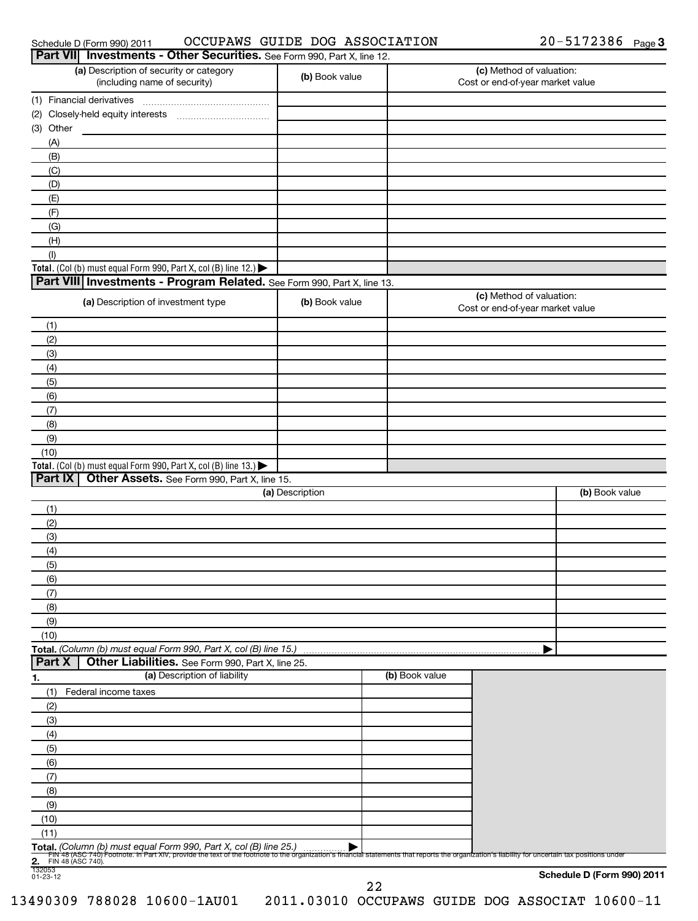| Schedule D (Form 990) 2011 |  |
|----------------------------|--|
|                            |  |

## Schedule D (Form 990) 2011  $\hbox{\rm OCCUPANS}$  GUIDE DOG ASSOCIATION  $20$  –  $5172386$  Page

|                                | Part VII Investments - Other Securities. See Form 990, Part X, line 12.                                                                                                                                                                                              |                 |                |                                                              |                            |
|--------------------------------|----------------------------------------------------------------------------------------------------------------------------------------------------------------------------------------------------------------------------------------------------------------------|-----------------|----------------|--------------------------------------------------------------|----------------------------|
|                                | (a) Description of security or category<br>(including name of security)                                                                                                                                                                                              | (b) Book value  |                | (c) Method of valuation:<br>Cost or end-of-year market value |                            |
| (1) Financial derivatives      |                                                                                                                                                                                                                                                                      |                 |                |                                                              |                            |
|                                |                                                                                                                                                                                                                                                                      |                 |                |                                                              |                            |
| (3) Other                      |                                                                                                                                                                                                                                                                      |                 |                |                                                              |                            |
| (A)                            |                                                                                                                                                                                                                                                                      |                 |                |                                                              |                            |
| (B)                            |                                                                                                                                                                                                                                                                      |                 |                |                                                              |                            |
| (C)                            |                                                                                                                                                                                                                                                                      |                 |                |                                                              |                            |
| (D)                            |                                                                                                                                                                                                                                                                      |                 |                |                                                              |                            |
| (E)                            |                                                                                                                                                                                                                                                                      |                 |                |                                                              |                            |
| (F)                            |                                                                                                                                                                                                                                                                      |                 |                |                                                              |                            |
| (G)                            |                                                                                                                                                                                                                                                                      |                 |                |                                                              |                            |
| (H)                            |                                                                                                                                                                                                                                                                      |                 |                |                                                              |                            |
| (1)                            |                                                                                                                                                                                                                                                                      |                 |                |                                                              |                            |
|                                | Total. (Col (b) must equal Form 990, Part X, col (B) line 12.) $\blacktriangleright$<br>Part VIII Investments - Program Related. See Form 990, Part X, line 13.                                                                                                      |                 |                |                                                              |                            |
|                                |                                                                                                                                                                                                                                                                      |                 |                | (c) Method of valuation:                                     |                            |
|                                | (a) Description of investment type                                                                                                                                                                                                                                   | (b) Book value  |                | Cost or end-of-year market value                             |                            |
| (1)                            |                                                                                                                                                                                                                                                                      |                 |                |                                                              |                            |
| (2)                            |                                                                                                                                                                                                                                                                      |                 |                |                                                              |                            |
| (3)                            |                                                                                                                                                                                                                                                                      |                 |                |                                                              |                            |
| (4)                            |                                                                                                                                                                                                                                                                      |                 |                |                                                              |                            |
| (5)                            |                                                                                                                                                                                                                                                                      |                 |                |                                                              |                            |
| (6)<br>(7)                     |                                                                                                                                                                                                                                                                      |                 |                |                                                              |                            |
| (8)                            |                                                                                                                                                                                                                                                                      |                 |                |                                                              |                            |
| (9)                            |                                                                                                                                                                                                                                                                      |                 |                |                                                              |                            |
| (10)                           |                                                                                                                                                                                                                                                                      |                 |                |                                                              |                            |
|                                | Total. (Col (b) must equal Form 990, Part X, col (B) line 13.)                                                                                                                                                                                                       |                 |                |                                                              |                            |
| Part IX                        | Other Assets. See Form 990, Part X, line 15.                                                                                                                                                                                                                         |                 |                |                                                              |                            |
|                                |                                                                                                                                                                                                                                                                      | (a) Description |                |                                                              | (b) Book value             |
| (1)                            |                                                                                                                                                                                                                                                                      |                 |                |                                                              |                            |
| (2)                            |                                                                                                                                                                                                                                                                      |                 |                |                                                              |                            |
| (3)                            |                                                                                                                                                                                                                                                                      |                 |                |                                                              |                            |
| (4)                            |                                                                                                                                                                                                                                                                      |                 |                |                                                              |                            |
| (5)                            |                                                                                                                                                                                                                                                                      |                 |                |                                                              |                            |
| (6)                            |                                                                                                                                                                                                                                                                      |                 |                |                                                              |                            |
| (7)                            |                                                                                                                                                                                                                                                                      |                 |                |                                                              |                            |
| (8)                            |                                                                                                                                                                                                                                                                      |                 |                |                                                              |                            |
| (9)                            |                                                                                                                                                                                                                                                                      |                 |                |                                                              |                            |
| (10)                           | Total. (Column (b) must equal Form 990, Part X, col (B) line 15.)                                                                                                                                                                                                    |                 |                |                                                              |                            |
| Part X                         | Other Liabilities. See Form 990, Part X, line 25.                                                                                                                                                                                                                    |                 |                |                                                              |                            |
| <u>1.</u>                      | (a) Description of liability                                                                                                                                                                                                                                         |                 | (b) Book value |                                                              |                            |
| (1)                            | Federal income taxes                                                                                                                                                                                                                                                 |                 |                |                                                              |                            |
| (2)                            |                                                                                                                                                                                                                                                                      |                 |                |                                                              |                            |
| (3)                            |                                                                                                                                                                                                                                                                      |                 |                |                                                              |                            |
| (4)                            |                                                                                                                                                                                                                                                                      |                 |                |                                                              |                            |
| (5)                            |                                                                                                                                                                                                                                                                      |                 |                |                                                              |                            |
| (6)                            |                                                                                                                                                                                                                                                                      |                 |                |                                                              |                            |
| (7)                            |                                                                                                                                                                                                                                                                      |                 |                |                                                              |                            |
| (8)                            |                                                                                                                                                                                                                                                                      |                 |                |                                                              |                            |
| (9)                            |                                                                                                                                                                                                                                                                      |                 |                |                                                              |                            |
| (10)                           |                                                                                                                                                                                                                                                                      |                 |                |                                                              |                            |
| (11)                           |                                                                                                                                                                                                                                                                      |                 |                |                                                              |                            |
|                                | Total. (Column (b) must equal Form 990, Part X, col (B) line 25.)<br>FIN 48 (ASC 740) Footnote. In Part XIV, provide the text of the footnote to the organization's financial statements that reports the organization's liability for uncertain tax positions under |                 |                |                                                              |                            |
| <b>2.</b> FIN 48 (ASC 740).    |                                                                                                                                                                                                                                                                      |                 |                |                                                              |                            |
| $\frac{1}{132053}$<br>01-23-12 |                                                                                                                                                                                                                                                                      |                 |                |                                                              | Schedule D (Form 990) 2011 |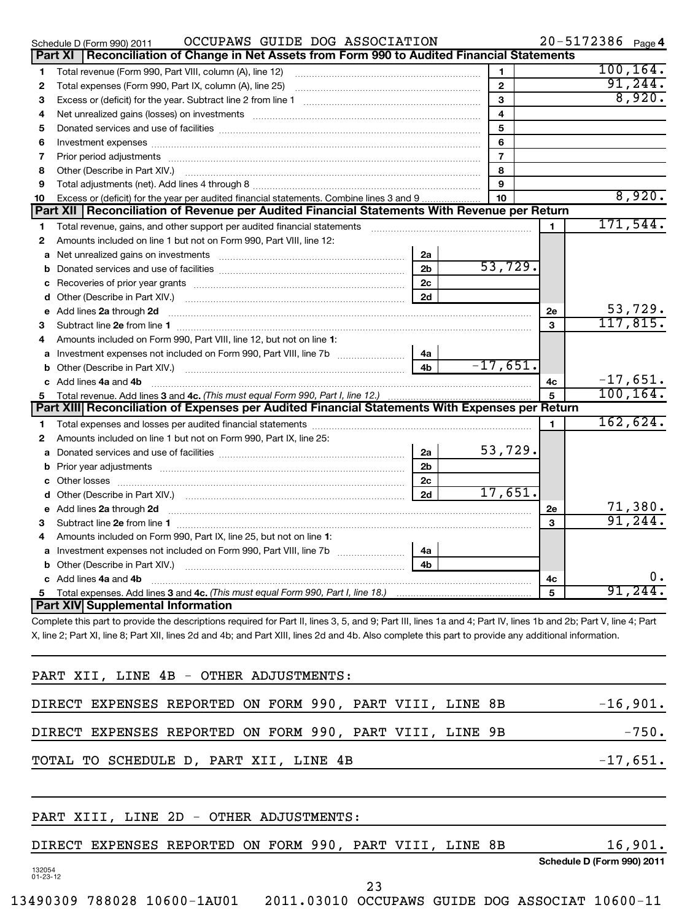|    | OCCUPAWS GUIDE DOG ASSOCIATION<br>Schedule D (Form 990) 2011                                                                                                                                                                         |                |                  |                | $20 - 5172386$ Page 4 |            |
|----|--------------------------------------------------------------------------------------------------------------------------------------------------------------------------------------------------------------------------------------|----------------|------------------|----------------|-----------------------|------------|
|    | Reconciliation of Change in Net Assets from Form 990 to Audited Financial Statements<br>Part XI                                                                                                                                      |                |                  |                |                       |            |
| 1  | Total revenue (Form 990, Part VIII, column (A), line 12)                                                                                                                                                                             |                | 1                |                |                       | 100, 164.  |
| 2  |                                                                                                                                                                                                                                      |                | $\mathbf{2}$     |                |                       | 91, 244.   |
| 3  |                                                                                                                                                                                                                                      |                | 3                |                |                       | 8,920.     |
| 4  | Net unrealized gains (losses) on investments [11] matter continuum matter and all the set of the set of the set of the set of the set of the set of the set of the set of the set of the set of the set of the set of the set        |                | 4                |                |                       |            |
| 5  |                                                                                                                                                                                                                                      |                | 5                |                |                       |            |
| 6  |                                                                                                                                                                                                                                      |                | 6                |                |                       |            |
| 7  |                                                                                                                                                                                                                                      |                | $\overline{7}$   |                |                       |            |
| 8  | Other (Describe in Part XIV.) <b>Product and Service Contract Contract Contract Contract Contract Contract Contract Contract Contract Contract Contract Contract Contract Contract Contract Contract Contract Contract Contract </b> |                | 8                |                |                       |            |
| 9  |                                                                                                                                                                                                                                      |                | 9                |                |                       |            |
| 10 | Excess or (deficit) for the year per audited financial statements. Combine lines 3 and 9                                                                                                                                             |                | 10 <sup>10</sup> |                |                       | 8,920.     |
|    | Part XII   Reconciliation of Revenue per Audited Financial Statements With Revenue per Return                                                                                                                                        |                |                  |                |                       |            |
| 1  | Total revenue, gains, and other support per audited financial statements                                                                                                                                                             |                |                  | $\blacksquare$ |                       | 171,544.   |
| 2  | Amounts included on line 1 but not on Form 990, Part VIII, line 12:                                                                                                                                                                  |                |                  |                |                       |            |
|    | a Net unrealized gains on investments [111] Martin Martin Martin Martin Martin Martin Martin Martin Martin Mar                                                                                                                       | 2a             |                  |                |                       |            |
|    |                                                                                                                                                                                                                                      | 2 <sub>b</sub> | 53,729.          |                |                       |            |
|    |                                                                                                                                                                                                                                      | 2c             |                  |                |                       |            |
| d  |                                                                                                                                                                                                                                      | 2d             |                  |                |                       |            |
| e  | Add lines 2a through 2d                                                                                                                                                                                                              |                |                  | 2e             |                       | 53,729.    |
| 3  |                                                                                                                                                                                                                                      |                |                  | 3              |                       | 117,815.   |
| 4  | Amounts included on Form 990, Part VIII, line 12, but not on line 1:                                                                                                                                                                 |                |                  |                |                       |            |
|    | a Investment expenses not included on Form 990, Part VIII, line 7b [11, 11, 11, 11]                                                                                                                                                  | 4a             |                  |                |                       |            |
|    |                                                                                                                                                                                                                                      | 4 <sub>b</sub> | $-17,651.$       |                |                       |            |
|    | c Add lines 4a and 4b                                                                                                                                                                                                                |                |                  | 4с             |                       | $-17,651.$ |
|    |                                                                                                                                                                                                                                      |                |                  | 5              |                       | 100, 164.  |
|    | Part XIII Reconciliation of Expenses per Audited Financial Statements With Expenses per Return                                                                                                                                       |                |                  |                |                       |            |
| 1  |                                                                                                                                                                                                                                      |                |                  | 1.             |                       | 162,624.   |
| 2  | Amounts included on line 1 but not on Form 990, Part IX, line 25:                                                                                                                                                                    |                |                  |                |                       |            |
|    |                                                                                                                                                                                                                                      | 2a             | 53,729.          |                |                       |            |
|    |                                                                                                                                                                                                                                      | 2 <sub>b</sub> |                  |                |                       |            |
|    | c Other losses                                                                                                                                                                                                                       | 2 <sub>c</sub> |                  |                |                       |            |
| d  |                                                                                                                                                                                                                                      | 2d             | 17,651.          |                |                       |            |
|    |                                                                                                                                                                                                                                      |                |                  | 2e             |                       | 71,380.    |
| 3  |                                                                                                                                                                                                                                      |                |                  | 3              |                       | 91, 244.   |
| 4  | Amounts included on Form 990, Part IX, line 25, but not on line 1:                                                                                                                                                                   |                |                  |                |                       |            |
|    |                                                                                                                                                                                                                                      | 4a             |                  |                |                       |            |
|    |                                                                                                                                                                                                                                      | 4 <sub>h</sub> |                  |                |                       |            |
|    | c Add lines 4a and 4b                                                                                                                                                                                                                |                |                  | 4c             |                       | Ο.         |
|    |                                                                                                                                                                                                                                      |                |                  | 5              |                       | 91,244.    |
|    | Part XIV Supplemental Information                                                                                                                                                                                                    |                |                  |                |                       |            |
|    | Complete this part to provide the descriptions required for Part II, lines 3, 5, and 9; Part III, lines 1a and 4; Part IV, lines 1b and 2b; Part V, line 4; Part                                                                     |                |                  |                |                       |            |

X, line 2; Part XI, line 8; Part XII, lines 2d and 4b; and Part XIII, lines 2d and 4b. Also complete this part to provide any additional information.

| PART XII, LINE 4B - OTHER ADJUSTMENTS:                   |            |
|----------------------------------------------------------|------------|
| DIRECT EXPENSES REPORTED ON FORM 990, PART VIII, LINE 8B | $-16,901.$ |
| DIRECT EXPENSES REPORTED ON FORM 990, PART VIII, LINE 9B | $-750.$    |
| TOTAL TO SCHEDULE D, PART XII, LINE 4B                   | $-17,651.$ |
|                                                          |            |
| PART XIII, LINE 2D - OTHER ADJUSTMENTS:                  |            |

# DIRECT EXPENSES REPORTED ON FORM 990, PART VIII, LINE 8B 16,901.

**Schedule D (Form 990) 2011**

132054 01-23-12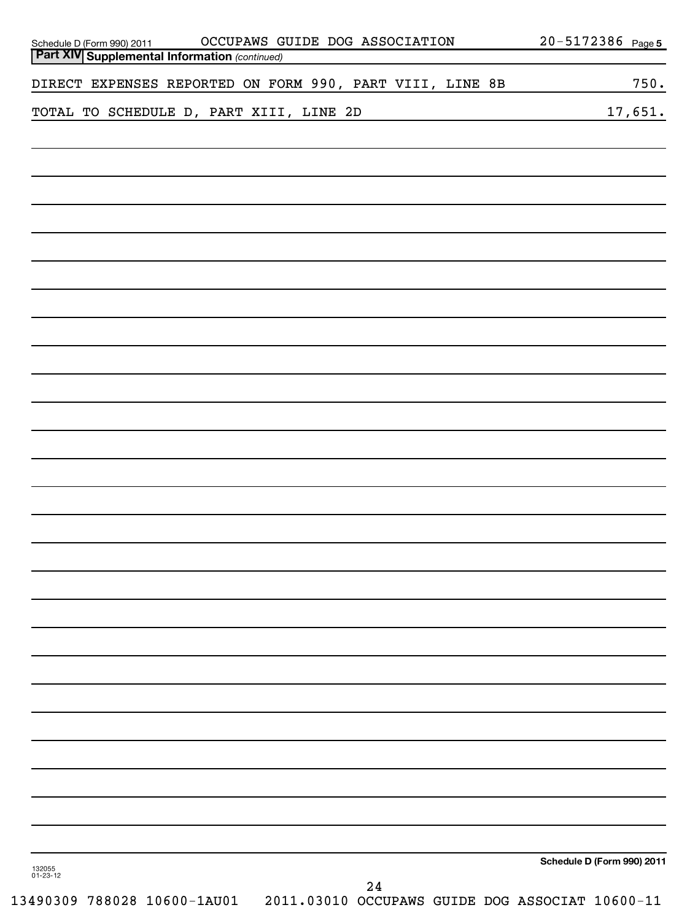| OCCUPAWS GUIDE DOG ASSOCIATION<br>Schedule D (Form 990) 2011 OCCUPAWS G<br>Part XIV Supplemental Information (continued) | 20-5172386 Page 5          |
|--------------------------------------------------------------------------------------------------------------------------|----------------------------|
| DIRECT EXPENSES REPORTED ON FORM 990, PART VIII, LINE 8B                                                                 | 750.                       |
| TOTAL TO SCHEDULE D, PART XIII, LINE 2D                                                                                  | 17,651.                    |
|                                                                                                                          |                            |
|                                                                                                                          |                            |
|                                                                                                                          |                            |
|                                                                                                                          |                            |
|                                                                                                                          |                            |
|                                                                                                                          |                            |
|                                                                                                                          |                            |
|                                                                                                                          |                            |
|                                                                                                                          |                            |
|                                                                                                                          |                            |
|                                                                                                                          |                            |
|                                                                                                                          |                            |
|                                                                                                                          |                            |
|                                                                                                                          |                            |
|                                                                                                                          |                            |
|                                                                                                                          |                            |
|                                                                                                                          | Schedule D (Form 990) 2011 |
| 132055<br>01-23-12<br>24                                                                                                 |                            |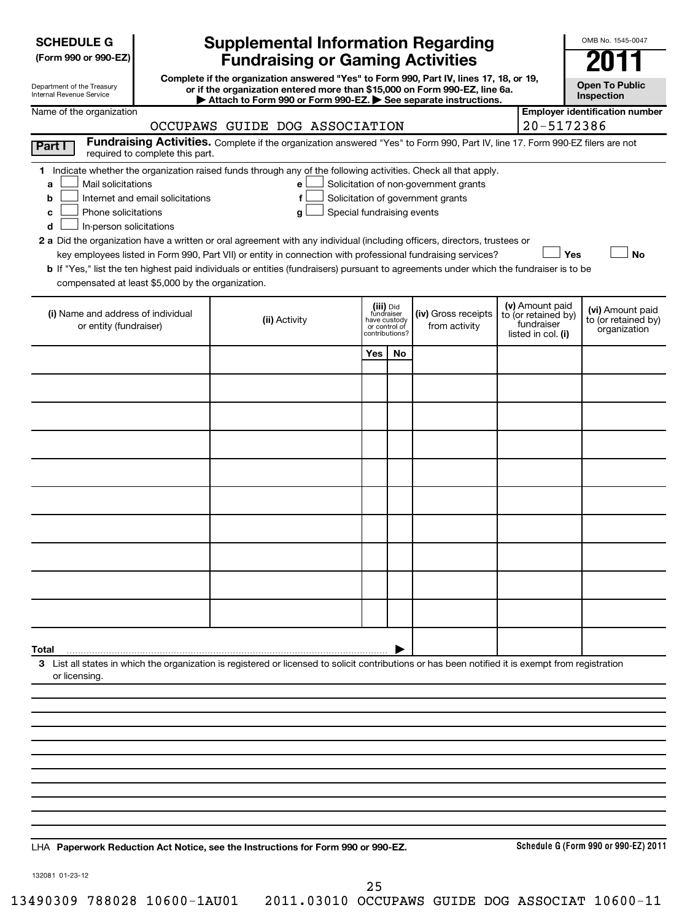| <b>SCHEDULE G</b> |
|-------------------|
|-------------------|

| (Form 990 or 990-EZ) |  |  |  |  |
|----------------------|--|--|--|--|
|----------------------|--|--|--|--|

Department of the Treasury Internal Revenue Service

# **Supplemental Information Regarding Fundraising or Gaming Activities**

**Complete if the organization answered "Yes" to Form 990, Part IV, lines 17, 18, or 19, or if the organization entered more than \$15,000 on Form 990-EZ, line 6a. | Attach to Form 990 or Form 990-EZ. | See separate instructions.**

**Open To Public Inspection**

**Employer identification number**

OMB No. 1545-0047

#### Name of the organization

|                                                                                                                                                                                                                                                                                                                                                                                                                                                                                                                                                                                                                                                                                            | OCCUPAWS GUIDE DOG ASSOCIATION                                                                                                |                                          |                                |                                                                            | 20-5172386                                                                 |                                                         |
|--------------------------------------------------------------------------------------------------------------------------------------------------------------------------------------------------------------------------------------------------------------------------------------------------------------------------------------------------------------------------------------------------------------------------------------------------------------------------------------------------------------------------------------------------------------------------------------------------------------------------------------------------------------------------------------------|-------------------------------------------------------------------------------------------------------------------------------|------------------------------------------|--------------------------------|----------------------------------------------------------------------------|----------------------------------------------------------------------------|---------------------------------------------------------|
| Part I<br>required to complete this part.                                                                                                                                                                                                                                                                                                                                                                                                                                                                                                                                                                                                                                                  | Fundraising Activities. Complete if the organization answered "Yes" to Form 990, Part IV, line 17. Form 990-EZ filers are not |                                          |                                |                                                                            |                                                                            |                                                         |
| 1 Indicate whether the organization raised funds through any of the following activities. Check all that apply.<br>Mail solicitations<br>a<br>Internet and email solicitations<br>b<br>Phone solicitations<br>C<br>In-person solicitations<br>d<br>2 a Did the organization have a written or oral agreement with any individual (including officers, directors, trustees or<br>key employees listed in Form 990, Part VII) or entity in connection with professional fundraising services?<br>b If "Yes," list the ten highest paid individuals or entities (fundraisers) pursuant to agreements under which the fundraiser is to be<br>compensated at least \$5,000 by the organization. | e<br>f<br>Special fundraising events<br>g                                                                                     |                                          |                                | Solicitation of non-government grants<br>Solicitation of government grants | Yes                                                                        | <b>No</b>                                               |
| (i) Name and address of individual<br>or entity (fundraiser)                                                                                                                                                                                                                                                                                                                                                                                                                                                                                                                                                                                                                               | (ii) Activity                                                                                                                 | (iii) Did<br>fundraiser<br>or control of | have custody<br>contributions? | (iv) Gross receipts<br>from activity                                       | (v) Amount paid<br>to (or retained by)<br>fundraiser<br>listed in col. (i) | (vi) Amount paid<br>to (or retained by)<br>organization |
|                                                                                                                                                                                                                                                                                                                                                                                                                                                                                                                                                                                                                                                                                            |                                                                                                                               | Yes                                      | No                             |                                                                            |                                                                            |                                                         |
|                                                                                                                                                                                                                                                                                                                                                                                                                                                                                                                                                                                                                                                                                            |                                                                                                                               |                                          |                                |                                                                            |                                                                            |                                                         |
|                                                                                                                                                                                                                                                                                                                                                                                                                                                                                                                                                                                                                                                                                            |                                                                                                                               |                                          |                                |                                                                            |                                                                            |                                                         |
|                                                                                                                                                                                                                                                                                                                                                                                                                                                                                                                                                                                                                                                                                            |                                                                                                                               |                                          |                                |                                                                            |                                                                            |                                                         |
|                                                                                                                                                                                                                                                                                                                                                                                                                                                                                                                                                                                                                                                                                            |                                                                                                                               |                                          |                                |                                                                            |                                                                            |                                                         |
|                                                                                                                                                                                                                                                                                                                                                                                                                                                                                                                                                                                                                                                                                            |                                                                                                                               |                                          |                                |                                                                            |                                                                            |                                                         |
|                                                                                                                                                                                                                                                                                                                                                                                                                                                                                                                                                                                                                                                                                            |                                                                                                                               |                                          |                                |                                                                            |                                                                            |                                                         |
|                                                                                                                                                                                                                                                                                                                                                                                                                                                                                                                                                                                                                                                                                            |                                                                                                                               |                                          |                                |                                                                            |                                                                            |                                                         |
|                                                                                                                                                                                                                                                                                                                                                                                                                                                                                                                                                                                                                                                                                            |                                                                                                                               |                                          |                                |                                                                            |                                                                            |                                                         |
|                                                                                                                                                                                                                                                                                                                                                                                                                                                                                                                                                                                                                                                                                            |                                                                                                                               |                                          |                                |                                                                            |                                                                            |                                                         |
| Total                                                                                                                                                                                                                                                                                                                                                                                                                                                                                                                                                                                                                                                                                      |                                                                                                                               |                                          |                                |                                                                            |                                                                            |                                                         |
| 3 List all states in which the organization is registered or licensed to solicit contributions or has been notified it is exempt from registration<br>or licensing.                                                                                                                                                                                                                                                                                                                                                                                                                                                                                                                        |                                                                                                                               |                                          |                                |                                                                            |                                                                            |                                                         |
|                                                                                                                                                                                                                                                                                                                                                                                                                                                                                                                                                                                                                                                                                            |                                                                                                                               |                                          |                                |                                                                            |                                                                            |                                                         |
|                                                                                                                                                                                                                                                                                                                                                                                                                                                                                                                                                                                                                                                                                            |                                                                                                                               |                                          |                                |                                                                            |                                                                            |                                                         |
|                                                                                                                                                                                                                                                                                                                                                                                                                                                                                                                                                                                                                                                                                            |                                                                                                                               |                                          |                                |                                                                            |                                                                            |                                                         |
|                                                                                                                                                                                                                                                                                                                                                                                                                                                                                                                                                                                                                                                                                            |                                                                                                                               |                                          |                                |                                                                            |                                                                            |                                                         |
|                                                                                                                                                                                                                                                                                                                                                                                                                                                                                                                                                                                                                                                                                            |                                                                                                                               |                                          |                                |                                                                            |                                                                            |                                                         |
|                                                                                                                                                                                                                                                                                                                                                                                                                                                                                                                                                                                                                                                                                            |                                                                                                                               |                                          |                                |                                                                            |                                                                            |                                                         |
|                                                                                                                                                                                                                                                                                                                                                                                                                                                                                                                                                                                                                                                                                            |                                                                                                                               |                                          |                                |                                                                            |                                                                            |                                                         |
|                                                                                                                                                                                                                                                                                                                                                                                                                                                                                                                                                                                                                                                                                            |                                                                                                                               |                                          |                                |                                                                            |                                                                            |                                                         |

**Paperwork Reduction Act Notice, see the Instructions for Form 990 or 990-EZ.** LHA

**Schedule G (Form 990 or 990-EZ) 2011**

132081 01-23-12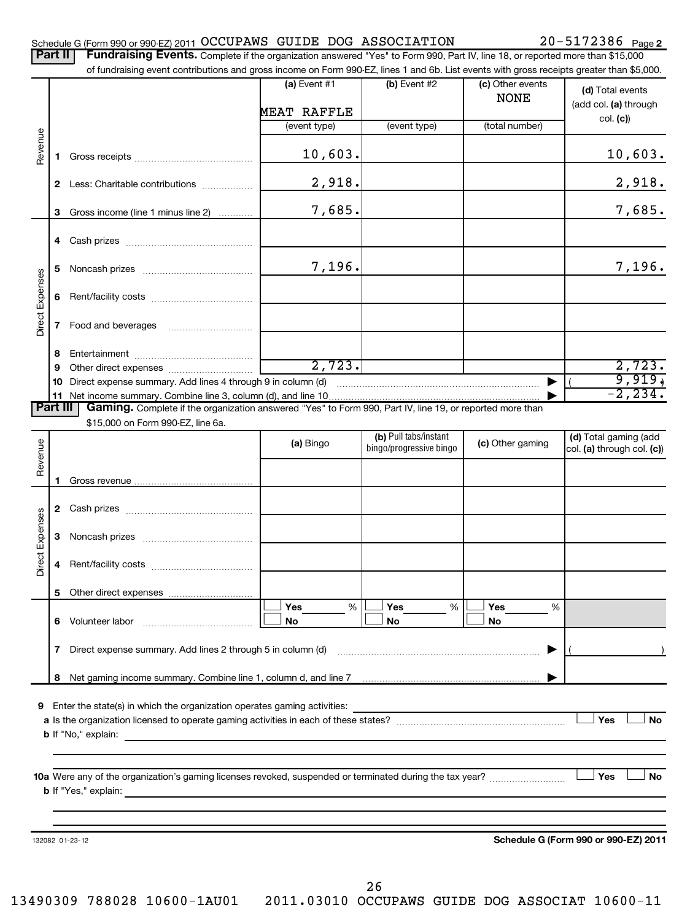|  |  |  |  | Schedule G (Form 990 or 990-EZ) 2011 OCCUPAWS GUIDE DOG ASSOCIATION | $20 - 5172386$ Page 2 |
|--|--|--|--|---------------------------------------------------------------------|-----------------------|
|--|--|--|--|---------------------------------------------------------------------|-----------------------|

| (a) Event $#1$<br>(b) Event #2<br>(c) Other events<br><b>NONE</b><br>MEAT RAFFLE<br>(total number)<br>(event type)<br>(event type)<br>Revenue<br>10,603.<br>1.<br>2,918.<br>2 Less: Charitable contributions<br>7,685.<br>Gross income (line 1 minus line 2)<br>З<br>4<br>7,196.<br>5<br><b>Direct Expenses</b><br>6<br>7<br>8<br>2,723.<br>9<br>Direct expense summary. Add lines 4 through 9 in column (d)<br>10<br><b>Part III</b><br>Gaming. Complete if the organization answered "Yes" to Form 990, Part IV, line 19, or reported more than<br>\$15,000 on Form 990-EZ, line 6a.<br>(b) Pull tabs/instant<br>Revenue<br>(a) Bingo<br>(c) Other gaming<br>bingo/progressive bingo<br>1<br>Direct Expenses<br>3<br>5.<br>Yes<br>Yes<br><b>Yes</b><br>%<br>%<br>%<br>6 Volunteer labor<br>No<br>No<br>No<br>$\mathbf{7}$<br><b>9</b> Enter the state(s) in which the organization operates gaming activities: | Part II | Fundraising Events. Complete if the organization answered "Yes" to Form 990, Part IV, line 18, or reported more than \$15,000<br>of fundraising event contributions and gross income on Form 990-EZ, lines 1 and 6b. List events with gross receipts greater than \$5,000. |  |                                           |
|------------------------------------------------------------------------------------------------------------------------------------------------------------------------------------------------------------------------------------------------------------------------------------------------------------------------------------------------------------------------------------------------------------------------------------------------------------------------------------------------------------------------------------------------------------------------------------------------------------------------------------------------------------------------------------------------------------------------------------------------------------------------------------------------------------------------------------------------------------------------------------------------------------------|---------|----------------------------------------------------------------------------------------------------------------------------------------------------------------------------------------------------------------------------------------------------------------------------|--|-------------------------------------------|
|                                                                                                                                                                                                                                                                                                                                                                                                                                                                                                                                                                                                                                                                                                                                                                                                                                                                                                                  |         |                                                                                                                                                                                                                                                                            |  | (d) Total events<br>(add col. (a) through |
|                                                                                                                                                                                                                                                                                                                                                                                                                                                                                                                                                                                                                                                                                                                                                                                                                                                                                                                  |         |                                                                                                                                                                                                                                                                            |  | col. (c))                                 |
|                                                                                                                                                                                                                                                                                                                                                                                                                                                                                                                                                                                                                                                                                                                                                                                                                                                                                                                  |         |                                                                                                                                                                                                                                                                            |  | 10,603.                                   |
|                                                                                                                                                                                                                                                                                                                                                                                                                                                                                                                                                                                                                                                                                                                                                                                                                                                                                                                  |         |                                                                                                                                                                                                                                                                            |  | 2,918.                                    |
|                                                                                                                                                                                                                                                                                                                                                                                                                                                                                                                                                                                                                                                                                                                                                                                                                                                                                                                  |         |                                                                                                                                                                                                                                                                            |  | 7,685.                                    |
|                                                                                                                                                                                                                                                                                                                                                                                                                                                                                                                                                                                                                                                                                                                                                                                                                                                                                                                  |         |                                                                                                                                                                                                                                                                            |  |                                           |
|                                                                                                                                                                                                                                                                                                                                                                                                                                                                                                                                                                                                                                                                                                                                                                                                                                                                                                                  |         |                                                                                                                                                                                                                                                                            |  | 7,196.                                    |
|                                                                                                                                                                                                                                                                                                                                                                                                                                                                                                                                                                                                                                                                                                                                                                                                                                                                                                                  |         |                                                                                                                                                                                                                                                                            |  |                                           |
|                                                                                                                                                                                                                                                                                                                                                                                                                                                                                                                                                                                                                                                                                                                                                                                                                                                                                                                  |         |                                                                                                                                                                                                                                                                            |  |                                           |
|                                                                                                                                                                                                                                                                                                                                                                                                                                                                                                                                                                                                                                                                                                                                                                                                                                                                                                                  |         |                                                                                                                                                                                                                                                                            |  |                                           |
|                                                                                                                                                                                                                                                                                                                                                                                                                                                                                                                                                                                                                                                                                                                                                                                                                                                                                                                  |         |                                                                                                                                                                                                                                                                            |  | 2,723.                                    |
|                                                                                                                                                                                                                                                                                                                                                                                                                                                                                                                                                                                                                                                                                                                                                                                                                                                                                                                  |         |                                                                                                                                                                                                                                                                            |  | 9,919,<br>$-2, 234.$                      |
|                                                                                                                                                                                                                                                                                                                                                                                                                                                                                                                                                                                                                                                                                                                                                                                                                                                                                                                  |         |                                                                                                                                                                                                                                                                            |  |                                           |
|                                                                                                                                                                                                                                                                                                                                                                                                                                                                                                                                                                                                                                                                                                                                                                                                                                                                                                                  |         |                                                                                                                                                                                                                                                                            |  |                                           |
|                                                                                                                                                                                                                                                                                                                                                                                                                                                                                                                                                                                                                                                                                                                                                                                                                                                                                                                  |         |                                                                                                                                                                                                                                                                            |  | (d) Total gaming (add                     |
|                                                                                                                                                                                                                                                                                                                                                                                                                                                                                                                                                                                                                                                                                                                                                                                                                                                                                                                  |         |                                                                                                                                                                                                                                                                            |  | col. (a) through col. (c))                |
|                                                                                                                                                                                                                                                                                                                                                                                                                                                                                                                                                                                                                                                                                                                                                                                                                                                                                                                  |         |                                                                                                                                                                                                                                                                            |  |                                           |
|                                                                                                                                                                                                                                                                                                                                                                                                                                                                                                                                                                                                                                                                                                                                                                                                                                                                                                                  |         |                                                                                                                                                                                                                                                                            |  |                                           |
|                                                                                                                                                                                                                                                                                                                                                                                                                                                                                                                                                                                                                                                                                                                                                                                                                                                                                                                  |         |                                                                                                                                                                                                                                                                            |  |                                           |
|                                                                                                                                                                                                                                                                                                                                                                                                                                                                                                                                                                                                                                                                                                                                                                                                                                                                                                                  |         |                                                                                                                                                                                                                                                                            |  |                                           |
|                                                                                                                                                                                                                                                                                                                                                                                                                                                                                                                                                                                                                                                                                                                                                                                                                                                                                                                  |         |                                                                                                                                                                                                                                                                            |  |                                           |
|                                                                                                                                                                                                                                                                                                                                                                                                                                                                                                                                                                                                                                                                                                                                                                                                                                                                                                                  |         |                                                                                                                                                                                                                                                                            |  |                                           |
|                                                                                                                                                                                                                                                                                                                                                                                                                                                                                                                                                                                                                                                                                                                                                                                                                                                                                                                  |         |                                                                                                                                                                                                                                                                            |  |                                           |
|                                                                                                                                                                                                                                                                                                                                                                                                                                                                                                                                                                                                                                                                                                                                                                                                                                                                                                                  |         |                                                                                                                                                                                                                                                                            |  |                                           |
|                                                                                                                                                                                                                                                                                                                                                                                                                                                                                                                                                                                                                                                                                                                                                                                                                                                                                                                  |         |                                                                                                                                                                                                                                                                            |  |                                           |
|                                                                                                                                                                                                                                                                                                                                                                                                                                                                                                                                                                                                                                                                                                                                                                                                                                                                                                                  |         |                                                                                                                                                                                                                                                                            |  |                                           |
|                                                                                                                                                                                                                                                                                                                                                                                                                                                                                                                                                                                                                                                                                                                                                                                                                                                                                                                  |         |                                                                                                                                                                                                                                                                            |  |                                           |
|                                                                                                                                                                                                                                                                                                                                                                                                                                                                                                                                                                                                                                                                                                                                                                                                                                                                                                                  |         |                                                                                                                                                                                                                                                                            |  | Yes<br><b>No</b>                          |
|                                                                                                                                                                                                                                                                                                                                                                                                                                                                                                                                                                                                                                                                                                                                                                                                                                                                                                                  |         |                                                                                                                                                                                                                                                                            |  |                                           |
|                                                                                                                                                                                                                                                                                                                                                                                                                                                                                                                                                                                                                                                                                                                                                                                                                                                                                                                  |         |                                                                                                                                                                                                                                                                            |  |                                           |
|                                                                                                                                                                                                                                                                                                                                                                                                                                                                                                                                                                                                                                                                                                                                                                                                                                                                                                                  |         |                                                                                                                                                                                                                                                                            |  | <b>Yes</b><br>No                          |
|                                                                                                                                                                                                                                                                                                                                                                                                                                                                                                                                                                                                                                                                                                                                                                                                                                                                                                                  |         |                                                                                                                                                                                                                                                                            |  |                                           |
| 132082 01-23-12                                                                                                                                                                                                                                                                                                                                                                                                                                                                                                                                                                                                                                                                                                                                                                                                                                                                                                  |         |                                                                                                                                                                                                                                                                            |  | Schedule G (Form 990 or 990-EZ) 2011      |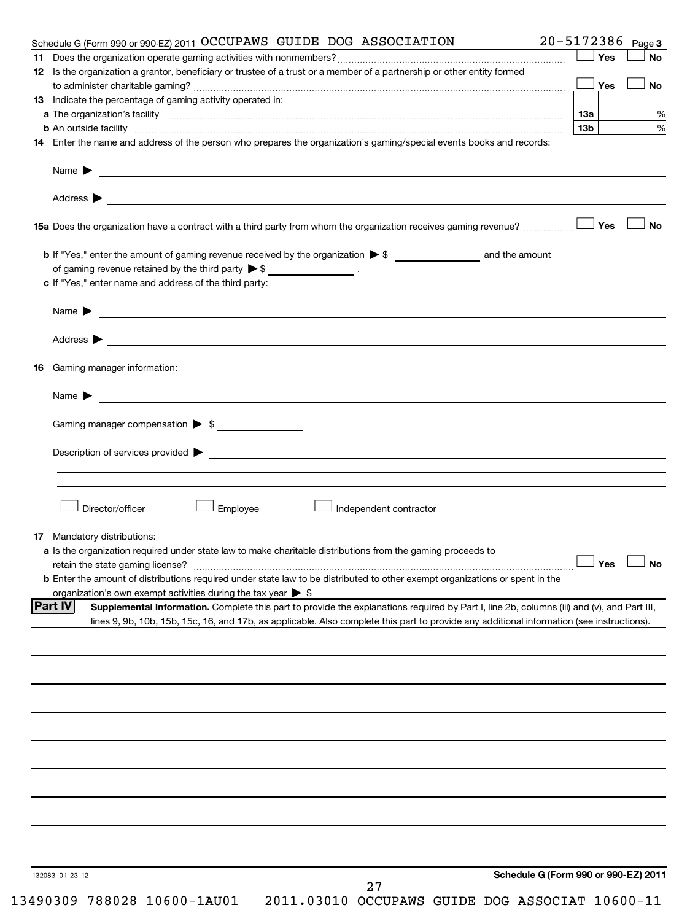|    | 20-5172386 Page 3<br>Schedule G (Form 990 or 990-EZ) 2011 OCCUPAWS GUIDE DOG ASSOCIATION                                                                                                                                             |     |           |
|----|--------------------------------------------------------------------------------------------------------------------------------------------------------------------------------------------------------------------------------------|-----|-----------|
|    |                                                                                                                                                                                                                                      | Yes | <b>No</b> |
|    | 12 Is the organization a grantor, beneficiary or trustee of a trust or a member of a partnership or other entity formed                                                                                                              |     |           |
|    |                                                                                                                                                                                                                                      | Yes | <b>No</b> |
|    | 13 Indicate the percentage of gaming activity operated in:                                                                                                                                                                           |     |           |
|    |                                                                                                                                                                                                                                      |     |           |
|    | b An outside facility [13b] [13b]                                                                                                                                                                                                    |     |           |
|    | 14 Enter the name and address of the person who prepares the organization's gaming/special events books and records:                                                                                                                 |     |           |
|    |                                                                                                                                                                                                                                      |     |           |
|    |                                                                                                                                                                                                                                      |     |           |
|    | 15a Does the organization have a contract with a third party from whom the organization receives gaming revenue?                                                                                                                     | Yes | <b>No</b> |
|    |                                                                                                                                                                                                                                      |     |           |
|    |                                                                                                                                                                                                                                      |     |           |
|    | of gaming revenue retained by the third party $\triangleright$ \$ _________________.                                                                                                                                                 |     |           |
|    | c If "Yes," enter name and address of the third party:                                                                                                                                                                               |     |           |
|    | Name <b>Decision and Contract Contract Contract Contract Contract Contract Contract Contract Contract Contract Contract Contract Contract Contract Contract Contract Contract Contract Contract Contract Contract Contract Contr</b> |     |           |
|    | Address $\blacktriangleright$                                                                                                                                                                                                        |     |           |
|    | 16 Gaming manager information:                                                                                                                                                                                                       |     |           |
|    |                                                                                                                                                                                                                                      |     |           |
|    |                                                                                                                                                                                                                                      |     |           |
|    | Gaming manager compensation > \$                                                                                                                                                                                                     |     |           |
|    |                                                                                                                                                                                                                                      |     |           |
|    |                                                                                                                                                                                                                                      |     |           |
|    |                                                                                                                                                                                                                                      |     |           |
|    |                                                                                                                                                                                                                                      |     |           |
|    | Director/officer<br>Employee<br>Independent contractor                                                                                                                                                                               |     |           |
|    |                                                                                                                                                                                                                                      |     |           |
| 17 | Mandatory distributions:                                                                                                                                                                                                             |     |           |
|    | a Is the organization required under state law to make charitable distributions from the gaming proceeds to                                                                                                                          |     |           |
|    | retain the state gaming license? $\Box$ No                                                                                                                                                                                           |     |           |
|    | <b>b</b> Enter the amount of distributions required under state law to be distributed to other exempt organizations or spent in the                                                                                                  |     |           |
|    | organization's own exempt activities during the tax year $\triangleright$ \$                                                                                                                                                         |     |           |
|    | <b>Part IV</b><br>Supplemental Information. Complete this part to provide the explanations required by Part I, line 2b, columns (iii) and (v), and Part III,                                                                         |     |           |
|    | lines 9, 9b, 10b, 15b, 15c, 16, and 17b, as applicable. Also complete this part to provide any additional information (see instructions).                                                                                            |     |           |
|    |                                                                                                                                                                                                                                      |     |           |
|    |                                                                                                                                                                                                                                      |     |           |
|    |                                                                                                                                                                                                                                      |     |           |
|    |                                                                                                                                                                                                                                      |     |           |
|    |                                                                                                                                                                                                                                      |     |           |
|    |                                                                                                                                                                                                                                      |     |           |
|    |                                                                                                                                                                                                                                      |     |           |
|    |                                                                                                                                                                                                                                      |     |           |
|    |                                                                                                                                                                                                                                      |     |           |
|    | Schedule G (Form 990 or 990-EZ) 2011<br>132083 01-23-12                                                                                                                                                                              |     |           |
|    | 27<br>13490309 788028 10600-1AU01<br>2011.03010 OCCUPAWS GUIDE DOG ASSOCIAT 10600-11                                                                                                                                                 |     |           |
|    |                                                                                                                                                                                                                                      |     |           |